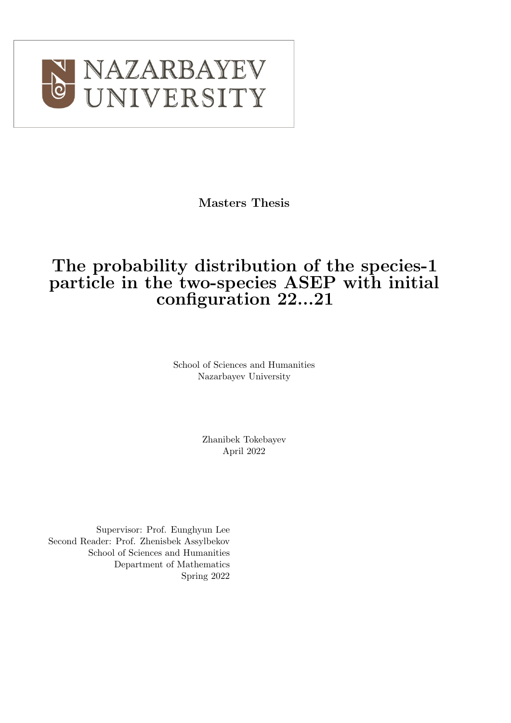

Masters Thesis

## The probability distribution of the species-1 particle in the two-species ASEP with initial configuration 22...21

School of Sciences and Humanities Nazarbayev University

> Zhanibek Tokebayev April 2022

Supervisor: Prof. Eunghyun Lee Second Reader: Prof. Zhenisbek Assylbekov School of Sciences and Humanities Department of Mathematics Spring 2022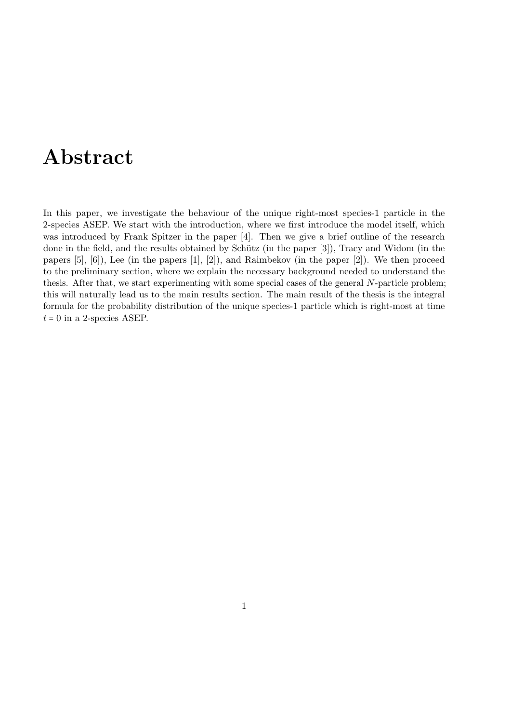## Abstract

In this paper, we investigate the behaviour of the unique right-most species-1 particle in the 2-species ASEP. We start with the introduction, where we first introduce the model itself, which was introduced by Frank Spitzer in the paper [\[4\]](#page-53-0). Then we give a brief outline of the research done in the field, and the results obtained by Schütz (in the paper [\[3\]](#page-53-1)), Tracy and Widom (in the papers  $[5]$ ,  $[6]$ ), Lee (in the papers  $[1]$ ,  $[2]$ ), and Raimbekov (in the paper  $[2]$ ). We then proceed to the preliminary section, where we explain the necessary background needed to understand the thesis. After that, we start experimenting with some special cases of the general N-particle problem; this will naturally lead us to the main results section. The main result of the thesis is the integral formula for the probability distribution of the unique species-1 particle which is right-most at time  $t = 0$  in a 2-species ASEP.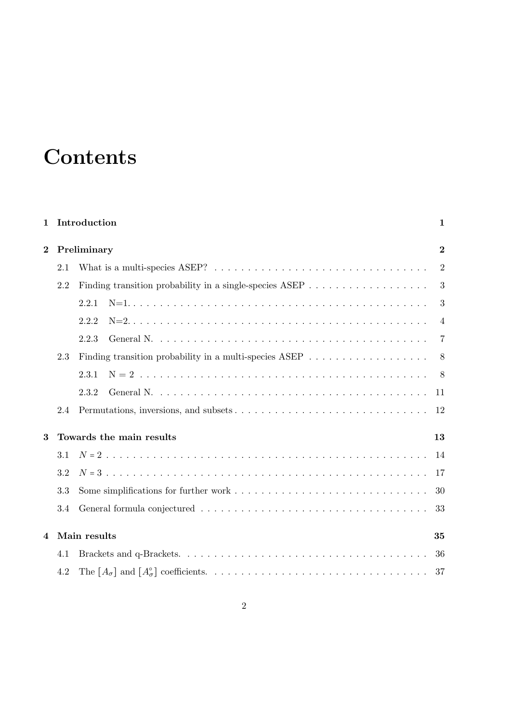# **Contents**

| $\mathbf 1$    |             | Introduction                                                                                        | 1                |  |
|----------------|-------------|-----------------------------------------------------------------------------------------------------|------------------|--|
| $\bf{2}$       | Preliminary |                                                                                                     |                  |  |
|                | 2.1         |                                                                                                     | $\overline{2}$   |  |
| 2.2            |             | Finding transition probability in a single-species ASEP $\ldots \ldots \ldots \ldots \ldots \ldots$ | $\mathbf{3}$     |  |
|                |             | 2.2.1                                                                                               | $\boldsymbol{3}$ |  |
|                |             | 2.2.2                                                                                               | $\overline{4}$   |  |
|                |             | 2.2.3                                                                                               | $\overline{7}$   |  |
|                | 2.3         | Finding transition probability in a multi-species ASEP $\dots \dots \dots \dots \dots \dots$        | 8                |  |
|                |             | 2.3.1                                                                                               | -8               |  |
|                |             | 2.3.2                                                                                               | 11               |  |
|                | 2.4         |                                                                                                     | -12              |  |
| 3              |             | Towards the main results                                                                            | 13               |  |
|                | 3.1         |                                                                                                     | 14               |  |
| 3.2<br>3.3     |             |                                                                                                     | 17               |  |
|                |             |                                                                                                     | 30               |  |
|                | 3.4         |                                                                                                     |                  |  |
| $\overline{4}$ |             | Main results                                                                                        | 35               |  |
|                | 4.1         |                                                                                                     | 36               |  |
|                | 4.2         |                                                                                                     | 37               |  |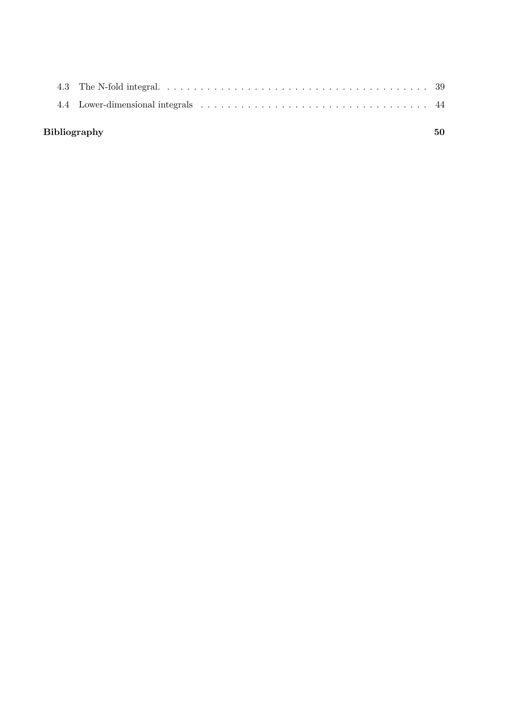| <b>Bibliography</b> |  |
|---------------------|--|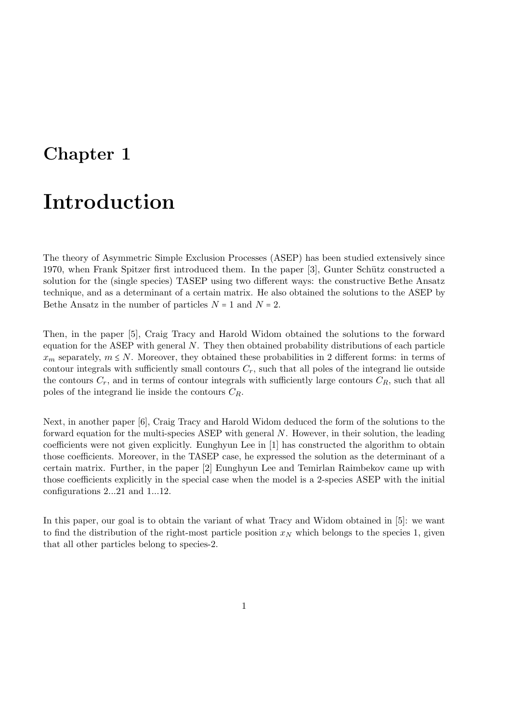## <span id="page-4-0"></span>Chapter 1

## Introduction

The theory of Asymmetric Simple Exclusion Processes (ASEP) has been studied extensively since 1970, when Frank Spitzer first introduced them. In the paper [\[3\]](#page-53-1), Gunter Schütz constructed a solution for the (single species) TASEP using two different ways: the constructive Bethe Ansatz technique, and as a determinant of a certain matrix. He also obtained the solutions to the ASEP by Bethe Ansatz in the number of particles  $N = 1$  and  $N = 2$ .

Then, in the paper [\[5\]](#page-53-2), Craig Tracy and Harold Widom obtained the solutions to the forward equation for the ASEP with general N. They then obtained probability distributions of each particle  $x_m$  separately,  $m \leq N$ . Moreover, they obtained these probabilities in 2 different forms: in terms of contour integrals with sufficiently small contours  $C_r$ , such that all poles of the integrand lie outside the contours  $C_r$ , and in terms of contour integrals with sufficiently large contours  $C_R$ , such that all poles of the integrand lie inside the contours  $C_R$ .

Next, in another paper [\[6\]](#page-53-3), Craig Tracy and Harold Widom deduced the form of the solutions to the forward equation for the multi-species ASEP with general N. However, in their solution, the leading coefficients were not given explicitly. Eunghyun Lee in [\[1\]](#page-53-4) has constructed the algorithm to obtain those coefficients. Moreover, in the TASEP case, he expressed the solution as the determinant of a certain matrix. Further, in the paper [\[2\]](#page-53-5) Eunghyun Lee and Temirlan Raimbekov came up with those coefficients explicitly in the special case when the model is a 2-species ASEP with the initial configurations 2...21 and 1...12.

In this paper, our goal is to obtain the variant of what Tracy and Widom obtained in [\[5\]](#page-53-2): we want to find the distribution of the right-most particle position  $x_N$  which belongs to the species 1, given that all other particles belong to species-2.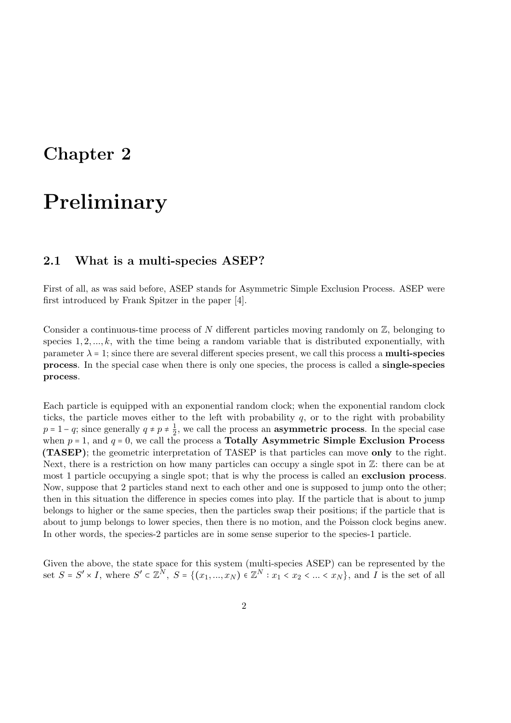## <span id="page-5-0"></span>Chapter 2

## Preliminary

### <span id="page-5-1"></span>2.1 What is a multi-species ASEP?

First of all, as was said before, ASEP stands for Asymmetric Simple Exclusion Process. ASEP were first introduced by Frank Spitzer in the paper [\[4\]](#page-53-0).

Consider a continuous-time process of N different particles moving randomly on  $\mathbb{Z}$ , belonging to species  $1, 2, \ldots, k$ , with the time being a random variable that is distributed exponentially, with parameter  $\lambda = 1$ ; since there are several different species present, we call this process a **multi-species** process. In the special case when there is only one species, the process is called a single-species process.

Each particle is equipped with an exponential random clock; when the exponential random clock ticks, the particle moves either to the left with probability  $q$ , or to the right with probability  $p = 1 - q$ ; since generally  $q \neq p \neq \frac{1}{2}$  $\frac{1}{2}$ , we call the process an **asymmetric process**. In the special case when  $p = 1$ , and  $q = 0$ , we call the process a Totally Asymmetric Simple Exclusion Process (TASEP); the geometric interpretation of TASEP is that particles can move only to the right. Next, there is a restriction on how many particles can occupy a single spot in  $\mathbb{Z}$ : there can be at most 1 particle occupying a single spot; that is why the process is called an exclusion process. Now, suppose that 2 particles stand next to each other and one is supposed to jump onto the other; then in this situation the difference in species comes into play. If the particle that is about to jump belongs to higher or the same species, then the particles swap their positions; if the particle that is about to jump belongs to lower species, then there is no motion, and the Poisson clock begins anew. In other words, the species-2 particles are in some sense superior to the species-1 particle.

Given the above, the state space for this system (multi-species ASEP) can be represented by the set  $S = S' \times I$ , where  $S' \subset \mathbb{Z}^N$ ,  $S = \{(x_1, ..., x_N) \in \mathbb{Z}^N : x_1 < x_2 < ... < x_N\}$ , and I is the set of all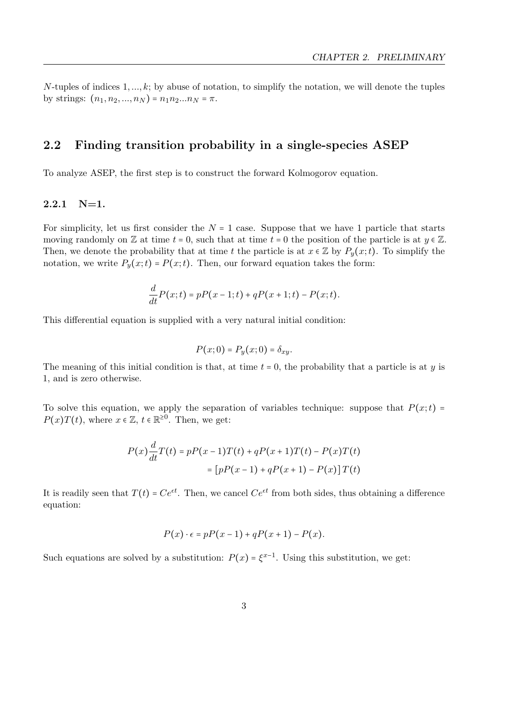N-tuples of indices  $1, \ldots, k$ ; by abuse of notation, to simplify the notation, we will denote the tuples by strings:  $(n_1, n_2, ..., n_N) = n_1 n_2 ... n_N = \pi$ .

### <span id="page-6-0"></span>2.2 Finding transition probability in a single-species ASEP

To analyze ASEP, the first step is to construct the forward Kolmogorov equation.

### <span id="page-6-1"></span> $2.2.1$  N=1.

For simplicity, let us first consider the  $N = 1$  case. Suppose that we have 1 particle that starts moving randomly on  $\mathbb Z$  at time  $t = 0$ , such that at time  $t = 0$  the position of the particle is at  $y \in \mathbb Z$ . Then, we denote the probability that at time t the particle is at  $x \in \mathbb{Z}$  by  $P_y(x;t)$ . To simplify the notation, we write  $P_y(x;t) = P(x;t)$ . Then, our forward equation takes the form:

$$
\frac{d}{dt}P(x;t) = pP(x-1;t) + qP(x+1;t) - P(x;t).
$$

This differential equation is supplied with a very natural initial condition:

$$
P(x;0)=P_y(x;0)=\delta_{xy}.
$$

The meaning of this initial condition is that, at time  $t = 0$ , the probability that a particle is at y is 1, and is zero otherwise.

To solve this equation, we apply the separation of variables technique: suppose that  $P(x;t)$  =  $P(x)T(t)$ , where  $x \in \mathbb{Z}$ ,  $t \in \mathbb{R}^{\geq 0}$ . Then, we get:

$$
P(x)\frac{d}{dt}T(t) = pP(x-1)T(t) + qP(x+1)T(t) - P(x)T(t)
$$

$$
= [pP(x-1) + qP(x+1) - P(x)]T(t)
$$

It is readily seen that  $T(t) = Ce^{\epsilon t}$ . Then, we cancel  $Ce^{\epsilon t}$  from both sides, thus obtaining a difference equation:

$$
P(x) \cdot \epsilon = pP(x-1) + qP(x+1) - P(x).
$$

Such equations are solved by a substitution:  $P(x) = \xi^{x-1}$ . Using this substitution, we get: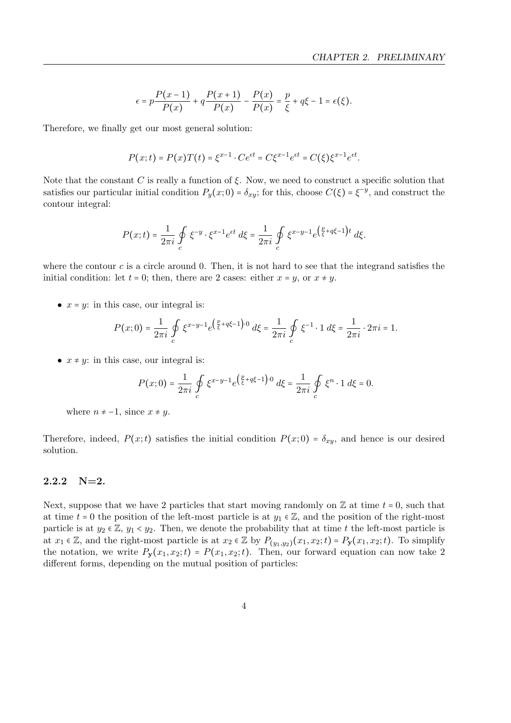$$
\epsilon = p \frac{P(x-1)}{P(x)} + q \frac{P(x+1)}{P(x)} - \frac{P(x)}{P(x)} = \frac{p}{\xi} + q\xi - 1 = \epsilon(\xi).
$$

Therefore, we finally get our most general solution:

$$
P(x;t) = P(x)T(t) = \xi^{x-1} \cdot Ce^{\epsilon t} = C\xi^{x-1}e^{\epsilon t} = C(\xi)\xi^{x-1}e^{\epsilon t}.
$$

Note that the constant C is really a function of  $\xi$ . Now, we need to construct a specific solution that satisfies our particular initial condition  $P_y(x;0) = \delta_{xy}$ ; for this, choose  $C(\xi) = \xi^{-y}$ , and construct the contour integral:

$$
P(x;t) = \frac{1}{2\pi i} \oint_C \xi^{-y} \cdot \xi^{x-1} e^{\epsilon t} d\xi = \frac{1}{2\pi i} \oint_C \xi^{x-y-1} e^{\left(\frac{p}{\xi} + q\xi - 1\right)t} d\xi.
$$

where the contour  $c$  is a circle around 0. Then, it is not hard to see that the integrand satisfies the initial condition: let  $t = 0$ ; then, there are 2 cases: either  $x = y$ , or  $x \neq y$ .

•  $x = y$ : in this case, our integral is:

$$
P(x;0) = \frac{1}{2\pi i} \oint_C \xi^{x-y-1} e^{\left(\frac{p}{\xi} + q\xi - 1\right) \cdot 0} d\xi = \frac{1}{2\pi i} \oint_C \xi^{-1} \cdot 1 d\xi = \frac{1}{2\pi i} \cdot 2\pi i = 1.
$$

•  $x \neq y$ : in this case, our integral is:

$$
P(x;0) = \frac{1}{2\pi i} \oint_C \xi^{x-y-1} e^{\left(\frac{p}{\xi} + q\xi - 1\right) \cdot 0} d\xi = \frac{1}{2\pi i} \oint_C \xi^n \cdot 1 d\xi = 0.
$$

where  $n \neq -1$ , since  $x \neq y$ .

Therefore, indeed,  $P(x;t)$  satisfies the initial condition  $P(x;0) = \delta_{xy}$ , and hence is our desired solution.

### <span id="page-7-0"></span> $2.2.2 \quad N=2.$

Next, suppose that we have 2 particles that start moving randomly on  $\mathbb Z$  at time  $t = 0$ , such that at time  $t = 0$  the position of the left-most particle is at  $y_1 \in \mathbb{Z}$ , and the position of the right-most particle is at  $y_2 \in \mathbb{Z}$ ,  $y_1 < y_2$ . Then, we denote the probability that at time t the left-most particle is at  $x_1 \in \mathbb{Z}$ , and the right-most particle is at  $x_2 \in \mathbb{Z}$  by  $P_{(y_1,y_2)}(x_1,x_2;t) = P_{\mathbf{y}}(x_1,x_2;t)$ . To simplify the notation, we write  $P_y(x_1, x_2; t) = P(x_1, x_2; t)$ . Then, our forward equation can now take 2 different forms, depending on the mutual position of particles: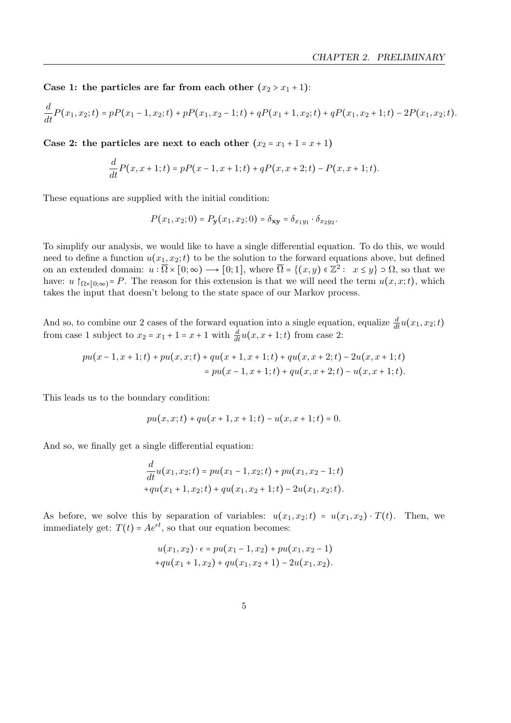Case 1: the particles are far from each other  $(x_2 > x_1 + 1)$ :

$$
\frac{d}{dt}P(x_1,x_2;t) = pP(x_1-1,x_2;t) + pP(x_1,x_2-1;t) + qP(x_1+1,x_2;t) + qP(x_1,x_2+1;t) - 2P(x_1,x_2;t).
$$

Case 2: the particles are next to each other  $(x_2 = x_1 + 1 = x + 1)$ 

$$
\frac{d}{dt}P(x, x+1; t) = pP(x-1, x+1; t) + qP(x, x+2; t) - P(x, x+1; t).
$$

These equations are supplied with the initial condition:

d

$$
P(x_1, x_2; 0) = P_{\mathbf{y}}(x_1, x_2; 0) = \delta_{\mathbf{xy}} = \delta_{x_1 y_1} \cdot \delta_{x_2 y_2}.
$$

To simplify our analysis, we would like to have a single differential equation. To do this, we would need to define a function  $u(x_1, x_2; t)$  to be the solution to the forward equations above, but defined on an extended domain:  $u : \overline{\Omega} \times [0; \infty) \longrightarrow [0; 1]$ , where  $\overline{\Omega} = \{(x, y) \in \mathbb{Z}^2 : x \leq y\} \supset \Omega$ , so that we have:  $u \upharpoonright_{\Omega \times [0,\infty)} = P$ . The reason for this extension is that we will need the term  $u(x, x; t)$ , which takes the input that doesn't belong to the state space of our Markov process.

And so, to combine our 2 cases of the forward equation into a single equation, equalize  $\frac{d}{dt}u(x_1, x_2; t)$ from case 1 subject to  $x_2 = x_1 + 1 = x + 1$  with  $\frac{d}{dt}u(x, x + 1; t)$  from case 2:

$$
pu(x-1,x+1;t) + pu(x,x;t) + qu(x+1,x+1;t) + qu(x,x+2;t) - 2u(x,x+1;t)
$$
  
= 
$$
pu(x-1,x+1;t) + qu(x,x+2;t) - u(x,x+1;t).
$$

This leads us to the boundary condition:

$$
pu(x, x; t) + qu(x + 1, x + 1; t) - u(x, x + 1; t) = 0.
$$

And so, we finally get a single differential equation:

$$
\frac{d}{dt}u(x_1, x_2; t) = pu(x_1 - 1, x_2; t) + pu(x_1, x_2 - 1; t) + qu(x_1 + 1, x_2; t) + qu(x_1, x_2 + 1; t) - 2u(x_1, x_2; t).
$$

As before, we solve this by separation of variables:  $u(x_1, x_2; t) = u(x_1, x_2) \cdot T(t)$ . Then, we immediately get:  $T(t) = Ae^{et}$ , so that our equation becomes:

$$
u(x_1, x_2) \cdot \epsilon = pu(x_1 - 1, x_2) + pu(x_1, x_2 - 1)
$$
  
+
$$
qu(x_1 + 1, x_2) + qu(x_1, x_2 + 1) - 2u(x_1, x_2).
$$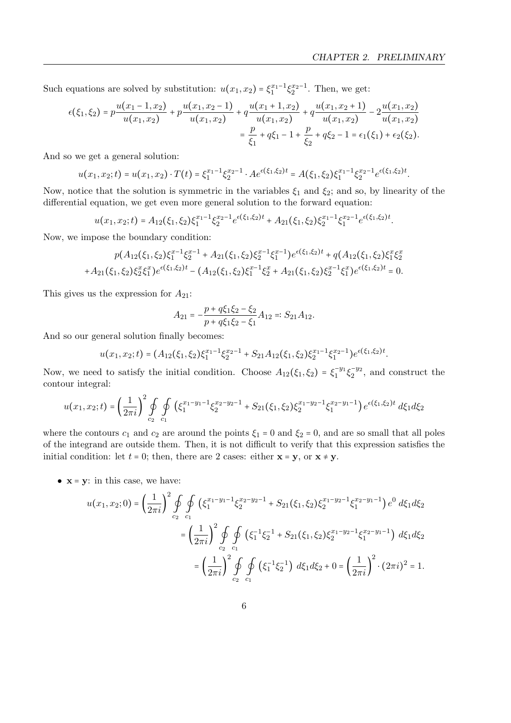Such equations are solved by substitution:  $u(x_1, x_2) = \xi_1^{x_1-1} \xi_2^{x_2-1}$ . Then, we get:

$$
\epsilon(\xi_1, \xi_2) = p \frac{u(x_1 - 1, x_2)}{u(x_1, x_2)} + p \frac{u(x_1, x_2 - 1)}{u(x_1, x_2)} + q \frac{u(x_1 + 1, x_2)}{u(x_1, x_2)} + q \frac{u(x_1, x_2 + 1)}{u(x_1, x_2)} - 2 \frac{u(x_1, x_2)}{u(x_1, x_2)} \\
= \frac{p}{\xi_1} + q \xi_1 - 1 + \frac{p}{\xi_2} + q \xi_2 - 1 = \epsilon_1(\xi_1) + \epsilon_2(\xi_2).
$$

And so we get a general solution:

$$
u(x_1,x_2;t) = u(x_1,x_2) \cdot T(t) = \xi_1^{x_1-1} \xi_2^{x_2-1} \cdot A e^{\epsilon(\xi_1,\xi_2)t} = A(\xi_1,\xi_2) \xi_1^{x_1-1} \xi_2^{x_2-1} e^{\epsilon(\xi_1,\xi_2)t}.
$$

Now, notice that the solution is symmetric in the variables  $\xi_1$  and  $\xi_2$ ; and so, by linearity of the differential equation, we get even more general solution to the forward equation:

$$
u(x_1, x_2; t) = A_{12}(\xi_1, \xi_2) \xi_1^{x_1 - 1} \xi_2^{x_2 - 1} e^{\epsilon(\xi_1, \xi_2)t} + A_{21}(\xi_1, \xi_2) \xi_2^{x_1 - 1} \xi_1^{x_2 - 1} e^{\epsilon(\xi_1, \xi_2)t}.
$$

Now, we impose the boundary condition:

$$
p(A_{12}(\xi_1,\xi_2)\xi_1^{x-1}\xi_2^{x-1} + A_{21}(\xi_1,\xi_2)\xi_2^{x-1}\xi_1^{x-1})e^{\epsilon(\xi_1,\xi_2)t} + q(A_{12}(\xi_1,\xi_2)\xi_1^{x}\xi_2^{x} + A_{21}(\xi_1,\xi_2)\xi_2^{x}\xi_1^{x})e^{\epsilon(\xi_1,\xi_2)t} - (A_{12}(\xi_1,\xi_2)\xi_1^{x-1}\xi_2^{x} + A_{21}(\xi_1,\xi_2)\xi_2^{x-1}\xi_1^{x})e^{\epsilon(\xi_1,\xi_2)t} = 0.
$$

This gives us the expression for  $A_{21}$ :

$$
A_{21} = -\frac{p + q\xi_1\xi_2 - \xi_2}{p + q\xi_1\xi_2 - \xi_1}A_{12} =: S_{21}A_{12}.
$$

And so our general solution finally becomes:

$$
u(x_1, x_2; t) = (A_{12}(\xi_1, \xi_2)\xi_1^{x_1-1}\xi_2^{x_2-1} + S_{21}A_{12}(\xi_1, \xi_2)\xi_2^{x_1-1}\xi_1^{x_2-1})e^{\epsilon(\xi_1, \xi_2)t}.
$$

Now, we need to satisfy the initial condition. Choose  $A_{12}(\xi_1,\xi_2) = \xi_1^{-y_1} \xi_2^{-y_2}$ , and construct the contour integral:

$$
u(x_1, x_2; t) = \left(\frac{1}{2\pi i}\right)^2 \oint_{c_2} \oint_{c_1} \left(\xi_1^{x_1 - y_1 - 1} \xi_2^{x_2 - y_2 - 1} + S_{21}(\xi_1, \xi_2) \xi_2^{x_1 - y_2 - 1} \xi_1^{x_2 - y_1 - 1}\right) e^{\epsilon(\xi_1, \xi_2)t} d\xi_1 d\xi_2
$$

where the contours  $c_1$  and  $c_2$  are around the points  $\xi_1 = 0$  and  $\xi_2 = 0$ , and are so small that all poles of the integrand are outside them. Then, it is not difficult to verify that this expression satisfies the initial condition: let  $t = 0$ ; then, there are 2 cases: either  $\mathbf{x} = \mathbf{y}$ , or  $\mathbf{x} \neq \mathbf{y}$ .

•  $x = y$ : in this case, we have:

$$
u(x_1, x_2; 0) = \left(\frac{1}{2\pi i}\right)^2 \oint_{c_2} \oint_{c_1} \left(\xi_1^{x_1-y_1-1} \xi_2^{x_2-y_2-1} + S_{21}(\xi_1, \xi_2) \xi_2^{x_1-y_2-1} \xi_1^{x_2-y_1-1}\right) e^0 d\xi_1 d\xi_2
$$
  

$$
= \left(\frac{1}{2\pi i}\right)^2 \oint_{c_2} \oint_{c_1} \left(\xi_1^{-1} \xi_2^{-1} + S_{21}(\xi_1, \xi_2) \xi_2^{x_1-y_2-1} \xi_1^{x_2-y_1-1}\right) d\xi_1 d\xi_2
$$
  

$$
= \left(\frac{1}{2\pi i}\right)^2 \oint_{c_2} \oint_{c_1} \left(\xi_1^{-1} \xi_2^{-1}\right) d\xi_1 d\xi_2 + 0 = \left(\frac{1}{2\pi i}\right)^2 \cdot (2\pi i)^2 = 1.
$$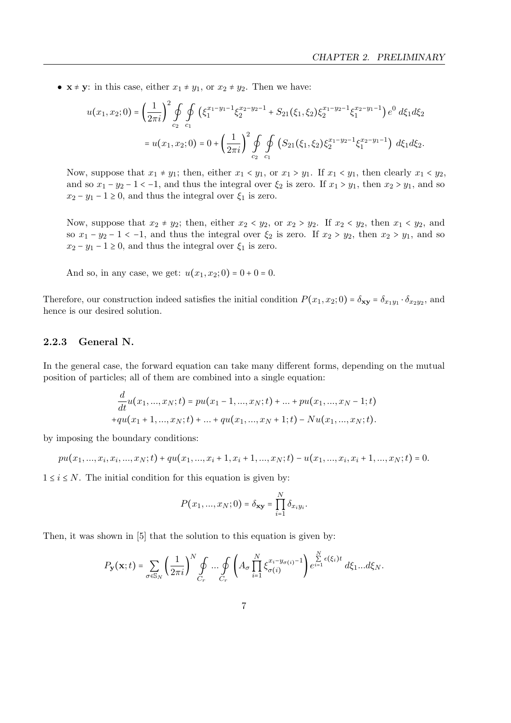•  $\mathbf{x} \neq \mathbf{y}$ : in this case, either  $x_1 \neq y_1$ , or  $x_2 \neq y_2$ . Then we have:

$$
u(x_1, x_2; 0) = \left(\frac{1}{2\pi i}\right)^2 \oint_{c_2} \oint_{c_1} \left(\xi_1^{x_1 - y_1 - 1} \xi_2^{x_2 - y_2 - 1} + S_{21}(\xi_1, \xi_2) \xi_2^{x_1 - y_2 - 1} \xi_1^{x_2 - y_1 - 1}\right) e^0 d\xi_1 d\xi_2
$$
  
=  $u(x_1, x_2; 0) = 0 + \left(\frac{1}{2\pi i}\right)^2 \oint_{c_2} \oint_{c_1} \left(S_{21}(\xi_1, \xi_2) \xi_2^{x_1 - y_2 - 1} \xi_1^{x_2 - y_1 - 1}\right) d\xi_1 d\xi_2.$ 

Now, suppose that  $x_1 \neq y_1$ ; then, either  $x_1 \lt y_1$ , or  $x_1 > y_1$ . If  $x_1 \lt y_1$ , then clearly  $x_1 \lt y_2$ , and so  $x_1 - y_2 - 1 < -1$ , and thus the integral over  $\xi_2$  is zero. If  $x_1 > y_1$ , then  $x_2 > y_1$ , and so  $x_2 - y_1 - 1 \ge 0$ , and thus the integral over  $\xi_1$  is zero.

Now, suppose that  $x_2 \neq y_2$ ; then, either  $x_2 < y_2$ , or  $x_2 > y_2$ . If  $x_2 < y_2$ , then  $x_1 < y_2$ , and so  $x_1 - y_2 - 1 < -1$ , and thus the integral over  $\xi_2$  is zero. If  $x_2 > y_2$ , then  $x_2 > y_1$ , and so  $x_2 - y_1 - 1 \ge 0$ , and thus the integral over  $\xi_1$  is zero.

And so, in any case, we get:  $u(x_1, x_2; 0) = 0 + 0 = 0$ .

Therefore, our construction indeed satisfies the initial condition  $P(x_1, x_2; 0) = \delta_{xy} = \delta_{x_1y_1} \cdot \delta_{x_2y_2}$ , and hence is our desired solution.

### <span id="page-10-0"></span>2.2.3 General N.

In the general case, the forward equation can take many different forms, depending on the mutual position of particles; all of them are combined into a single equation:

$$
\frac{d}{dt}u(x_1,...,x_N;t) = pu(x_1-1,...,x_N;t) + ... + pu(x_1,...,x_N-1;t)
$$

$$
+qu(x_1+1,...,x_N;t) + ... + qu(x_1,...,x_N+1;t) - Nu(x_1,...,x_N;t).
$$

by imposing the boundary conditions:

$$
pu(x_1,...,x_i,x_i,...,x_N;t) + qu(x_1,...,x_i+1,x_i+1,...,x_N;t) - u(x_1,...,x_i,x_i+1,...,x_N;t) = 0.
$$

 $1 \leq i \leq N$ . The initial condition for this equation is given by:

$$
P(x_1, ..., x_N; 0) = \delta_{\mathbf{xy}} = \prod_{i=1}^N \delta_{x_i y_i}.
$$

Then, it was shown in [\[5\]](#page-53-2) that the solution to this equation is given by:

$$
P_{\mathbf{y}}(\mathbf{x};t) = \sum_{\sigma \in \mathbb{S}_N} \left(\frac{1}{2\pi i}\right)^N \oint\limits_{C_r} \ldots \oint\limits_{C_r} \left(A_\sigma \prod\limits_{i=1}^N \xi_{\sigma(i)}^{x_i-y_{\sigma(i)}-1}\right) e^{\sum\limits_{i=1}^N \epsilon(\xi_i)t}\; d\xi_1...d\xi_N.
$$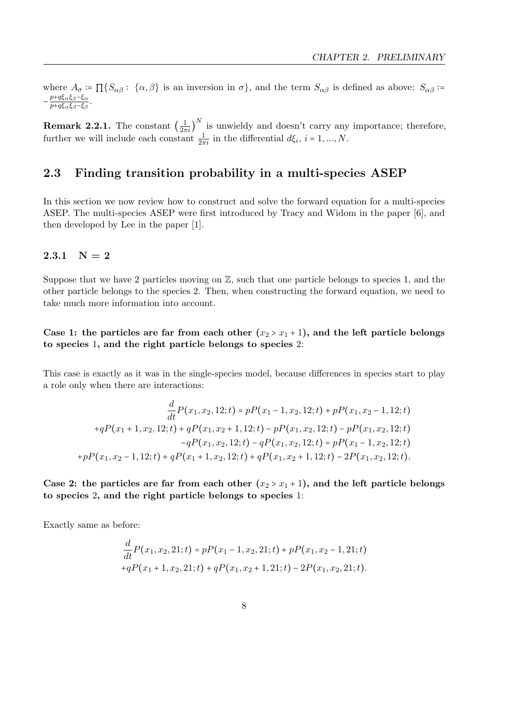where  $A_{\sigma} \coloneqq \prod \{ S_{\alpha\beta} : \{\alpha, \beta\}$  is an inversion in  $\sigma \}$ , and the term  $S_{\alpha\beta}$  is defined as above:  $S_{\alpha\beta}$ :  $-\frac{p+q\xi_{\alpha}\xi_{\beta}-\xi_{\alpha}}{p+a\xi_{\alpha}\xi_{\beta}-\xi_{\alpha}-\xi_{\alpha}}$  $\frac{p+q\varsigma_{\alpha}\varsigma_{\beta}-\varsigma_{\alpha}}{p+q\xi_{\alpha}\xi_{\beta}-\xi_{\beta}}.$ 

**Remark 2.2.1.** The constant  $\left(\frac{1}{2\pi i}\right)^N$  is unwieldy and doesn't carry any importance; therefore, further we will include each constant  $\frac{1}{2\pi i}$  in the differential  $d\xi_i$ ,  $i = 1, ..., N$ .

### <span id="page-11-0"></span>2.3 Finding transition probability in a multi-species ASEP

In this section we now review how to construct and solve the forward equation for a multi-species ASEP. The multi-species ASEP were first introduced by Tracy and Widom in the paper [\[6\]](#page-53-3), and then developed by Lee in the paper [\[1\]](#page-53-4).

### <span id="page-11-1"></span>2.3.1  $N = 2$

Suppose that we have 2 particles moving on Z, such that one particle belongs to species 1, and the other particle belongs to the species 2. Then, when constructing the forward equation, we need to take much more information into account.

Case 1: the particles are far from each other  $(x_2 > x_1 + 1)$ , and the left particle belongs to species 1, and the right particle belongs to species 2:

This case is exactly as it was in the single-species model, because differences in species start to play a role only when there are interactions:

$$
\frac{d}{dt}P(x_1, x_2, 12; t) = pP(x_1 - 1, x_2, 12; t) + pP(x_1, x_2 - 1, 12; t)
$$
\n
$$
+ qP(x_1 + 1, x_2, 12; t) + qP(x_1, x_2 + 1, 12; t) - pP(x_1, x_2, 12; t) - pP(x_1, x_2, 12; t)
$$
\n
$$
- qP(x_1, x_2, 12; t) - qP(x_1, x_2, 12; t) = pP(x_1 - 1, x_2, 12; t)
$$
\n
$$
+ pP(x_1, x_2 - 1, 12; t) + qP(x_1 + 1, x_2, 12; t) + qP(x_1, x_2 + 1, 12; t) - 2P(x_1, x_2, 12; t).
$$

Case 2: the particles are far from each other  $(x_2 > x_1 + 1)$ , and the left particle belongs to species 2, and the right particle belongs to species 1:

Exactly same as before:

$$
\frac{d}{dt}P(x_1, x_2, 21; t) = pP(x_1 - 1, x_2, 21; t) + pP(x_1, x_2 - 1, 21; t) + qP(x_1 + 1, x_2, 21; t) + qP(x_1, x_2 + 1, 21; t) - 2P(x_1, x_2, 21; t).
$$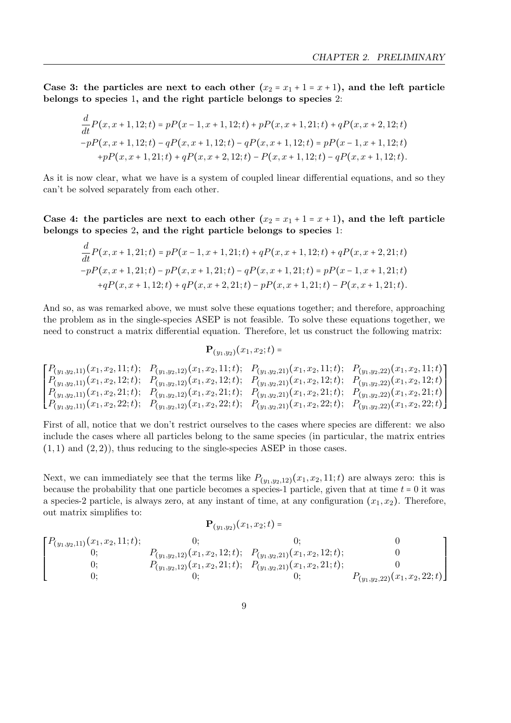Case 3: the particles are next to each other  $(x_2 = x_1 + 1 = x + 1)$ , and the left particle belongs to species 1, and the right particle belongs to species 2:

$$
\frac{d}{dt}P(x, x+1, 12; t) = pP(x-1, x+1, 12; t) + pP(x, x+1, 21; t) + qP(x, x+2, 12; t) -pP(x, x+1, 12; t) - qP(x, x+1, 12; t) - qP(x, x+1, 12; t) = pP(x-1, x+1, 12; t) +pP(x, x+1, 21; t) + qP(x, x+2, 12; t) - P(x, x+1, 12; t) - qP(x, x+1, 12; t).
$$

As it is now clear, what we have is a system of coupled linear differential equations, and so they can't be solved separately from each other.

Case 4: the particles are next to each other  $(x_2 = x_1 + 1 = x + 1)$ , and the left particle belongs to species 2, and the right particle belongs to species 1:

d

$$
\frac{d}{dt}P(x, x+1, 21; t) = pP(x-1, x+1, 21; t) + qP(x, x+1, 12; t) + qP(x, x+2, 21; t) -pP(x, x+1, 21; t) - pP(x, x+1, 21; t) - qP(x, x+1, 21; t) = pP(x-1, x+1, 21; t) +qP(x, x+1, 12; t) + qP(x, x+2, 21; t) - pP(x, x+1, 21; t) - P(x, x+1, 21; t).
$$

And so, as was remarked above, we must solve these equations together; and therefore, approaching the problem as in the single-species ASEP is not feasible. To solve these equations together, we need to construct a matrix differential equation. Therefore, let us construct the following matrix:

$$
\mathbf{P}_{(y_1,y_2)}(x_1,x_2;t)=
$$

$$
\begin{bmatrix}\nP_{(y_1,y_2,11)}(x_1,x_2,11;t); & P_{(y_1,y_2,12)}(x_1,x_2,11;t); & P_{(y_1,y_2,21)}(x_1,x_2,11;t); & P_{(y_1,y_2,22)}(x_1,x_2,11;t) \\
P_{(y_1,y_2,11)}(x_1,x_2,12;t); & P_{(y_1,y_2,12)}(x_1,x_2,12;t); & P_{(y_1,y_2,21)}(x_1,x_2,12;t); & P_{(y_1,y_2,22)}(x_1,x_2,12;t) \\
P_{(y_1,y_2,11)}(x_1,x_2,21;t); & P_{(y_1,y_2,12)}(x_1,x_2,21;t); & P_{(y_1,y_2,21)}(x_1,x_2,21;t); & P_{(y_1,y_2,22)}(x_1,x_2,21;t) \\
P_{(y_1,y_2,11)}(x_1,x_2,22;t); & P_{(y_1,y_2,12)}(x_1,x_2,22;t); & P_{(y_1,y_2,21)}(x_1,x_2,22;t); & P_{(y_1,y_2,22)}(x_1,x_2,22;t)\n\end{bmatrix}
$$

First of all, notice that we don't restrict ourselves to the cases where species are different: we also include the cases where all particles belong to the same species (in particular, the matrix entries  $(1, 1)$  and  $(2, 2)$ , thus reducing to the single-species ASEP in those cases.

Next, we can immediately see that the terms like  $P_{(y_1,y_2,12)}(x_1,x_2,11;t)$  are always zero: this is because the probability that one particle becomes a species-1 particle, given that at time  $t = 0$  it was a species-2 particle, is always zero, at any instant of time, at any configuration  $(x_1, x_2)$ . Therefore, out matrix simplifies to:

$$
\mathbf{P}_{(y_1,y_2)}(x_1,x_2;t)=
$$

$$
\begin{bmatrix} P_{(y_1,y_2,11)}(x_1,x_2,11;t); & 0; & 0; & 0\\ 0; & P_{(y_1,y_2,12)}(x_1,x_2,12;t); & P_{(y_1,y_2,21)}(x_1,x_2,12;t); & 0\\ 0; & P_{(y_1,y_2,12)}(x_1,x_2,21;t); & P_{(y_1,y_2,21)}(x_1,x_2,21;t); & 0\\ 0; & 0; & P_{(y_1,y_2,22)}(x_1,x_2,22;t) \end{bmatrix}
$$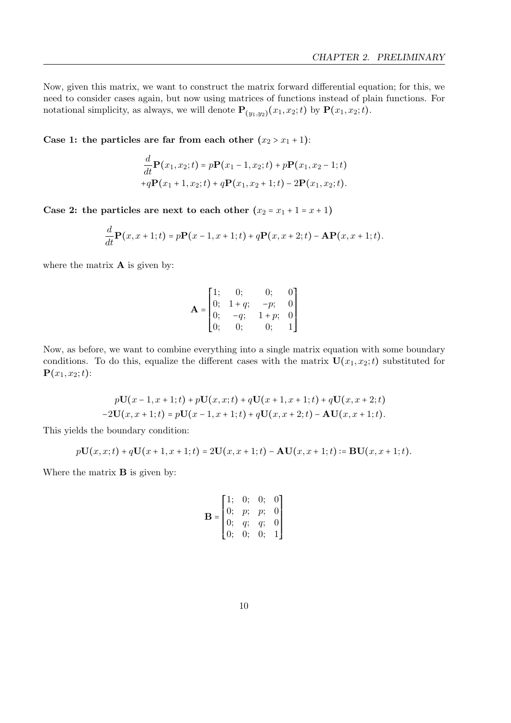Now, given this matrix, we want to construct the matrix forward differential equation; for this, we need to consider cases again, but now using matrices of functions instead of plain functions. For notational simplicity, as always, we will denote  $\mathbf{P}_{(y_1,y_2)}(x_1,x_2;t)$  by  $\mathbf{P}(x_1,x_2;t)$ .

Case 1: the particles are far from each other  $(x_2 > x_1 + 1)$ :

d

$$
\frac{d}{dt}\mathbf{P}(x_1, x_2; t) = p\mathbf{P}(x_1 - 1, x_2; t) + p\mathbf{P}(x_1, x_2 - 1; t) \n+q\mathbf{P}(x_1 + 1, x_2; t) + q\mathbf{P}(x_1, x_2 + 1; t) - 2\mathbf{P}(x_1, x_2; t).
$$

Case 2: the particles are next to each other  $(x_2 = x_1 + 1 = x + 1)$ 

$$
\frac{d}{dt}\mathbf{P}(x,x+1;t)=p\mathbf{P}(x-1,x+1;t)+q\mathbf{P}(x,x+2;t)-\mathbf{A}\mathbf{P}(x,x+1;t).
$$

where the matrix  $A$  is given by:

$$
\mathbf{A} = \begin{bmatrix} 1; & 0; & 0; & 0 \\ 0; & 1+q; & -p; & 0 \\ 0; & -q; & 1+p; & 0 \\ 0; & 0; & 0; & 1 \end{bmatrix}
$$

Now, as before, we want to combine everything into a single matrix equation with some boundary conditions. To do this, equalize the different cases with the matrix  $U(x_1, x_2; t)$  substituted for  ${\bf P}(x_1, x_2; t)$ :

$$
p\mathbf{U}(x-1,x+1;t) + p\mathbf{U}(x,x;t) + q\mathbf{U}(x+1,x+1;t) + q\mathbf{U}(x,x+2;t)
$$
  
-2 $\mathbf{U}(x,x+1;t) = p\mathbf{U}(x-1,x+1;t) + q\mathbf{U}(x,x+2;t) - \mathbf{A}\mathbf{U}(x,x+1;t).$ 

This yields the boundary condition:

$$
p\mathbf{U}(x,x;t) + q\mathbf{U}(x+1,x+1;t) = 2\mathbf{U}(x,x+1;t) - \mathbf{A}\mathbf{U}(x,x+1;t) \coloneqq \mathbf{B}\mathbf{U}(x,x+1;t).
$$

Where the matrix **B** is given by:

$$
\mathbf{B} = \begin{bmatrix} 1; & 0; & 0; & 0 \\ 0; & p; & p; & 0 \\ 0; & q; & q; & 0 \\ 0; & 0; & 0; & 1 \end{bmatrix}
$$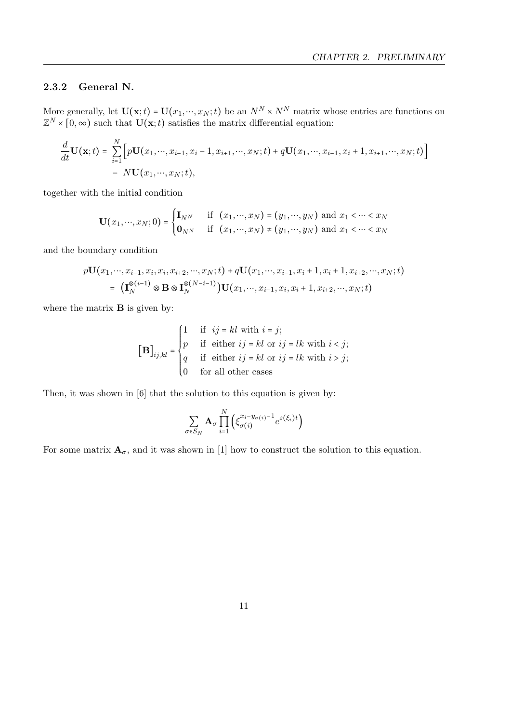### <span id="page-14-0"></span>2.3.2 General N.

More generally, let  $U(\mathbf{x};t) = U(x_1,...,x_N;t)$  be an  $N^N \times N^N$  matrix whose entries are functions on  $\mathbb{Z}^N \times [0, \infty)$  such that  $\mathbf{U}(\mathbf{x}; t)$  satisfies the matrix differential equation:

$$
\frac{d}{dt}\mathbf{U}(\mathbf{x};t) = \sum_{i=1}^{N} \Big[ p\mathbf{U}(x_1,...,x_{i-1},x_i-1,x_{i+1},...,x_N;t) + q\mathbf{U}(x_1,...,x_{i-1},x_i+1,x_{i+1},...,x_N;t) \Big] - N\mathbf{U}(x_1,...,x_N;t),
$$

together with the initial condition

$$
\mathbf{U}(x_1,\cdots,x_N;0) = \begin{cases} \mathbf{I}_{N^N} & \text{if } (x_1,\cdots,x_N) = (y_1,\cdots,y_N) \text{ and } x_1 < \cdots < x_N \\ \mathbf{0}_{N^N} & \text{if } (x_1,\cdots,x_N) \neq (y_1,\cdots,y_N) \text{ and } x_1 < \cdots < x_N \end{cases}
$$

and the boundary condition

$$
p\mathbf{U}(x_1, \cdots, x_{i-1}, x_i, x_i, x_{i+2}, \cdots, x_N; t) + q\mathbf{U}(x_1, \cdots, x_{i-1}, x_i + 1, x_i + 1, x_{i+2}, \cdots, x_N; t)
$$
  
=  $(\mathbf{I}_N^{\otimes (i-1)} \otimes \mathbf{B} \otimes \mathbf{I}_N^{\otimes (N-i-1)}) \mathbf{U}(x_1, \cdots, x_{i-1}, x_i, x_i + 1, x_{i+2}, \cdots, x_N; t)$ 

where the matrix  $\bf{B}$  is given by:

$$
\begin{bmatrix} \mathbf{B} \end{bmatrix}_{ij,kl} = \begin{cases} 1 & \text{if } ij = kl \text{ with } i = j; \\ p & \text{if either } ij = kl \text{ or } ij = lk \text{ with } i < j; \\ q & \text{if either } ij = kl \text{ or } ij = lk \text{ with } i > j; \\ 0 & \text{for all other cases} \end{cases}
$$

Then, it was shown in [\[6\]](#page-53-3) that the solution to this equation is given by:

$$
\sum_{\sigma \in S_N} \mathbf{A}_{\sigma} \prod_{i=1}^N \left( \xi_{\sigma(i)}^{x_i - y_{\sigma(i)} - 1} e^{\varepsilon(\xi_i)t} \right)
$$

For some matrix  $\mathbf{A}_{\sigma}$ , and it was shown in [\[1\]](#page-53-4) how to construct the solution to this equation.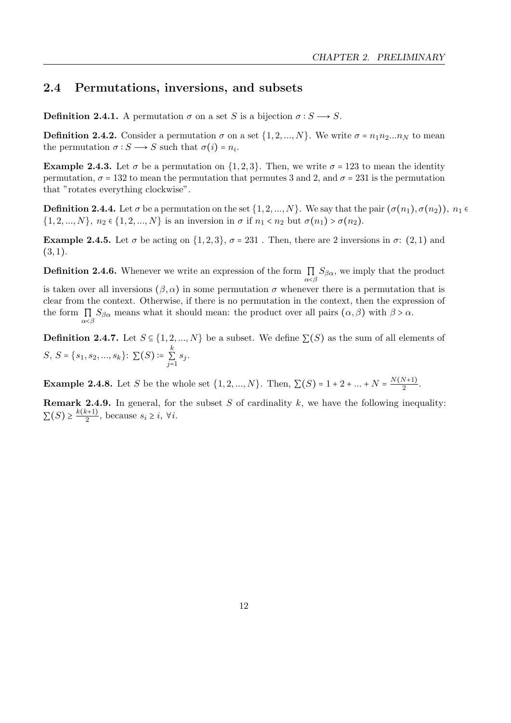### <span id="page-15-0"></span>2.4 Permutations, inversions, and subsets

**Definition 2.4.1.** A permutation  $\sigma$  on a set S is a bijection  $\sigma : S \longrightarrow S$ .

**Definition 2.4.2.** Consider a permutation  $\sigma$  on a set  $\{1, 2, ..., N\}$ . We write  $\sigma = n_1 n_2 ... n_N$  to mean the permutation  $\sigma : S \longrightarrow S$  such that  $\sigma(i) = n_i$ .

Example 2.4.3. Let  $\sigma$  be a permutation on  $\{1, 2, 3\}$ . Then, we write  $\sigma = 123$  to mean the identity permutation,  $\sigma = 132$  to mean the permutation that permutes 3 and 2, and  $\sigma = 231$  is the permutation that "rotates everything clockwise".

**Definition 2.4.4.** Let  $\sigma$  be a permutation on the set  $\{1, 2, ..., N\}$ . We say that the pair  $(\sigma(n_1), \sigma(n_2))$ ,  $n_1 \in$  $\{1, 2, ..., N\}, n_2 \in \{1, 2, ..., N\}$  is an inversion in  $\sigma$  if  $n_1 < n_2$  but  $\sigma(n_1) > \sigma(n_2)$ .

Example 2.4.5. Let  $\sigma$  be acting on  $\{1, 2, 3\}$ ,  $\sigma = 231$ . Then, there are 2 inversions in  $\sigma$ : (2, 1) and  $(3, 1).$ 

**Definition 2.4.6.** Whenever we write an expression of the form  $\prod_{\alpha<\beta} S_{\beta\alpha}$ , we imply that the product is taken over all inversions  $(\beta, \alpha)$  in some permutation  $\sigma$  whenever there is a permutation that is clear from the context. Otherwise, if there is no permutation in the context, then the expression of the form  $\prod S_{\beta\alpha}$  means what it should mean: the product over all pairs  $(\alpha, \beta)$  with  $\beta > \alpha$ .  $_{\alpha<\beta}$ 

**Definition 2.4.7.** Let  $S \subseteq \{1, 2, ..., N\}$  be a subset. We define  $\Sigma(S)$  as the sum of all elements of  $S,\,S$  =  $\{s_1,s_2,...,s_k\}$ :  $\sum(S)\coloneqq\sum\limits_{k=1}^{k}S_{k}$  $\sum_{j=1}$   $s_j$ .

**Example 2.4.8.** Let S be the whole set  $\{1, 2, ..., N\}$ . Then,  $\sum(S) = 1 + 2 + ... + N = \frac{N(N+1)}{2}$  $\frac{\frac{N+1}{2}}{2}$ .

**Remark 2.4.9.** In general, for the subset S of cardinality k, we have the following inequality:  $\sum(S) \geq \frac{k(k+1)}{2}$  $\frac{i+1}{2}$ , because  $s_i \geq i$ ,  $\forall i$ .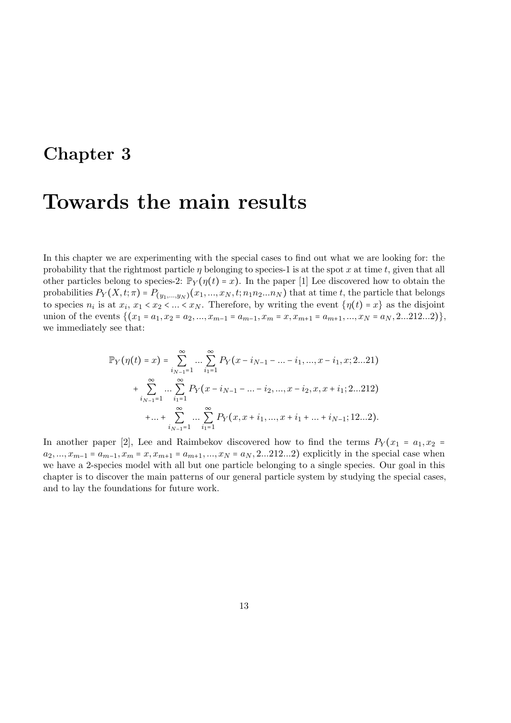## <span id="page-16-0"></span>Chapter 3

## Towards the main results

In this chapter we are experimenting with the special cases to find out what we are looking for: the probability that the rightmost particle  $\eta$  belonging to species-1 is at the spot x at time t, given that all other particles belong to species-2:  $\mathbb{P}_Y(\eta(t) = x)$ . In the paper [\[1\]](#page-53-4) Lee discovered how to obtain the probabilities  $P_Y(X, t; \pi) = P_{(y_1,...,y_N)}(x_1,...,x_N, t; n_1 n_2...n_N)$  that at time t, the particle that belongs to species  $n_i$  is at  $x_i, x_1 < x_2 < ... < x_N$ . Therefore, by writing the event  $\{\eta(t) = x\}$  as the disjoint union of the events  $\{(x_1 = a_1, x_2 = a_2, ..., x_{m-1} = a_{m-1}, x_m = x, x_{m+1} = a_{m+1}, ..., x_N = a_N, 2...212...2)\},\$ we immediately see that:

$$
\mathbb{P}_{Y}(\eta(t) = x) = \sum_{i_{N-1}=1}^{\infty} \dots \sum_{i_{1}=1}^{\infty} P_{Y}(x - i_{N-1} - \dots - i_{1}, ..., x - i_{1}, x; 2...21)
$$
  
+ 
$$
\sum_{i_{N-1}=1}^{\infty} \dots \sum_{i_{1}=1}^{\infty} P_{Y}(x - i_{N-1} - \dots - i_{2}, ..., x - i_{2}, x, x + i_{1}; 2...212)
$$
  
+ 
$$
\dots + \sum_{i_{N-1}=1}^{\infty} \dots \sum_{i_{1}=1}^{\infty} P_{Y}(x, x + i_{1}, ..., x + i_{1} + \dots + i_{N-1}; 12...2).
$$

In another paper [\[2\]](#page-53-5), Lee and Raimbekov discovered how to find the terms  $P_Y(x_1 = a_1, x_2 = a_1, x_3 = a_2$  $a_2, ..., x_{m-1} = a_{m-1}, x_m = x, x_{m+1} = a_{m+1}, ..., x_N = a_N, 2...212...2$  explicitly in the special case when we have a 2-species model with all but one particle belonging to a single species. Our goal in this chapter is to discover the main patterns of our general particle system by studying the special cases, and to lay the foundations for future work.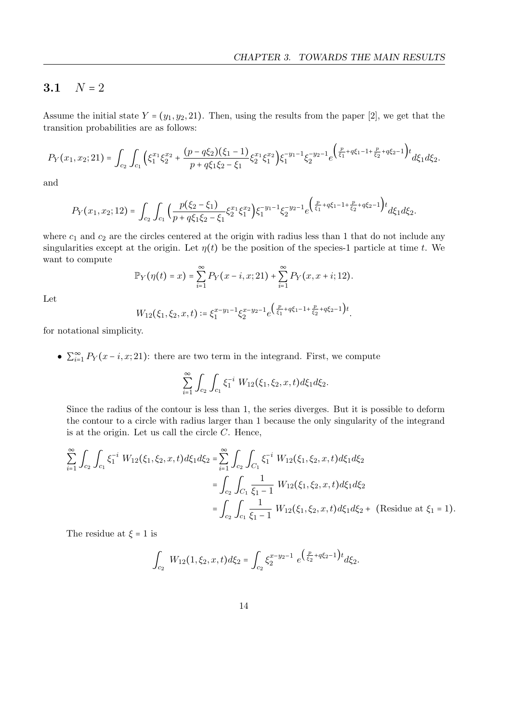### <span id="page-17-0"></span>3.1  $N = 2$

Assume the initial state  $Y = (y_1, y_2, 21)$ . Then, using the results from the paper [\[2\]](#page-53-5), we get that the transition probabilities are as follows:

$$
P_Y(x_1, x_2; 21) = \int_{c_2} \int_{c_1} \left( \xi_1^{x_1} \xi_2^{x_2} + \frac{(p - q \xi_2)(\xi_1 - 1)}{p + q \xi_1 \xi_2 - \xi_1} \xi_2^{x_1} \xi_1^{x_2} \right) \xi_1^{-y_1 - 1} \xi_2^{-y_2 - 1} e^{\left( \frac{p}{\xi_1} + q \xi_1 - 1 + \frac{p}{\xi_2} + q \xi_2 - 1 \right) t} d\xi_1 d\xi_2.
$$

and

$$
P_Y(x_1, x_2; 12) = \int_{c_2} \int_{c_1} \Big( \frac{p(\xi_2 - \xi_1)}{p + q\xi_1\xi_2 - \xi_1} \xi_2^{x_1} \xi_1^{x_2} \Big) \xi_1^{-y_1 - 1} \xi_2^{-y_2 - 1} e^{\left(\frac{p}{\xi_1} + q\xi_1 - 1 + \frac{p}{\xi_2} + q\xi_2 - 1\right)t} d\xi_1 d\xi_2.
$$

where  $c_1$  and  $c_2$  are the circles centered at the origin with radius less than 1 that do not include any singularities except at the origin. Let  $\eta(t)$  be the position of the species-1 particle at time t. We want to compute

$$
\mathbb{P}_Y(\eta(t) = x) = \sum_{i=1}^{\infty} P_Y(x - i, x; 21) + \sum_{i=1}^{\infty} P_Y(x, x + i; 12).
$$

Let

$$
W_{12}(\xi_1,\xi_2,x,t) \coloneqq \xi_1^{x-y_1-1} \xi_2^{x-y_2-1} e^{\left(\frac{p}{\xi_1} + q\xi_1 - 1 + \frac{p}{\xi_2} + q\xi_2 - 1\right)t}.
$$

for notational simplicity.

•  $\sum_{i=1}^{\infty} P_Y(x-i, x; 21)$ : there are two term in the integrand. First, we compute

$$
\sum_{i=1}^{\infty} \int_{c_2} \int_{c_1} \xi_1^{-i} W_{12}(\xi_1, \xi_2, x, t) d\xi_1 d\xi_2.
$$

Since the radius of the contour is less than 1, the series diverges. But it is possible to deform the contour to a circle with radius larger than 1 because the only singularity of the integrand is at the origin. Let us call the circle  $C$ . Hence,

$$
\sum_{i=1}^{\infty} \int_{c_2} \int_{c_1} \xi_1^{-i} W_{12}(\xi_1, \xi_2, x, t) d\xi_1 d\xi_2 = \sum_{i=1}^{\infty} \int_{c_2} \int_{C_1} \xi_1^{-i} W_{12}(\xi_1, \xi_2, x, t) d\xi_1 d\xi_2
$$
  
\n
$$
= \int_{c_2} \int_{C_1} \frac{1}{\xi_1 - 1} W_{12}(\xi_1, \xi_2, x, t) d\xi_1 d\xi_2
$$
  
\n
$$
= \int_{c_2} \int_{c_1} \frac{1}{\xi_1 - 1} W_{12}(\xi_1, \xi_2, x, t) d\xi_1 d\xi_2 + \text{(Residue at } \xi_1 = 1).
$$

The residue at  $\xi = 1$  is

$$
\int_{c_2} W_{12}(1,\xi_2,x,t)d\xi_2 = \int_{c_2} \xi_2^{x-y_2-1} e^{\left(\frac{p}{\xi_2} + q\xi_2 - 1\right)t} d\xi_2.
$$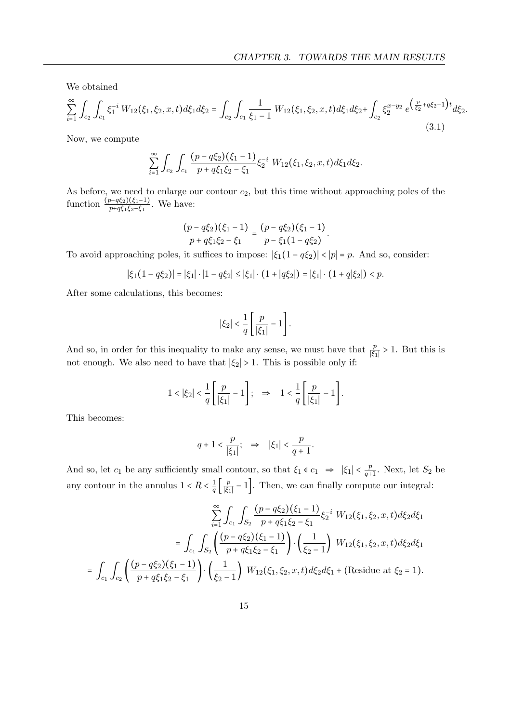We obtained

$$
\sum_{i=1}^{\infty} \int_{c_2} \int_{c_1} \xi_1^{-i} W_{12}(\xi_1, \xi_2, x, t) d\xi_1 d\xi_2 = \int_{c_2} \int_{c_1} \frac{1}{\xi_1 - 1} W_{12}(\xi_1, \xi_2, x, t) d\xi_1 d\xi_2 + \int_{c_2} \xi_2^{x - y_2} e^{\left(\frac{p}{\xi_2} + q\xi_2 - 1\right)t} d\xi_2.
$$
\n(3.1)

Now, we compute

$$
\sum_{i=1}^{\infty} \int_{c_2} \int_{c_1} \frac{(p - q\xi_2)(\xi_1 - 1)}{p + q\xi_1\xi_2 - \xi_1} \xi_2^{-i} W_{12}(\xi_1, \xi_2, x, t) d\xi_1 d\xi_2.
$$

As before, we need to enlarge our contour  $c_2$ , but this time without approaching poles of the function  $\frac{(p-q\xi_2)(\xi_1-1)}{p+q\xi_1\xi_2-\xi_1}$ . We have:

$$
\frac{(p-q\xi_2)(\xi_1-1)}{p+q\xi_1\xi_2-\xi_1}=\frac{(p-q\xi_2)(\xi_1-1)}{p-\xi_1(1-q\xi_2)}.
$$

To avoid approaching poles, it suffices to impose:  $|\xi_1(1-q\xi_2)| < |p| = p$ . And so, consider:

$$
|\xi_1(1-q\xi_2)| = |\xi_1| \cdot |1-q\xi_2| \le |\xi_1| \cdot (1+|q\xi_2|) = |\xi_1| \cdot (1+q|\xi_2|) < p.
$$

After some calculations, this becomes:

$$
|\xi_2| < \frac{1}{q} \left[ \frac{p}{|\xi_1|} - 1 \right].
$$

And so, in order for this inequality to make any sense, we must have that  $\frac{p}{|\xi_1|} > 1$ . But this is not enough. We also need to have that  $|\xi_2| > 1$ . This is possible only if:

$$
1 < |\xi_2| < \frac{1}{q} \left[ \frac{p}{|\xi_1|} - 1 \right]; \quad \Rightarrow \quad 1 < \frac{1}{q} \left[ \frac{p}{|\xi_1|} - 1 \right].
$$

This becomes:

$$
q + 1 < \frac{p}{|\xi_1|}; \Rightarrow |\xi_1| < \frac{p}{q+1}.
$$

And so, let  $c_1$  be any sufficiently small contour, so that  $\xi_1 \in c_1 \Rightarrow |\xi_1| < \frac{p}{a_1}$  $\frac{p}{q+1}$ . Next, let  $S_2$  be any contour in the annulus  $1 < R < \frac{1}{a}$  $rac{1}{q} \left[ \frac{p}{|\xi_1|} \right]$  $\frac{p}{|\xi_1|} - 1$ . Then, we can finally compute our integral:

$$
\sum_{i=1}^{\infty} \int_{c_1} \int_{S_2} \frac{(p - q\xi_2)(\xi_1 - 1)}{p + q\xi_1\xi_2 - \xi_1} \xi_2^{-i} W_{12}(\xi_1, \xi_2, x, t) d\xi_2 d\xi_1
$$

$$
= \int_{c_1} \int_{S_2} \left( \frac{(p - q\xi_2)(\xi_1 - 1)}{p + q\xi_1\xi_2 - \xi_1} \right) \cdot \left( \frac{1}{\xi_2 - 1} \right) W_{12}(\xi_1, \xi_2, x, t) d\xi_2 d\xi_1
$$

$$
= \int_{c_1} \int_{c_2} \left( \frac{(p - q\xi_2)(\xi_1 - 1)}{p + q\xi_1\xi_2 - \xi_1} \right) \cdot \left( \frac{1}{\xi_2 - 1} \right) W_{12}(\xi_1, \xi_2, x, t) d\xi_2 d\xi_1 + \text{(Residue at } \xi_2 = 1).
$$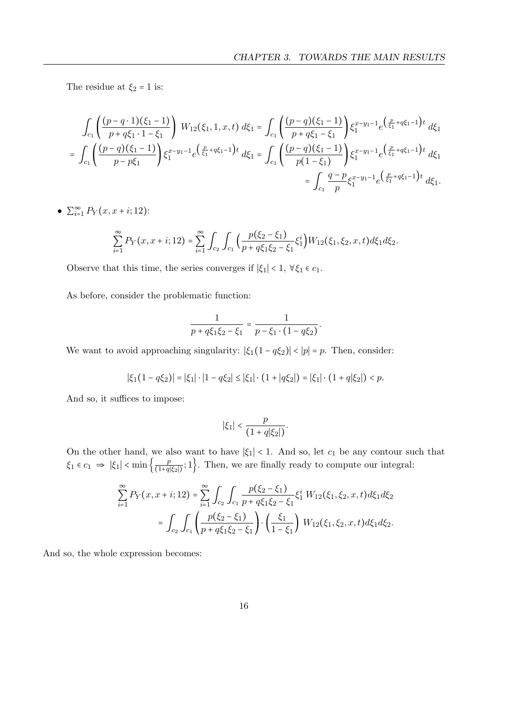The residue at  $\xi_2=1$  is:

$$
\int_{c_1} \left( \frac{(p-q\cdot 1)(\xi_1-1)}{p+q\xi_1\cdot 1-\xi_1} \right) W_{12}(\xi_1,1,x,t) d\xi_1 = \int_{c_1} \left( \frac{(p-q)(\xi_1-1)}{p+q\xi_1-\xi_1} \right) \xi_1^{x-y_1-1} e^{\left(\frac{p}{\xi_1}+q\xi_1-1\right)t} d\xi_1
$$
\n
$$
= \int_{c_1} \left( \frac{(p-q)(\xi_1-1)}{p-p\xi_1} \right) \xi_1^{x-y_1-1} e^{\left(\frac{p}{\xi_1}+q\xi_1-1\right)t} d\xi_1 = \int_{c_1} \left( \frac{(p-q)(\xi_1-1)}{p(1-\xi_1)} \right) \xi_1^{x-y_1-1} e^{\left(\frac{p}{\xi_1}+q\xi_1-1\right)t} d\xi_1
$$
\n
$$
= \int_{c_1} \frac{q-p}{p} \xi_1^{x-y_1-1} e^{\left(\frac{p}{\xi_1}+q\xi_1-1\right)t} d\xi_1.
$$

•  $\sum_{i=1}^{\infty} P_Y(x, x + i; 12)$ :

$$
\sum_{i=1}^{\infty} P_Y(x, x + i; 12) = \sum_{i=1}^{\infty} \int_{c_2} \int_{c_1} \Big( \frac{p(\xi_2 - \xi_1)}{p + q\xi_1\xi_2 - \xi_1} \xi_1^i \Big) W_{12}(\xi_1, \xi_2, x, t) d\xi_1 d\xi_2.
$$

Observe that this time, the series converges if  $|\xi_1|<1, \; \forall \xi_1 \in c_1.$ 

As before, consider the problematic function:

$$
\frac{1}{p+q\xi_1\xi_2-\xi_1}=\frac{1}{p-\xi_1\cdot(1-q\xi_2)}.
$$

We want to avoid approaching singularity:  $|\xi_1(1-q\xi_2)| < |p| = p$ . Then, consider:

$$
|\xi_1(1-q\xi_2)|=|\xi_1|\cdot|1-q\xi_2|\leq|\xi_1|\cdot(1+|q\xi_2|)=|\xi_1|\cdot(1+q|\xi_2|)
$$

And so, it suffices to impose:

$$
|\xi_1| < \frac{p}{(1 + q|\xi_2|)}.
$$

On the other hand, we also want to have  $|\xi_1|$  < 1. And so, let  $c_1$  be any contour such that  $\xi_1 \in c_1 \implies |\xi_1| < \min\left\{\frac{p}{(1+q|\xi_2|)};1\right\}$ . Then, we are finally ready to compute our integral:

$$
\sum_{i=1}^{\infty} P_Y(x, x + i; 12) = \sum_{i=1}^{\infty} \int_{c_2} \int_{c_1} \frac{p(\xi_2 - \xi_1)}{p + q \xi_1 \xi_2 - \xi_1} \xi_1^i W_{12}(\xi_1, \xi_2, x, t) d\xi_1 d\xi_2
$$

$$
= \int_{c_2} \int_{c_1} \left( \frac{p(\xi_2 - \xi_1)}{p + q \xi_1 \xi_2 - \xi_1} \right) \cdot \left( \frac{\xi_1}{1 - \xi_1} \right) W_{12}(\xi_1, \xi_2, x, t) d\xi_1 d\xi_2.
$$

And so, the whole expression becomes: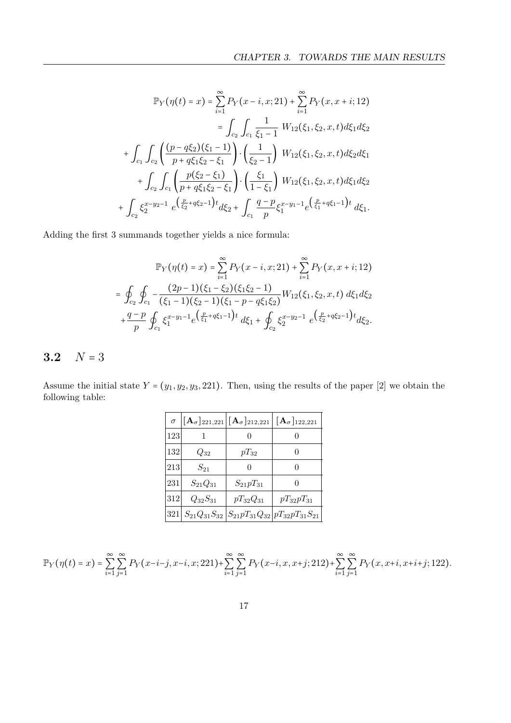$$
\mathbb{P}_{Y}(\eta(t) = x) = \sum_{i=1}^{\infty} P_{Y}(x - i, x; 21) + \sum_{i=1}^{\infty} P_{Y}(x, x + i; 12)
$$
  
\n
$$
= \int_{c_{2}} \int_{c_{1}} \frac{1}{\xi_{1} - 1} W_{12}(\xi_{1}, \xi_{2}, x, t) d\xi_{1} d\xi_{2}
$$
  
\n
$$
+ \int_{c_{1}} \int_{c_{2}} \left( \frac{(p - q\xi_{2})(\xi_{1} - 1)}{p + q\xi_{1}\xi_{2} - \xi_{1}} \right) \cdot \left( \frac{1}{\xi_{2} - 1} \right) W_{12}(\xi_{1}, \xi_{2}, x, t) d\xi_{2} d\xi_{1}
$$
  
\n
$$
+ \int_{c_{2}} \int_{c_{1}} \left( \frac{p(\xi_{2} - \xi_{1})}{p + q\xi_{1}\xi_{2} - \xi_{1}} \right) \cdot \left( \frac{\xi_{1}}{1 - \xi_{1}} \right) W_{12}(\xi_{1}, \xi_{2}, x, t) d\xi_{1} d\xi_{2}
$$
  
\n
$$
+ \int_{c_{2}} \xi_{2}^{x - y_{2} - 1} e^{\left( \frac{p}{\xi_{2}} + q\xi_{2} - 1 \right)t} d\xi_{2} + \int_{c_{1}} \frac{q - p}{p} \xi_{1}^{x - y_{1} - 1} e^{\left( \frac{p}{\xi_{1}} + q\xi_{1} - 1 \right)t} d\xi_{1}.
$$

Adding the first 3 summands together yields a nice formula:

$$
\mathbb{P}_{Y}(\eta(t) = x) = \sum_{i=1}^{\infty} P_{Y}(x - i, x; 21) + \sum_{i=1}^{\infty} P_{Y}(x, x + i; 12)
$$
  
= 
$$
\oint_{c_2} \oint_{c_1} - \frac{(2p - 1)(\xi_1 - \xi_2)(\xi_1 \xi_2 - 1)}{(\xi_1 - 1)(\xi_2 - 1)(\xi_1 - p - q \xi_1 \xi_2)} W_{12}(\xi_1, \xi_2, x, t) d\xi_1 d\xi_2
$$
  
+ 
$$
\frac{q - p}{p} \oint_{c_1} \xi_1^{x - y_1 - 1} e^{\left(\frac{p}{\xi_1} + q \xi_1 - 1\right)t} d\xi_1 + \oint_{c_2} \xi_2^{x - y_2 - 1} e^{\left(\frac{p}{\xi_2} + q \xi_2 - 1\right)t} d\xi_2.
$$

### <span id="page-20-0"></span>3.2  $N = 3$

Assume the initial state  $Y = (y_1, y_2, y_3, 221)$ . Then, using the results of the paper [\[2\]](#page-53-5) we obtain the following table:

| $\sigma$ |                | $\left [\mathbf{A}_{\sigma}]_{221,221} [\mathbf{A}_{\sigma}]_{212,221}\right $ | $[\mathbf{A}_{\sigma}]_{122,221}$                                 |
|----------|----------------|--------------------------------------------------------------------------------|-------------------------------------------------------------------|
| 123      |                |                                                                                |                                                                   |
| 132      | $Q_{32}$       | $pT_{32}$                                                                      | $\mathcal{O}$                                                     |
| 213      | $S_{21}$       | $\theta$                                                                       | $\left( \right)$                                                  |
| 231      | $S_{21}Q_{31}$ | $S_{21}pT_{31}$                                                                | $\mathbf{0}$                                                      |
| 312      | $Q_{32}S_{31}$ | $pT_{32}Q_{31}$                                                                | $pT_{32}pT_{31}$                                                  |
|          |                |                                                                                | $321 S_{21}Q_{31}S_{32} S_{21}pT_{31}Q_{32} pT_{32}pT_{31}S_{21}$ |

$$
\mathbb{P}_Y(\eta(t) = x) = \sum_{i=1}^{\infty} \sum_{j=1}^{\infty} P_Y(x - i - j, x - i, x; 221) + \sum_{i=1}^{\infty} \sum_{j=1}^{\infty} P_Y(x - i, x, x + j; 212) + \sum_{i=1}^{\infty} \sum_{j=1}^{\infty} P_Y(x, x + i, x + i + j; 122).
$$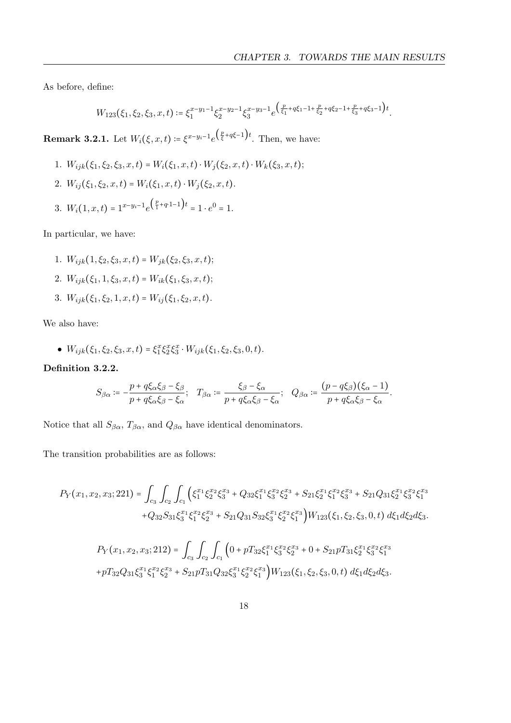As before, define:

$$
W_{123}(\xi_1,\xi_2,\xi_3,x,t) \coloneqq \xi_1^{x-y_1-1} \xi_2^{x-y_2-1} \xi_3^{x-y_3-1} e^{\left(\frac{p}{\xi_1} + q\xi_1 - 1 + \frac{p}{\xi_2} + q\xi_2 - 1 + \frac{p}{\xi_3} + q\xi_3 - 1\right)t}.
$$

**Remark 3.2.1.** Let  $W_i(\xi, x, t) \coloneqq \xi^{x-y_i-1} e^{\left(\frac{p}{\xi} + q\xi - 1\right)t}$ . Then, we have:

1.  $W_{ijk}(\xi_1, \xi_2, \xi_3, x, t) = W_i(\xi_1, x, t) \cdot W_i(\xi_2, x, t) \cdot W_k(\xi_3, x, t);$ 2.  $W_{ij}(\xi_1, \xi_2, x, t) = W_i(\xi_1, x, t) \cdot W_j(\xi_2, x, t).$ 3.  $W_i(1, x, t) = 1^{x-y_i-1} e^{\left(\frac{p}{1} + q \cdot 1 - 1\right)t} = 1 \cdot e^0 = 1.$ 

In particular, we have:

- 1.  $W_{ijk}(1, \xi_2, \xi_3, x, t) = W_{ik}(\xi_2, \xi_3, x, t);$
- 2.  $W_{ijk}(\xi_1, 1, \xi_3, x, t) = W_{ik}(\xi_1, \xi_3, x, t);$
- 3.  $W_{ijk}(\xi_1, \xi_2, 1, x, t) = W_{ij}(\xi_1, \xi_2, x, t).$

We also have:

•  $W_{ijk}(\xi_1, \xi_2, \xi_3, x, t) = \xi_1^x \xi_2^x \xi_3^x \cdot W_{ijk}(\xi_1, \xi_2, \xi_3, 0, t).$ 

Definition 3.2.2.

$$
S_{\beta\alpha} := -\frac{p+q\xi_{\alpha}\xi_{\beta}-\xi_{\beta}}{p+q\xi_{\alpha}\xi_{\beta}-\xi_{\alpha}}; \quad T_{\beta\alpha} := \frac{\xi_{\beta}-\xi_{\alpha}}{p+q\xi_{\alpha}\xi_{\beta}-\xi_{\alpha}}; \quad Q_{\beta\alpha} := \frac{(p-q\xi_{\beta})(\xi_{\alpha}-1)}{p+q\xi_{\alpha}\xi_{\beta}-\xi_{\alpha}}.
$$

Notice that all  $S_{\beta\alpha}$ ,  $T_{\beta\alpha}$ , and  $Q_{\beta\alpha}$  have identical denominators.

The transition probabilities are as follows:

$$
P_{Y}(x_1, x_2, x_3; 221) = \int_{c_3} \int_{c_2} \int_{c_1} \left( \xi_1^{x_1} \xi_2^{x_2} \xi_3^{x_3} + Q_{32} \xi_1^{x_1} \xi_3^{x_2} \xi_2^{x_3} + S_{21} \xi_2^{x_1} \xi_1^{x_2} \xi_3^{x_3} + S_{21} Q_{31} \xi_2^{x_1} \xi_3^{x_2} \xi_1^{x_3} \right) d\xi_2 d\xi_3 + Q_{32} S_{31} \xi_3^{x_1} \xi_1^{x_2} \xi_2^{x_3} + S_{21} Q_{31} S_{32} \xi_3^{x_1} \xi_2^{x_2} \xi_1^{x_3} \right) W_{123}(\xi_1, \xi_2, \xi_3, 0, t) d\xi_1 d\xi_2 d\xi_3.
$$

$$
P_Y(x_1, x_2, x_3; 212) = \int_{c_3} \int_{c_2} \int_{c_1} \left( 0 + pT_{32} \xi_1^{x_1} \xi_3^{x_2} \xi_2^{x_3} + 0 + S_{21} pT_{31} \xi_2^{x_1} \xi_3^{x_2} \xi_1^{x_3} \right. \\
\left. + pT_{32} Q_{31} \xi_3^{x_1} \xi_1^{x_2} \xi_2^{x_3} + S_{21} pT_{31} Q_{32} \xi_3^{x_1} \xi_2^{x_2} \xi_1^{x_3} \right) W_{123}(\xi_1, \xi_2, \xi_3, 0, t) d\xi_1 d\xi_2 d\xi_3.
$$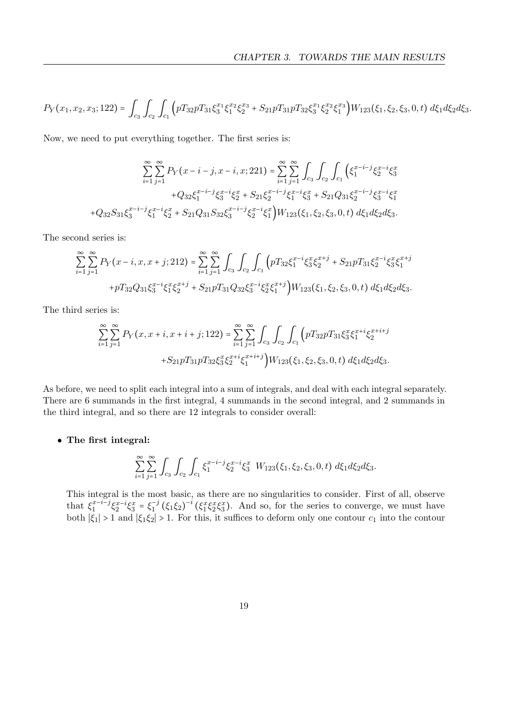$$
P_Y(x_1, x_2, x_3; 122) = \int_{c_3} \int_{c_2} \int_{c_1} \left( pT_{32}pT_{31}\xi_3^{x_1}\xi_1^{x_2}\xi_2^{x_3} + S_{21}pT_{31}pT_{32}\xi_3^{x_1}\xi_2^{x_2}\xi_1^{x_3} \right) W_{123}(\xi_1, \xi_2, \xi_3, 0, t) d\xi_1 d\xi_2 d\xi_3.
$$

Now, we need to put everything together. The first series is:

$$
\sum_{i=1}^{\infty} \sum_{j=1}^{\infty} P_Y(x - i - j, x - i, x; 221) = \sum_{i=1}^{\infty} \sum_{j=1}^{\infty} \int_{c_3} \int_{c_2} \int_{c_1} \left( \xi_1^{x-i-j} \xi_2^{x-i} \xi_3^x + Q_{32} \xi_1^{x-i-j} \xi_3^{x-i} \xi_3^x + S_{21} \xi_2^{x-i-j} \xi_1^{x-i} \xi_3^x + S_{21} Q_{31} \xi_2^{x-i-j} \xi_3^{x-i} \xi_1^x + Q_{32} S_{31} \xi_3^{x-i-j} \xi_1^{x-i} \xi_2^x + S_{21} Q_{31} S_{32} \xi_3^{x-i-j} \xi_2^{x-i} \xi_1^x \right) W_{123}(\xi_1, \xi_2, \xi_3, 0, t) d\xi_1 d\xi_2 d\xi_3.
$$

The second series is:

$$
\sum_{i=1}^{\infty} \sum_{j=1}^{\infty} P_Y(x-i, x, x+j; 212) = \sum_{i=1}^{\infty} \sum_{j=1}^{\infty} \int_{c_3} \int_{c_2} \int_{c_1} \left( p T_{32} \xi_1^{x-i} \xi_3^x \xi_2^{x+j} + S_{21} p T_{31} \xi_2^{x-i} \xi_3^x \xi_1^{x+j} + p T_{32} Q_{31} \xi_3^{x-i} \xi_1^x \xi_2^{x+j} + S_{21} p T_{31} Q_{32} \xi_3^{x-i} \xi_2^x \xi_1^{x+j} \right) W_{123}(\xi_1, \xi_2, \xi_3, 0, t) d\xi_1 d\xi_2 d\xi_3.
$$

The third series is:

$$
\sum_{i=1}^{\infty} \sum_{j=1}^{\infty} P_Y(x, x + i, x + i + j; 122) = \sum_{i=1}^{\infty} \sum_{j=1}^{\infty} \int_{c_3} \int_{c_2} \int_{c_1} \left( pT_{32}pT_{31} \xi_3^x \xi_1^{x+i} \xi_2^{x+i+j} \right. \\
\left. + S_{21}pT_{31}pT_{32} \xi_3^x \xi_2^{x+i} \xi_1^{x+i+j} \right) W_{123}(\xi_1, \xi_2, \xi_3, 0, t) d\xi_1 d\xi_2 d\xi_3.
$$

As before, we need to split each integral into a sum of integrals, and deal with each integral separately. There are 6 summands in the first integral, 4 summands in the second integral, and 2 summands in the third integral, and so there are 12 integrals to consider overall:

### • The first integral:

$$
\sum_{i=1}^{\infty} \sum_{j=1}^{\infty} \int_{C_3} \int_{C_2} \int_{C_1} \xi_1^{x-i-j} \xi_2^{x-i} \xi_3^{x} W_{123}(\xi_1, \xi_2, \xi_3, 0, t) d\xi_1 d\xi_2 d\xi_3.
$$

This integral is the most basic, as there are no singularities to consider. First of all, observe that  $\xi_1^{x-i-j}$  $x^{-i-j} \xi_2^{x-i} \xi_3^x = \xi_1^{-j}$  $\int_1^{-j} (\xi_1 \xi_2)^{-i} (\xi_1^x \xi_2^x \xi_3^x)$ . And so, for the series to converge, we must have both  $|\xi_1| > 1$  and  $|\xi_1 \xi_2| > 1$ . For this, it suffices to deform only one contour  $c_1$  into the contour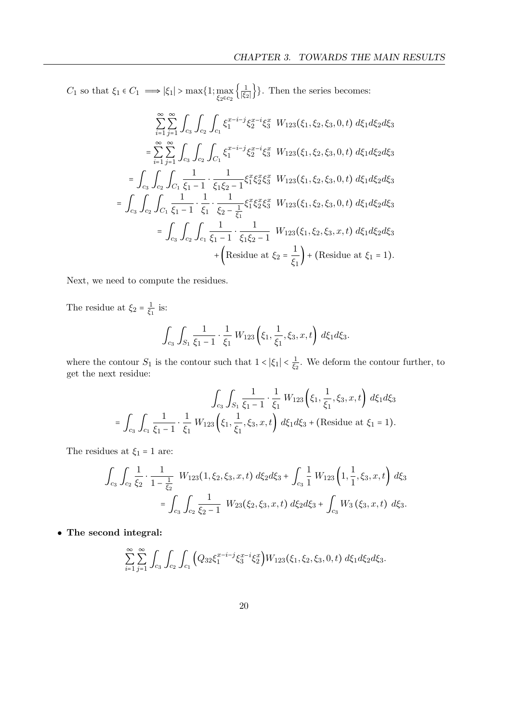$C_1$  so that  $\xi_1 \in C_1 \implies |\xi_1| > \max\{1; \max_{\xi_2 \in c_2} \left\{\frac{1}{|\xi_2|}\right\}$  $\frac{1}{|\xi_2|}$ }. Then the series becomes:

$$
\sum_{i=1}^{\infty} \sum_{j=1}^{\infty} \int_{c_3} \int_{c_2} \int_{c_1} \xi_1^{x-i-j} \xi_2^{x-i} \xi_3^{x} W_{123}(\xi_1, \xi_2, \xi_3, 0, t) d\xi_1 d\xi_2 d\xi_3
$$
\n
$$
= \sum_{i=1}^{\infty} \sum_{j=1}^{\infty} \int_{c_3} \int_{c_2} \int_{C_1} \xi_1^{x-i-j} \xi_2^{x-i} \xi_3^{x} W_{123}(\xi_1, \xi_2, \xi_3, 0, t) d\xi_1 d\xi_2 d\xi_3
$$
\n
$$
= \int_{c_3} \int_{c_2} \int_{C_1} \frac{1}{\xi_1 - 1} \cdot \frac{1}{\xi_1 \xi_2 - 1} \xi_1^{x} \xi_2^{x} \xi_3^{x} W_{123}(\xi_1, \xi_2, \xi_3, 0, t) d\xi_1 d\xi_2 d\xi_3
$$
\n
$$
= \int_{c_3} \int_{c_2} \int_{C_1} \frac{1}{\xi_1 - 1} \cdot \frac{1}{\xi_1} \cdot \frac{1}{\xi_2 - \frac{1}{\xi_1}} \xi_1^{x} \xi_2^{x} \xi_3^{x} W_{123}(\xi_1, \xi_2, \xi_3, 0, t) d\xi_1 d\xi_2 d\xi_3
$$
\n
$$
= \int_{c_3} \int_{c_2} \int_{c_1} \frac{1}{\xi_1 - 1} \cdot \frac{1}{\xi_1 \xi_2 - 1} W_{123}(\xi_1, \xi_2, \xi_3, x, t) d\xi_1 d\xi_2 d\xi_3
$$
\n
$$
+ \left( \text{Residue at } \xi_2 = \frac{1}{\xi_1} \right) + \left( \text{Residue at } \xi_1 = 1 \right).
$$

Next, we need to compute the residues.

The residue at  $\xi_2 = \frac{1}{\xi_1}$  $rac{1}{\xi_1}$  is:

$$
\int_{c_3} \int_{S_1} \frac{1}{\xi_1 - 1} \cdot \frac{1}{\xi_1} W_{123} \left( \xi_1, \frac{1}{\xi_1}, \xi_3, x, t \right) d\xi_1 d\xi_3.
$$

where the contour  $S_1$  is the contour such that  $1 < |\xi_1| < \frac{1}{\xi}$  $\frac{1}{\xi_2}$ . We deform the contour further, to get the next residue:

$$
\int_{c_3} \int_{S_1} \frac{1}{\xi_1 - 1} \cdot \frac{1}{\xi_1} W_{123} \left( \xi_1, \frac{1}{\xi_1}, \xi_3, x, t \right) d\xi_1 d\xi_3
$$
  
= 
$$
\int_{c_3} \int_{c_1} \frac{1}{\xi_1 - 1} \cdot \frac{1}{\xi_1} W_{123} \left( \xi_1, \frac{1}{\xi_1}, \xi_3, x, t \right) d\xi_1 d\xi_3 + \text{(Residue at } \xi_1 = 1\text{)}.
$$

The residues at  $\xi_1=1$  are:

$$
\int_{c_3} \int_{c_2} \frac{1}{\xi_2} \cdot \frac{1}{1 - \frac{1}{\xi_2}} W_{123}(1, \xi_2, \xi_3, x, t) d\xi_2 d\xi_3 + \int_{c_3} \frac{1}{1} W_{123}(1, \frac{1}{1}, \xi_3, x, t) d\xi_3
$$

$$
= \int_{c_3} \int_{c_2} \frac{1}{\xi_2 - 1} W_{23}(\xi_2, \xi_3, x, t) d\xi_2 d\xi_3 + \int_{c_3} W_3(\xi_3, x, t) d\xi_3.
$$

• The second integral:

$$
\sum_{i=1}^{\infty} \sum_{j=1}^{\infty} \int_{C_3} \int_{C_2} \int_{C_1} \Big( Q_{32} \xi_1^{x-i-j} \xi_3^{x-i} \xi_2^x \Big) W_{123}(\xi_1, \xi_2, \xi_3, 0, t) \ d\xi_1 d\xi_2 d\xi_3.
$$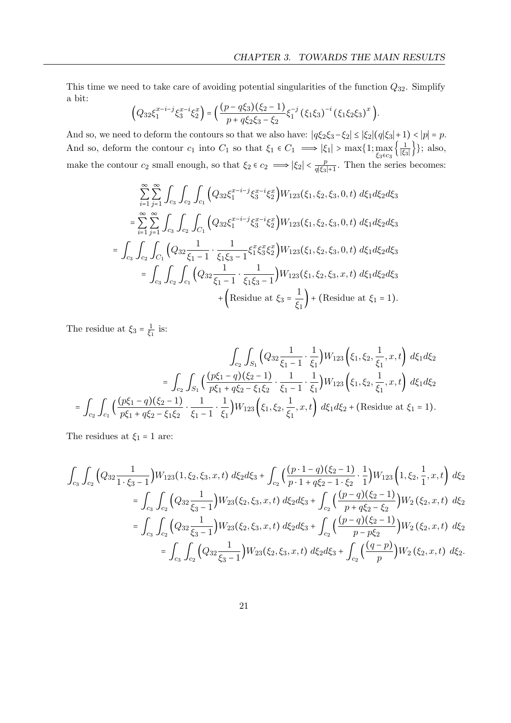This time we need to take care of avoiding potential singularities of the function  $Q_{32}$ . Simplify a bit:

$$
\left(Q_{32}\xi_1^{x-i-j}\xi_3^{x-i}\xi_2^x\right) = \left(\frac{(p-q\xi_3)(\xi_2-1)}{p+q\xi_2\xi_3-\xi_2}\xi_1^{-j}\left(\xi_1\xi_3\right)^{-i}\left(\xi_1\xi_2\xi_3\right)^x\right).
$$

And so, we need to deform the contours so that we also have:  $|q\xi_2\xi_3-\xi_2| \leq |\xi_2|(q|\xi_3|+1) < |p| = p$ . And so, deform the contour  $c_1$  into  $C_1$  so that  $\xi_1 \in C_1 \implies |\xi_1| > \max\{1; \max_{\xi_3 \in c_3} \{\frac{1}{|\xi_3|}\}$  $\frac{1}{|\xi_3|}$ }; also, make the contour  $c_2$  small enough, so that  $\xi_2 \in c_2 \implies |\xi_2| < \frac{p}{a|\xi_2|}$  $\frac{p}{q|\xi_3|+1}$ . Then the series becomes:

$$
\sum_{i=1}^{\infty} \sum_{j=1}^{\infty} \int_{c_3} \int_{c_2} \int_{c_1} \left( Q_{32} \xi_1^{x-i-j} \xi_3^{x-i} \xi_2^x \right) W_{123}(\xi_1, \xi_2, \xi_3, 0, t) d\xi_1 d\xi_2 d\xi_3
$$
\n
$$
= \sum_{i=1}^{\infty} \sum_{j=1}^{\infty} \int_{c_3} \int_{c_2} \int_{C_1} \left( Q_{32} \xi_1^{x-i-j} \xi_3^{x-i} \xi_2^x \right) W_{123}(\xi_1, \xi_2, \xi_3, 0, t) d\xi_1 d\xi_2 d\xi_3
$$
\n
$$
= \int_{c_3} \int_{c_2} \int_{C_1} \left( Q_{32} \frac{1}{\xi_1 - 1} \cdot \frac{1}{\xi_1 \xi_3 - 1} \xi_1^x \xi_3^x \xi_2^x \right) W_{123}(\xi_1, \xi_2, \xi_3, 0, t) d\xi_1 d\xi_2 d\xi_3
$$
\n
$$
= \int_{c_3} \int_{c_2} \int_{c_1} \left( Q_{32} \frac{1}{\xi_1 - 1} \cdot \frac{1}{\xi_1 \xi_3 - 1} \right) W_{123}(\xi_1, \xi_2, \xi_3, x, t) d\xi_1 d\xi_2 d\xi_3
$$
\n
$$
+ \left( \text{Residue at } \xi_3 = \frac{1}{\xi_1} \right) + \left( \text{Residue at } \xi_1 = 1 \right).
$$

The residue at  $\xi_3 = \frac{1}{\xi_3}$  $rac{1}{\xi_1}$  is:

$$
\int_{c_2} \int_{S_1} \left( Q_{32} \frac{1}{\xi_1 - 1} \cdot \frac{1}{\xi_1} \right) W_{123} \left( \xi_1, \xi_2, \frac{1}{\xi_1}, x, t \right) d\xi_1 d\xi_2
$$
\n
$$
= \int_{c_2} \int_{C_1} \left( \frac{(p\xi_1 - q)(\xi_2 - 1)}{p\xi_1 + q\xi_2 - \xi_1\xi_2} \cdot \frac{1}{\xi_1 - 1} \cdot \frac{1}{\xi_1} \right) W_{123} \left( \xi_1, \xi_2, \frac{1}{\xi_1}, x, t \right) d\xi_1 d\xi_2
$$
\n
$$
= \int_{c_2} \int_{C_1} \left( \frac{(p\xi_1 - q)(\xi_2 - 1)}{p\xi_1 + q\xi_2 - \xi_1\xi_2} \cdot \frac{1}{\xi_1 - 1} \cdot \frac{1}{\xi_1} \right) W_{123} \left( \xi_1, \xi_2, \frac{1}{\xi_1}, x, t \right) d\xi_1 d\xi_2 + \text{(Residue at } \xi_1 = 1\text{)}.
$$

The residues at  $\xi_1 = 1$  are:

$$
\int_{c_3} \int_{c_2} \left( Q_{32} \frac{1}{1 \cdot \xi_3 - 1} \right) W_{123} (1, \xi_2, \xi_3, x, t) \, d\xi_2 d\xi_3 + \int_{c_2} \left( \frac{(p \cdot 1 - q)(\xi_2 - 1)}{p \cdot 1 + q \xi_2 - 1 \cdot \xi_2} \cdot \frac{1}{1} \right) W_{123} \left( 1, \xi_2, \frac{1}{1}, x, t \right) \, d\xi_2
$$
\n
$$
= \int_{c_3} \int_{c_2} \left( Q_{32} \frac{1}{\xi_3 - 1} \right) W_{23} (\xi_2, \xi_3, x, t) \, d\xi_2 d\xi_3 + \int_{c_2} \left( \frac{(p - q)(\xi_2 - 1)}{p + q \xi_2 - \xi_2} \right) W_{2} (\xi_2, x, t) \, d\xi_2
$$
\n
$$
= \int_{c_3} \int_{c_2} \left( Q_{32} \frac{1}{\xi_3 - 1} \right) W_{23} (\xi_2, \xi_3, x, t) \, d\xi_2 d\xi_3 + \int_{c_2} \left( \frac{(p - q)(\xi_2 - 1)}{p - p \xi_2} \right) W_{2} (\xi_2, x, t) \, d\xi_2
$$
\n
$$
= \int_{c_3} \int_{c_2} \left( Q_{32} \frac{1}{\xi_3 - 1} \right) W_{23} (\xi_2, \xi_3, x, t) \, d\xi_2 d\xi_3 + \int_{c_2} \left( \frac{(q - p)}{p} \right) W_{2} (\xi_2, x, t) \, d\xi_2.
$$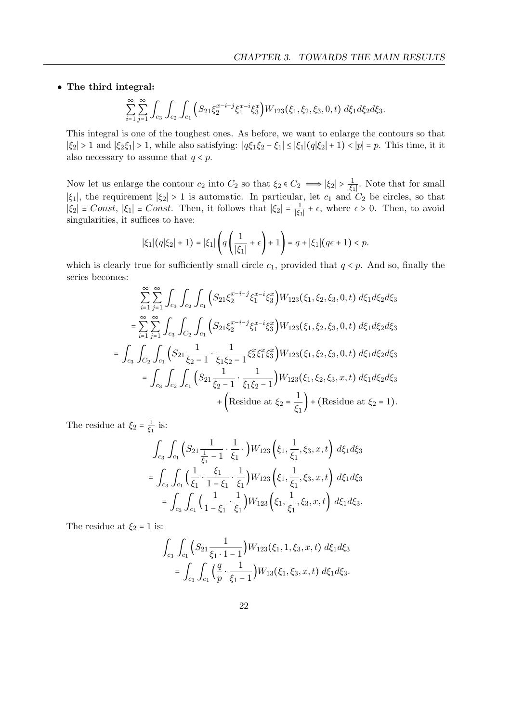### • The third integral:

$$
\sum_{i=1}^{\infty} \sum_{j=1}^{\infty} \int_{C_3} \int_{C_2} \int_{C_1} \Big( S_{21} \xi_2^{x-i-j} \xi_1^{x-i} \xi_3^x \Big) W_{123}(\xi_1, \xi_2, \xi_3, 0, t) d\xi_1 d\xi_2 d\xi_3.
$$

This integral is one of the toughest ones. As before, we want to enlarge the contours so that  $|\xi_2| > 1$  and  $|\xi_2 \xi_1| > 1$ , while also satisfying:  $|q\xi_1 \xi_2 - \xi_1| \leq |\xi_1| (q|\xi_2| + 1) < |p| = p$ . This time, it it also necessary to assume that  $q < p$ .

Now let us enlarge the contour  $c_2$  into  $C_2$  so that  $\xi_2 \in C_2 \implies |\xi_2| > \frac{1}{|\xi_2|}$  $\frac{1}{|\xi_1|}$ . Note that for small  $|\xi_1|$ , the requirement  $|\xi_2| > 1$  is automatic. In particular, let  $c_1$  and  $C_2$  be circles, so that  $|\xi_2|$  = Const,  $|\xi_1|$  = Const. Then, it follows that  $|\xi_2| = \frac{1}{|\xi_1|}$  $\frac{1}{|\xi_1|} + \epsilon$ , where  $\epsilon > 0$ . Then, to avoid singularities, it suffices to have:

$$
|\xi_1|(q|\xi_2|+1) = |\xi_1|\left(q\left(\frac{1}{|\xi_1|}+\epsilon\right)+1\right) = q + |\xi_1|(q\epsilon+1) < p.
$$

which is clearly true for sufficiently small circle  $c_1$ , provided that  $q < p$ . And so, finally the series becomes:

$$
\sum_{i=1}^{\infty} \sum_{j=1}^{\infty} \int_{c_3} \int_{c_2} \int_{c_1} \left( S_{21} \xi_2^{x-i-j} \xi_1^{x-i} \xi_3^x \right) W_{123}(\xi_1, \xi_2, \xi_3, 0, t) d\xi_1 d\xi_2 d\xi_3
$$
\n
$$
= \sum_{i=1}^{\infty} \sum_{j=1}^{\infty} \int_{c_3} \int_{C_2} \int_{c_1} \left( S_{21} \xi_2^{x-i-j} \xi_1^{x-i} \xi_3^x \right) W_{123}(\xi_1, \xi_2, \xi_3, 0, t) d\xi_1 d\xi_2 d\xi_3
$$
\n
$$
= \int_{c_3} \int_{C_2} \int_{c_1} \left( S_{21} \frac{1}{\xi_2 - 1} \cdot \frac{1}{\xi_1 \xi_2 - 1} \xi_2^x \xi_1^x \xi_3^x \right) W_{123}(\xi_1, \xi_2, \xi_3, 0, t) d\xi_1 d\xi_2 d\xi_3
$$
\n
$$
= \int_{c_3} \int_{c_2} \int_{c_1} \left( S_{21} \frac{1}{\xi_2 - 1} \cdot \frac{1}{\xi_1 \xi_2 - 1} \right) W_{123}(\xi_1, \xi_2, \xi_3, x, t) d\xi_1 d\xi_2 d\xi_3
$$
\n
$$
+ \left( \text{Residue at } \xi_2 = \frac{1}{\xi_1} \right) + \left( \text{Residue at } \xi_2 = 1 \right).
$$

The residue at  $\xi_2 = \frac{1}{\xi_1}$  $rac{1}{\xi_1}$  is:

$$
\int_{c_3} \int_{c_1} \left( S_{21} \frac{1}{\frac{1}{\xi_1} - 1} \cdot \frac{1}{\xi_1} \cdot \right) W_{123} \left( \xi_1, \frac{1}{\xi_1}, \xi_3, x, t \right) d\xi_1 d\xi_3
$$
\n
$$
= \int_{c_3} \int_{c_1} \left( \frac{1}{\xi_1} \cdot \frac{\xi_1}{1 - \xi_1} \cdot \frac{1}{\xi_1} \right) W_{123} \left( \xi_1, \frac{1}{\xi_1}, \xi_3, x, t \right) d\xi_1 d\xi_3
$$
\n
$$
= \int_{c_3} \int_{c_1} \left( \frac{1}{1 - \xi_1} \cdot \frac{1}{\xi_1} \right) W_{123} \left( \xi_1, \frac{1}{\xi_1}, \xi_3, x, t \right) d\xi_1 d\xi_3.
$$

The residue at  $\xi_2 = 1$  is:

$$
\int_{c_3} \int_{c_1} \left( S_{21} \frac{1}{\xi_1 \cdot 1 - 1} \right) W_{123}(\xi_1, 1, \xi_3, x, t) \ d\xi_1 d\xi_3
$$

$$
= \int_{c_3} \int_{c_1} \left( \frac{q}{p} \cdot \frac{1}{\xi_1 - 1} \right) W_{13}(\xi_1, \xi_3, x, t) \ d\xi_1 d\xi_3.
$$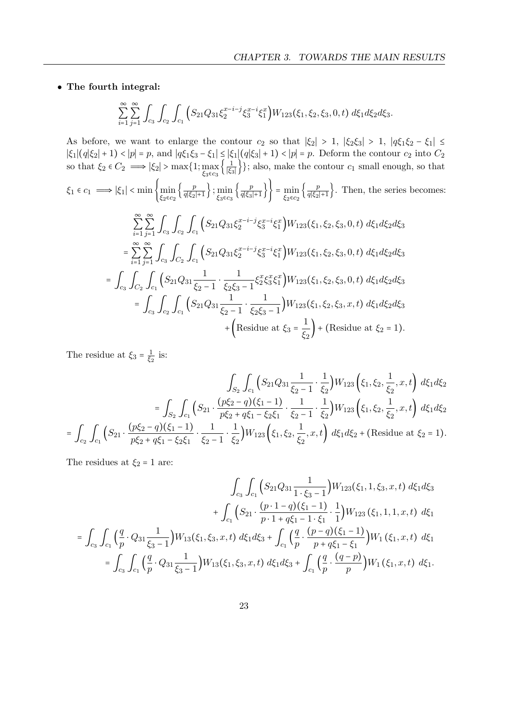• The fourth integral:

$$
\sum_{i=1}^{\infty} \sum_{j=1}^{\infty} \int_{C_3} \int_{C_2} \int_{C_1} \left( S_{21} Q_{31} \xi_2^{x-i-j} \xi_3^{x-i} \xi_1^x \right) W_{123}(\xi_1, \xi_2, \xi_3, 0, t) d\xi_1 d\xi_2 d\xi_3.
$$

As before, we want to enlarge the contour  $c_2$  so that  $|\xi_2| > 1$ ,  $|\xi_2 \xi_3| > 1$ ,  $|q\xi_1 \xi_2 - \xi_1| \leq$  $|\xi_1|(q|\xi_2| + 1) < |p| = p$ , and  $|q\xi_1\xi_3 - \xi_1| \leq |\xi_1|(q|\xi_3| + 1) < |p| = p$ . Deform the contour  $c_2$  into  $C_2$ so that  $\xi_2 \in C_2 \implies |\xi_2| > \max\{1; \max_{\xi_3 \in c_3} \left\{\frac{1}{|\xi_3|}\right\}$  $\frac{1}{|\xi_3|}$ }; also, make the contour  $c_1$  small enough, so that  $\xi_1 \in c_1 \implies |\xi_1| < \min \left\{ \min_{\xi_2 \in c_2} \left\{ \frac{p}{q|\xi_2|} \right\} \right\}$  $\frac{p}{q|\xi_2|+1}\Big\}; \min_{\xi_3 \in c_3}\Big\{\frac{p}{q|\xi_3|}$  $\left\{\frac{p}{q|\xi_3|+1}\right\}$  =  $\min_{\xi_2 \in c_2} \left\{\frac{p}{q|\xi_2|}\right\}$  $\frac{p}{q|\xi_2|+1}$ . Then, the series becomes: ∞ ∑  $i=1$ ∞ ∑  $\sum_{j=1} \int_{c_3} \int_{c_2} \int_{c_1} \Bigl( S_{21} Q_{31} \xi_2^{x-i-j}$  $\big\{2^{x-i-j}\xi_3^{x-i}\xi_1^x\big\}W_{123}(\xi_1,\xi_2,\xi_3,0,t)\ d\xi_1 d\xi_2 d\xi_3$ = ∞ ∑  $i=1$ ∞ ∑  $\sum_{j=1} \int_{c_3} \int_{C_2} \int_{c_1} \Big( S_{21} Q_{31} \xi_2^{x-i-j} \Big)$  $\big\{2^{x-i-j}\xi_3^{x-i}\xi_1^x\big\} W_{123}(\xi_1,\xi_2,\xi_3,0,t) \ d\xi_1 d\xi_2 d\xi_3$  $=\int_{c_3} \int_{C_2} \int_{c_1} (S_{21}Q_{31}\frac{1}{\xi_2-1})$  $\frac{1}{\xi_2 - 1} \cdot \frac{1}{\xi_2 \xi_3}$  $\frac{1}{\xi_2\xi_3-1}\xi_2^x\xi_3^x\xi_1^x\Big)W_{123}(\xi_1,\xi_2,\xi_3,0,t)\,d\xi_1d\xi_2d\xi_3$  $=\int_{c_3} \int_{c_2} \int_{c_1} (S_{21}Q_{31}\frac{1}{\xi_2-1})$  $\frac{1}{\xi_2 - 1} \cdot \frac{1}{\xi_2 \xi_3}$  $\frac{1}{\xi_2\xi_3-1}$   $\big)W_{123}(\xi_1,\xi_2,\xi_3,x,t)\,d\xi_1d\xi_2d\xi_3$ + (Residue at  $\xi_3 = \frac{1}{6}$  $\frac{1}{\xi_2}$  + (Residue at  $\xi_2 = 1$ ).

The residue at  $\xi_3 = \frac{1}{\xi_3}$  $\frac{1}{\xi_2}$  is:

$$
\int_{S_2} \int_{c_1} \left( S_{21} Q_{31} \frac{1}{\xi_2 - 1} \cdot \frac{1}{\xi_2} \right) W_{123} \left( \xi_1, \xi_2, \frac{1}{\xi_2}, x, t \right) d\xi_1 d\xi_2
$$

$$
= \int_{S_2} \int_{c_1} \left( S_{21} \cdot \frac{(p\xi_2 - q)(\xi_1 - 1)}{p\xi_2 + q\xi_1 - \xi_2\xi_1} \cdot \frac{1}{\xi_2 - 1} \cdot \frac{1}{\xi_2} \right) W_{123} \left( \xi_1, \xi_2, \frac{1}{\xi_2}, x, t \right) d\xi_1 d\xi_2
$$

$$
= \int_{c_2} \int_{c_1} \left( S_{21} \cdot \frac{(p\xi_2 - q)(\xi_1 - 1)}{p\xi_2 + q\xi_1 - \xi_2\xi_1} \cdot \frac{1}{\xi_2 - 1} \cdot \frac{1}{\xi_2} \right) W_{123} \left( \xi_1, \xi_2, \frac{1}{\xi_2}, x, t \right) d\xi_1 d\xi_2 + \text{(Residue at } \xi_2 = 1).
$$

The residues at  $\xi_2 = 1$  are:

$$
\int_{c_3} \int_{c_1} \left( S_{21} Q_{31} \frac{1}{1 \cdot \xi_3 - 1} \right) W_{123}(\xi_1, 1, \xi_3, x, t) d\xi_1 d\xi_3
$$
\n
$$
+ \int_{c_1} \left( S_{21} \cdot \frac{(p \cdot 1 - q)(\xi_1 - 1)}{p \cdot 1 + q \xi_1 - 1 \cdot \xi_1} \cdot \frac{1}{1} \right) W_{123}(\xi_1, 1, 1, x, t) d\xi_1
$$
\n
$$
= \int_{c_3} \int_{c_1} \left( \frac{q}{p} \cdot Q_{31} \frac{1}{\xi_3 - 1} \right) W_{13}(\xi_1, \xi_3, x, t) d\xi_1 d\xi_3 + \int_{c_1} \left( \frac{q}{p} \cdot \frac{(p - q)(\xi_1 - 1)}{p + q \xi_1 - \xi_1} \right) W_{1}(\xi_1, x, t) d\xi_1
$$
\n
$$
= \int_{c_3} \int_{c_1} \left( \frac{q}{p} \cdot Q_{31} \frac{1}{\xi_3 - 1} \right) W_{13}(\xi_1, \xi_3, x, t) d\xi_1 d\xi_3 + \int_{c_1} \left( \frac{q}{p} \cdot \frac{(q - p)}{p} \right) W_{1}(\xi_1, x, t) d\xi_1.
$$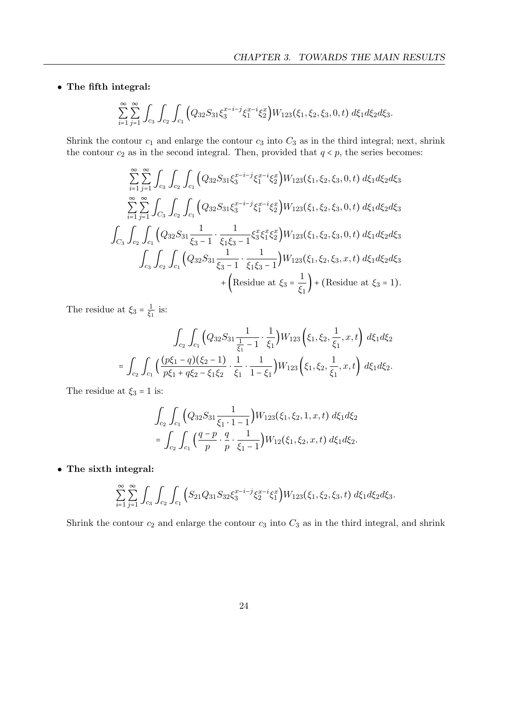• The fifth integral:

$$
\sum_{i=1}^{\infty} \sum_{j=1}^{\infty} \int_{C_3} \int_{C_2} \int_{C_1} \Big( Q_{32} S_{31} \xi_3^{x-i-j} \xi_1^{x-i} \xi_2^x \Big) W_{123}(\xi_1, \xi_2, \xi_3, 0, t) \ d\xi_1 d\xi_2 d\xi_3.
$$

Shrink the contour  $c_1$  and enlarge the contour  $c_3$  into  $C_3$  as in the third integral; next, shrink the contour  $c_2$  as in the second integral. Then, provided that  $q < p$ , the series becomes:

$$
\sum_{i=1}^{\infty} \sum_{j=1}^{\infty} \int_{c_3} \int_{c_2} \int_{c_1} \left( Q_{32} S_{31} \xi_3^{x-i-j} \xi_1^{x-i} \xi_2^x \right) W_{123}(\xi_1, \xi_2, \xi_3, 0, t) d\xi_1 d\xi_2 d\xi_3
$$
  

$$
\sum_{i=1}^{\infty} \sum_{j=1}^{\infty} \int_{C_3} \int_{c_2} \int_{c_1} \left( Q_{32} S_{31} \xi_3^{x-i-j} \xi_1^{x-i} \xi_2^x \right) W_{123}(\xi_1, \xi_2, \xi_3, 0, t) d\xi_1 d\xi_2 d\xi_3
$$
  

$$
\int_{C_3} \int_{c_2} \int_{c_1} \left( Q_{32} S_{31} \frac{1}{\xi_3 - 1} \cdot \frac{1}{\xi_1 \xi_3 - 1} \xi_3^x \xi_1^x \xi_2^x \right) W_{123}(\xi_1, \xi_2, \xi_3, 0, t) d\xi_1 d\xi_2 d\xi_3
$$
  

$$
\int_{c_3} \int_{c_2} \int_{c_1} \left( Q_{32} S_{31} \frac{1}{\xi_3 - 1} \cdot \frac{1}{\xi_1 \xi_3 - 1} \right) W_{123}(\xi_1, \xi_2, \xi_3, x, t) d\xi_1 d\xi_2 d\xi_3
$$
  

$$
+ \left( \text{Residue at } \xi_3 = \frac{1}{\xi_1} \right) + \left( \text{Residue at } \xi_3 = 1 \right).
$$

The residue at  $\xi_3 = \frac{1}{\xi_3}$  $rac{1}{\xi_1}$  is:

$$
\int_{c_2} \int_{c_1} \left( Q_{32} S_{31} \frac{1}{\frac{1}{\xi_1} - 1} \cdot \frac{1}{\xi_1} \right) W_{123} \left( \xi_1, \xi_2, \frac{1}{\xi_1}, x, t \right) d\xi_1 d\xi_2
$$

$$
= \int_{c_2} \int_{c_1} \left( \frac{(p\xi_1 - q)(\xi_2 - 1)}{p\xi_1 + q\xi_2 - \xi_1 \xi_2} \cdot \frac{1}{\xi_1} \cdot \frac{1}{1 - \xi_1} \right) W_{123} \left( \xi_1, \xi_2, \frac{1}{\xi_1}, x, t \right) d\xi_1 d\xi_2.
$$

The residue at  $\xi_3 = 1$  is:

$$
\int_{c_2} \int_{c_1} \left( Q_{32} S_{31} \frac{1}{\xi_1 \cdot 1 - 1} \right) W_{123}(\xi_1, \xi_2, 1, x, t) \ d\xi_1 d\xi_2
$$

$$
= \int_{c_2} \int_{c_1} \left( \frac{q - p}{p} \cdot \frac{q}{p} \cdot \frac{1}{\xi_1 - 1} \right) W_{12}(\xi_1, \xi_2, x, t) \ d\xi_1 d\xi_2.
$$

• The sixth integral:

$$
\sum_{i=1}^{\infty} \sum_{j=1}^{\infty} \int_{C_3} \int_{C_2} \int_{C_1} \left( S_{21} Q_{31} S_{32} \xi_3^{x-i-j} \xi_2^{x-i} \xi_1^x \right) W_{123}(\xi_1, \xi_2, \xi_3, t) d\xi_1 d\xi_2 d\xi_3.
$$

Shrink the contour  $c_2$  and enlarge the contour  $c_3$  into  $C_3$  as in the third integral, and shrink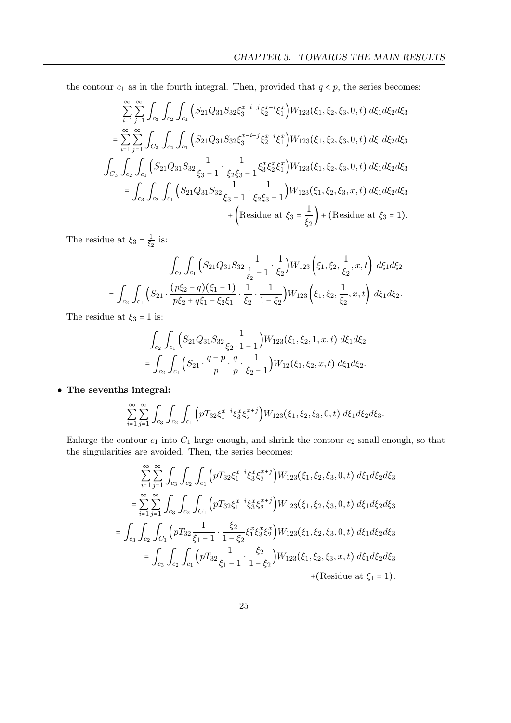the contour  $c_1$  as in the fourth integral. Then, provided that  $q < p$ , the series becomes:

$$
\sum_{i=1}^{\infty} \sum_{j=1}^{\infty} \int_{c_3} \int_{c_2} \int_{c_1} \left( S_{21} Q_{31} S_{32} \xi_3^{x-i-j} \xi_2^{x-i} \xi_1^x \right) W_{123}(\xi_1, \xi_2, \xi_3, 0, t) d\xi_1 d\xi_2 d\xi_3
$$
\n
$$
= \sum_{i=1}^{\infty} \sum_{j=1}^{\infty} \int_{C_3} \int_{c_2} \int_{c_1} \left( S_{21} Q_{31} S_{32} \xi_3^{x-i-j} \xi_2^{x-i} \xi_1^x \right) W_{123}(\xi_1, \xi_2, \xi_3, 0, t) d\xi_1 d\xi_2 d\xi_3
$$
\n
$$
\int_{C_3} \int_{c_2} \int_{c_1} \left( S_{21} Q_{31} S_{32} \frac{1}{\xi_3 - 1} \cdot \frac{1}{\xi_2 \xi_3 - 1} \xi_3^x \xi_2^x \xi_1^x \right) W_{123}(\xi_1, \xi_2, \xi_3, 0, t) d\xi_1 d\xi_2 d\xi_3
$$
\n
$$
= \int_{c_3} \int_{c_2} \int_{c_1} \left( S_{21} Q_{31} S_{32} \frac{1}{\xi_3 - 1} \cdot \frac{1}{\xi_2 \xi_3 - 1} \right) W_{123}(\xi_1, \xi_2, \xi_3, x, t) d\xi_1 d\xi_2 d\xi_3
$$
\n
$$
+ \left( \text{Residue at } \xi_3 = \frac{1}{\xi_2} \right) + \left( \text{Residue at } \xi_3 = 1 \right).
$$

The residue at  $\xi_3 = \frac{1}{\xi_3}$  $\frac{1}{\xi_2}$  is:

$$
\int_{c_2} \int_{c_1} \left( S_{21} Q_{31} S_{32} \frac{1}{\frac{1}{\xi_2} - 1} \cdot \frac{1}{\xi_2} \right) W_{123} \left( \xi_1, \xi_2, \frac{1}{\xi_2}, x, t \right) d\xi_1 d\xi_2
$$
\n
$$
= \int_{c_2} \int_{c_1} \left( S_{21} \cdot \frac{(p\xi_2 - q)(\xi_1 - 1)}{p\xi_2 + q\xi_1 - \xi_2 \xi_1} \cdot \frac{1}{\xi_2} \cdot \frac{1}{1 - \xi_2} \right) W_{123} \left( \xi_1, \xi_2, \frac{1}{\xi_2}, x, t \right) d\xi_1 d\xi_2.
$$

The residue at  $\xi_3 = 1$  is:

$$
\int_{c_2} \int_{c_1} \left( S_{21} Q_{31} S_{32} \frac{1}{\xi_2 \cdot 1 - 1} \right) W_{123}(\xi_1, \xi_2, 1, x, t) \ d\xi_1 d\xi_2
$$

$$
= \int_{c_2} \int_{c_1} \left( S_{21} \cdot \frac{q - p}{p} \cdot \frac{q}{p} \cdot \frac{1}{\xi_2 - 1} \right) W_{12}(\xi_1, \xi_2, x, t) \ d\xi_1 d\xi_2.
$$

• The sevenths integral:

$$
\sum_{i=1}^{\infty} \sum_{j=1}^{\infty} \int_{C_3} \int_{C_2} \int_{C_1} \left( p T_{32} \xi_1^{x-i} \xi_3^x \xi_2^{x+j} \right) W_{123}(\xi_1, \xi_2, \xi_3, 0, t) d\xi_1 d\xi_2 d\xi_3.
$$

Enlarge the contour  $c_1$  into  $C_1$  large enough, and shrink the contour  $c_2$  small enough, so that the singularities are avoided. Then, the series becomes:

$$
\sum_{i=1}^{\infty} \sum_{j=1}^{\infty} \int_{c_3} \int_{c_2} \int_{c_1} \left( pT_{32} \xi_1^{x-i} \xi_3^x \xi_2^{x+j} \right) W_{123}(\xi_1, \xi_2, \xi_3, 0, t) d\xi_1 d\xi_2 d\xi_3
$$
\n
$$
= \sum_{i=1}^{\infty} \sum_{j=1}^{\infty} \int_{c_3} \int_{c_2} \int_{C_1} \left( pT_{32} \xi_1^{x-i} \xi_3^x \xi_2^{x+j} \right) W_{123}(\xi_1, \xi_2, \xi_3, 0, t) d\xi_1 d\xi_2 d\xi_3
$$
\n
$$
= \int_{c_3} \int_{c_2} \int_{C_1} \left( pT_{32} \frac{1}{\xi_1 - 1} \cdot \frac{\xi_2}{1 - \xi_2} \xi_1^x \xi_3^x \xi_2^x \right) W_{123}(\xi_1, \xi_2, \xi_3, 0, t) d\xi_1 d\xi_2 d\xi_3
$$
\n
$$
= \int_{c_3} \int_{c_2} \int_{c_1} \left( pT_{32} \frac{1}{\xi_1 - 1} \cdot \frac{\xi_2}{1 - \xi_2} \right) W_{123}(\xi_1, \xi_2, \xi_3, x, t) d\xi_1 d\xi_2 d\xi_3
$$
\n
$$
+ \text{(Residue at } \xi_1 = 1\text{)}.
$$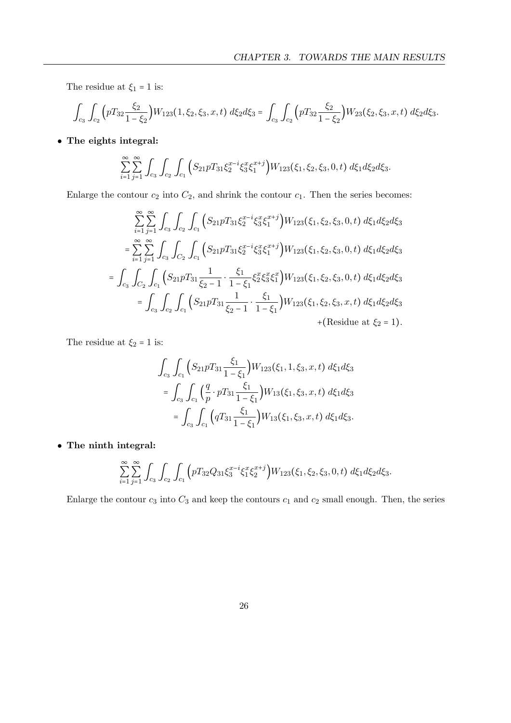The residue at  $\xi_1=1$  is:

$$
\int_{c_3} \int_{c_2} \left( pT_{32} \frac{\xi_2}{1 - \xi_2} \right) W_{123}(1, \xi_2, \xi_3, x, t) \, d\xi_2 d\xi_3 = \int_{c_3} \int_{c_2} \left( pT_{32} \frac{\xi_2}{1 - \xi_2} \right) W_{23}(\xi_2, \xi_3, x, t) \, d\xi_2 d\xi_3.
$$

• The eights integral:

$$
\sum_{i=1}^{\infty} \sum_{j=1}^{\infty} \int_{C_3} \int_{C_2} \int_{C_1} \left( S_{21} p T_{31} \xi_2^{x-i} \xi_3^x \xi_1^{x+j} \right) W_{123}(\xi_1, \xi_2, \xi_3, 0, t) d\xi_1 d\xi_2 d\xi_3.
$$

Enlarge the contour  $c_2$  into  $C_2$ , and shrink the contour  $c_1$ . Then the series becomes:

$$
\sum_{i=1}^{\infty} \sum_{j=1}^{\infty} \int_{c_3} \int_{c_2} \int_{c_1} \left( S_{21} p T_{31} \xi_2^{x-i} \xi_3^x \xi_1^{x+j} \right) W_{123}(\xi_1, \xi_2, \xi_3, 0, t) d\xi_1 d\xi_2 d\xi_3
$$
\n
$$
= \sum_{i=1}^{\infty} \sum_{j=1}^{\infty} \int_{c_3} \int_{C_2} \int_{c_1} \left( S_{21} p T_{31} \xi_2^{x-i} \xi_3^x \xi_1^{x+j} \right) W_{123}(\xi_1, \xi_2, \xi_3, 0, t) d\xi_1 d\xi_2 d\xi_3
$$
\n
$$
= \int_{c_3} \int_{C_2} \int_{c_1} \left( S_{21} p T_{31} \frac{1}{\xi_2 - 1} \cdot \frac{\xi_1}{1 - \xi_1} \xi_2^x \xi_3^x \xi_1^x \right) W_{123}(\xi_1, \xi_2, \xi_3, 0, t) d\xi_1 d\xi_2 d\xi_3
$$
\n
$$
= \int_{c_3} \int_{c_2} \int_{c_1} \left( S_{21} p T_{31} \frac{1}{\xi_2 - 1} \cdot \frac{\xi_1}{1 - \xi_1} \right) W_{123}(\xi_1, \xi_2, \xi_3, x, t) d\xi_1 d\xi_2 d\xi_3
$$
\n
$$
+ \text{(Residue at } \xi_2 = 1\text{)}.
$$

The residue at  $\xi_2 = 1$  is:

$$
\int_{c_3} \int_{c_1} \left( S_{21} p T_{31} \frac{\xi_1}{1 - \xi_1} \right) W_{123}(\xi_1, 1, \xi_3, x, t) d\xi_1 d\xi_3
$$
  
= 
$$
\int_{c_3} \int_{c_1} \left( \frac{q}{p} \cdot p T_{31} \frac{\xi_1}{1 - \xi_1} \right) W_{13}(\xi_1, \xi_3, x, t) d\xi_1 d\xi_3
$$
  
= 
$$
\int_{c_3} \int_{c_1} \left( q T_{31} \frac{\xi_1}{1 - \xi_1} \right) W_{13}(\xi_1, \xi_3, x, t) d\xi_1 d\xi_3.
$$

• The ninth integral:

$$
\sum_{i=1}^{\infty} \sum_{j=1}^{\infty} \int_{C_3} \int_{C_2} \int_{C_1} \left( p T_{32} Q_{31} \xi_3^{x-i} \xi_1^x \xi_2^{x+j} \right) W_{123}(\xi_1, \xi_2, \xi_3, 0, t) d\xi_1 d\xi_2 d\xi_3.
$$

Enlarge the contour  $c_3$  into  $C_3$  and keep the contours  $c_1$  and  $c_2$  small enough. Then, the series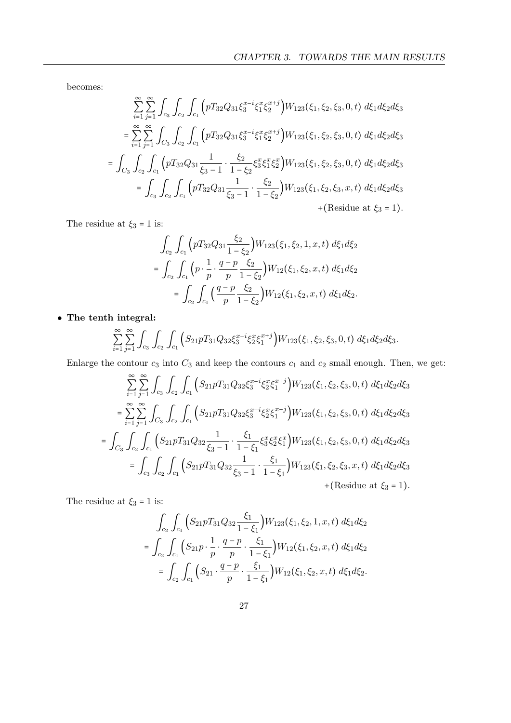becomes:

$$
\sum_{i=1}^{\infty} \sum_{j=1}^{\infty} \int_{c_3} \int_{c_2} \int_{c_1} \left( pT_{32}Q_{31} \xi_3^{x-i} \xi_1^x \xi_2^{x+j} \right) W_{123}(\xi_1, \xi_2, \xi_3, 0, t) d\xi_1 d\xi_2 d\xi_3
$$
\n
$$
= \sum_{i=1}^{\infty} \sum_{j=1}^{\infty} \int_{C_3} \int_{c_2} \int_{c_1} \left( pT_{32}Q_{31} \xi_3^{x-i} \xi_1^x \xi_2^{x+j} \right) W_{123}(\xi_1, \xi_2, \xi_3, 0, t) d\xi_1 d\xi_2 d\xi_3
$$
\n
$$
= \int_{C_3} \int_{c_2} \int_{c_1} \left( pT_{32}Q_{31} \frac{1}{\xi_3 - 1} \cdot \frac{\xi_2}{1 - \xi_2} \xi_3^x \xi_1^x \xi_2^x \right) W_{123}(\xi_1, \xi_2, \xi_3, 0, t) d\xi_1 d\xi_2 d\xi_3
$$
\n
$$
= \int_{c_3} \int_{c_2} \int_{c_1} \left( pT_{32}Q_{31} \frac{1}{\xi_3 - 1} \cdot \frac{\xi_2}{1 - \xi_2} \right) W_{123}(\xi_1, \xi_2, \xi_3, x, t) d\xi_1 d\xi_2 d\xi_3
$$
\n
$$
+ \text{(Residue at } \xi_3 = 1\text{)}.
$$

The residue at  $\xi_3 = 1$  is:

$$
\int_{c_2} \int_{c_1} \left( p T_{32} Q_{31} \frac{\xi_2}{1 - \xi_2} \right) W_{123}(\xi_1, \xi_2, 1, x, t) d\xi_1 d\xi_2
$$
\n
$$
= \int_{c_2} \int_{c_1} \left( p \cdot \frac{1}{p} \cdot \frac{q - p}{p} \frac{\xi_2}{1 - \xi_2} \right) W_{12}(\xi_1, \xi_2, x, t) d\xi_1 d\xi_2
$$
\n
$$
= \int_{c_2} \int_{c_1} \left( \frac{q - p}{p} \frac{\xi_2}{1 - \xi_2} \right) W_{12}(\xi_1, \xi_2, x, t) d\xi_1 d\xi_2.
$$

• The tenth integral:

$$
\sum_{i=1}^{\infty} \sum_{j=1}^{\infty} \int_{C_3} \int_{C_2} \int_{C_1} \Big( S_{21} p T_{31} Q_{32} \xi_3^{x-i} \xi_2^{x} \xi_1^{x+j} \Big) W_{123}(\xi_1, \xi_2, \xi_3, 0, t) d\xi_1 d\xi_2 d\xi_3.
$$

Enlarge the contour  $c_3$  into  $C_3$  and keep the contours  $c_1$  and  $c_2$  small enough. Then, we get:

$$
\sum_{i=1}^{\infty} \sum_{j=1}^{\infty} \int_{c_3} \int_{c_2} \int_{c_1} \left( S_{21} p T_{31} Q_{32} \xi_3^{x-i} \xi_2^{x} \xi_1^{x+j} \right) W_{123}(\xi_1, \xi_2, \xi_3, 0, t) d\xi_1 d\xi_2 d\xi_3
$$
\n
$$
= \sum_{i=1}^{\infty} \sum_{j=1}^{\infty} \int_{C_3} \int_{c_2} \int_{c_1} \left( S_{21} p T_{31} Q_{32} \xi_3^{x-i} \xi_2^{x} \xi_1^{x+j} \right) W_{123}(\xi_1, \xi_2, \xi_3, 0, t) d\xi_1 d\xi_2 d\xi_3
$$
\n
$$
= \int_{C_3} \int_{c_2} \int_{c_1} \left( S_{21} p T_{31} Q_{32} \frac{1}{\xi_3 - 1} \cdot \frac{\xi_1}{1 - \xi_1} \xi_3^x \xi_2^x \xi_1^x \right) W_{123}(\xi_1, \xi_2, \xi_3, 0, t) d\xi_1 d\xi_2 d\xi_3
$$
\n
$$
= \int_{c_3} \int_{c_2} \int_{c_1} \left( S_{21} p T_{31} Q_{32} \frac{1}{\xi_3 - 1} \cdot \frac{\xi_1}{1 - \xi_1} \right) W_{123}(\xi_1, \xi_2, \xi_3, x, t) d\xi_1 d\xi_2 d\xi_3
$$
\n
$$
+ \text{(Residue at } \xi_3 = 1\text{)}.
$$

The residue at  $\xi_3 = 1$  is:

$$
\int_{c_2} \int_{c_1} \left( S_{21} p T_{31} Q_{32} \frac{\xi_1}{1 - \xi_1} \right) W_{123}(\xi_1, \xi_2, 1, x, t) \ d\xi_1 d\xi_2
$$
\n
$$
= \int_{c_2} \int_{c_1} \left( S_{21} p \cdot \frac{1}{p} \cdot \frac{q - p}{p} \cdot \frac{\xi_1}{1 - \xi_1} \right) W_{12}(\xi_1, \xi_2, x, t) \ d\xi_1 d\xi_2
$$
\n
$$
= \int_{c_2} \int_{c_1} \left( S_{21} \cdot \frac{q - p}{p} \cdot \frac{\xi_1}{1 - \xi_1} \right) W_{12}(\xi_1, \xi_2, x, t) \ d\xi_1 d\xi_2.
$$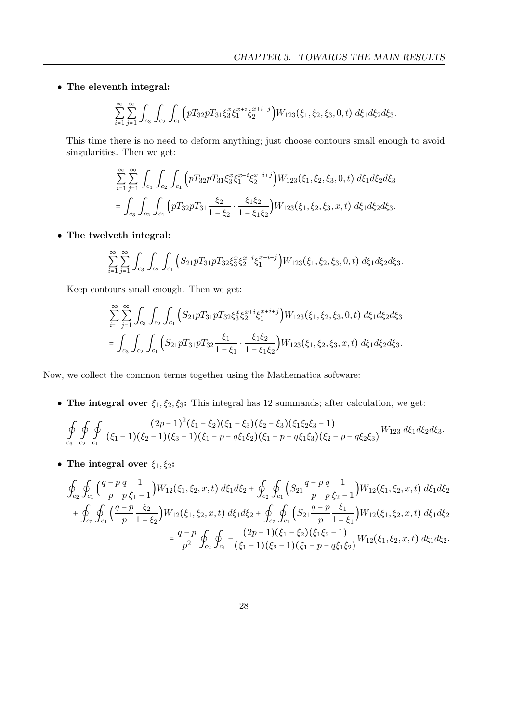• The eleventh integral:

$$
\sum_{i=1}^{\infty} \sum_{j=1}^{\infty} \int_{C_3} \int_{C_2} \int_{C_1} \left( pT_{32} p T_{31} \xi_3^x \xi_1^{x+i} \xi_2^{x+i+j} \right) W_{123}(\xi_1, \xi_2, \xi_3, 0, t) d\xi_1 d\xi_2 d\xi_3.
$$

This time there is no need to deform anything; just choose contours small enough to avoid singularities. Then we get:

$$
\sum_{i=1}^{\infty} \sum_{j=1}^{\infty} \int_{c_3} \int_{c_2} \int_{c_1} \left( pT_{32}pT_{31} \xi_3^x \xi_1^{x+i} \xi_2^{x+i+j} \right) W_{123}(\xi_1, \xi_2, \xi_3, 0, t) d\xi_1 d\xi_2 d\xi_3
$$
  
= 
$$
\int_{c_3} \int_{c_2} \int_{c_1} \left( pT_{32}pT_{31} \frac{\xi_2}{1 - \xi_2} \cdot \frac{\xi_1 \xi_2}{1 - \xi_1 \xi_2} \right) W_{123}(\xi_1, \xi_2, \xi_3, x, t) d\xi_1 d\xi_2 d\xi_3.
$$

• The twelveth integral:

$$
\sum_{i=1}^{\infty} \sum_{j=1}^{\infty} \int_{C_3} \int_{C_2} \int_{C_1} \Big( S_{21} p T_{31} p T_{32} \xi_3^x \xi_2^{x+i} \xi_1^{x+i+j} \Big) W_{123}(\xi_1, \xi_2, \xi_3, 0, t) \ d\xi_1 d\xi_2 d\xi_3.
$$

Keep contours small enough. Then we get:

$$
\sum_{i=1}^{\infty} \sum_{j=1}^{\infty} \int_{C_3} \int_{C_2} \int_{C_1} \left( S_{21} p T_{31} p T_{32} \xi_3^x \xi_2^{x+i} \xi_1^{x+i+j} \right) W_{123}(\xi_1, \xi_2, \xi_3, 0, t) d\xi_1 d\xi_2 d\xi_3
$$
  
= 
$$
\int_{C_3} \int_{C_2} \int_{C_1} \left( S_{21} p T_{31} p T_{32} \frac{\xi_1}{1 - \xi_1} \cdot \frac{\xi_1 \xi_2}{1 - \xi_1 \xi_2} \right) W_{123}(\xi_1, \xi_2, \xi_3, x, t) d\xi_1 d\xi_2 d\xi_3.
$$

Now, we collect the common terms together using the Mathematica software:

• The integral over  $\xi_1, \xi_2, \xi_3$ : This integral has 12 summands; after calculation, we get:

$$
\oint_{c_3} \oint_{c_2} \oint_{c_1} \frac{(2p-1)^2(\xi_1-\xi_2)(\xi_1-\xi_3)(\xi_2-\xi_3)(\xi_1\xi_2\xi_3-1)}{(\xi_1-1)(\xi_2-1)(\xi_3-1)(\xi_1-p-q\xi_1\xi_2)(\xi_1-p-q\xi_1\xi_3)(\xi_2-p-q\xi_2\xi_3)} W_{123} d\xi_1 d\xi_2 d\xi_3.
$$

• The integral over  $\xi_1, \xi_2$ :

$$
\oint_{c_2} \oint_{c_1} \left( \frac{q-p}{p} \frac{q}{p} \frac{1}{\xi_1 - 1} \right) W_{12}(\xi_1, \xi_2, x, t) d\xi_1 d\xi_2 + \oint_{c_2} \oint_{c_1} \left( S_{21} \frac{q-p}{p} \frac{q}{p} \frac{1}{\xi_2 - 1} \right) W_{12}(\xi_1, \xi_2, x, t) d\xi_1 d\xi_2 \n+ \oint_{c_2} \oint_{c_1} \left( \frac{q-p}{p} \frac{\xi_2}{1 - \xi_2} \right) W_{12}(\xi_1, \xi_2, x, t) d\xi_1 d\xi_2 + \oint_{c_2} \oint_{c_1} \left( S_{21} \frac{q-p}{p} \frac{\xi_1}{1 - \xi_1} \right) W_{12}(\xi_1, \xi_2, x, t) d\xi_1 d\xi_2 \n= \frac{q-p}{p^2} \oint_{c_2} \oint_{c_1} -\frac{(2p-1)(\xi_1 - \xi_2)(\xi_1 \xi_2 - 1)}{(\xi_1 - 1)(\xi_2 - 1)(\xi_1 - p - q \xi_1 \xi_2)} W_{12}(\xi_1, \xi_2, x, t) d\xi_1 d\xi_2.
$$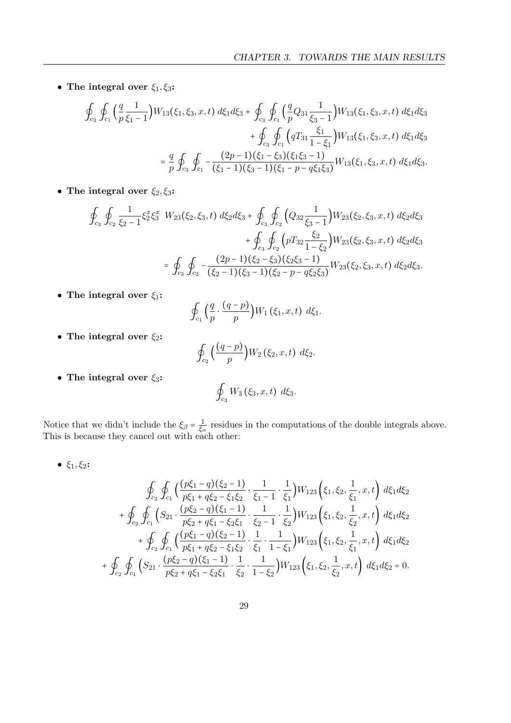• The integral over  $\xi_1, \xi_3$ :

$$
\oint_{c_3} \oint_{c_1} \left( \frac{q}{p} \frac{1}{\xi_1 - 1} \right) W_{13}(\xi_1, \xi_3, x, t) \, d\xi_1 d\xi_3 + \oint_{c_3} \oint_{c_1} \left( \frac{q}{p} Q_{31} \frac{1}{\xi_3 - 1} \right) W_{13}(\xi_1, \xi_3, x, t) \, d\xi_1 d\xi_3
$$
\n
$$
+ \oint_{c_3} \oint_{c_1} \left( q T_{31} \frac{\xi_1}{1 - \xi_1} \right) W_{13}(\xi_1, \xi_3, x, t) \, d\xi_1 d\xi_3
$$
\n
$$
= \frac{q}{p} \oint_{c_3} \oint_{c_1} -\frac{(2p - 1)(\xi_1 - \xi_3)(\xi_1 \xi_3 - 1)}{(\xi_1 - 1)(\xi_3 - 1)(\xi_1 - p - q \xi_1 \xi_3)} W_{13}(\xi_1, \xi_3, x, t) \, d\xi_1 d\xi_3.
$$

• The integral over  $\xi_2, \xi_3$ :

$$
\oint_{c_3} \oint_{c_2} \frac{1}{\xi_2 - 1} \xi_2^x \xi_3^x W_{23}(\xi_2, \xi_3, t) d\xi_2 d\xi_3 + \oint_{c_3} \oint_{c_2} \left( Q_{32} \frac{1}{\xi_3 - 1} \right) W_{23}(\xi_2, \xi_3, x, t) d\xi_2 d\xi_3 \n+ \oint_{c_3} \oint_{c_2} \left( p T_{32} \frac{\xi_2}{1 - \xi_2} \right) W_{23}(\xi_2, \xi_3, x, t) d\xi_2 d\xi_3 \n= \oint_{c_3} \oint_{c_2} -\frac{(2p - 1)(\xi_2 - \xi_3)(\xi_2 \xi_3 - 1)}{(\xi_2 - 1)(\xi_3 - 1)(\xi_2 - p - q \xi_2 \xi_3)} W_{23}(\xi_2, \xi_3, x, t) d\xi_2 d\xi_3.
$$

• The integral over  $\xi_1$ :

$$
\oint_{c_1}\Big(\frac{q}{p}\cdot\frac{(q-p)}{p}\Big)W_1\left(\xi_1,x,t\right)\,d\xi_1.
$$

• The integral over  $\xi_2$ :

$$
\oint_{c_2}\Big(\frac{(q-p)}{p}\Big)W_2\left(\xi_2,x,t\right)\,d\xi_2.
$$

• The integral over  $\xi_3$ :

$$
\oint_{c_3} W_3(\xi_3, x, t) d\xi_3.
$$

Notice that we didn't include the  $\xi_{\beta} = \frac{1}{\xi_{\beta}}$  $\frac{1}{\xi_{\alpha}}$  residues in the computations of the double integrals above. This is because they cancel out with each other:

•  $\xi_1, \xi_2$ :

$$
\oint_{c_2} \oint_{c_1} \left( \frac{(p\xi_1 - q)(\xi_2 - 1)}{p\xi_1 + q\xi_2 - \xi_1\xi_2} \cdot \frac{1}{\xi_1 - 1} \cdot \frac{1}{\xi_1} \right) W_{123} \left( \xi_1, \xi_2, \frac{1}{\xi_1}, x, t \right) d\xi_1 d\xi_2 \n+ \oint_{c_2} \oint_{c_1} \left( S_{21} \cdot \frac{(p\xi_2 - q)(\xi_1 - 1)}{p\xi_2 + q\xi_1 - \xi_2\xi_1} \cdot \frac{1}{\xi_2 - 1} \cdot \frac{1}{\xi_2} \right) W_{123} \left( \xi_1, \xi_2, \frac{1}{\xi_2}, x, t \right) d\xi_1 d\xi_2 \n+ \oint_{c_2} \oint_{c_1} \left( \frac{(p\xi_1 - q)(\xi_2 - 1)}{p\xi_1 + q\xi_2 - \xi_1\xi_2} \cdot \frac{1}{\xi_1} \cdot \frac{1}{1 - \xi_1} \right) W_{123} \left( \xi_1, \xi_2, \frac{1}{\xi_1}, x, t \right) d\xi_1 d\xi_2 \n+ \oint_{c_2} \oint_{c_1} \left( S_{21} \cdot \frac{(p\xi_2 - q)(\xi_1 - 1)}{p\xi_2 + q\xi_1 - \xi_2\xi_1} \cdot \frac{1}{\xi_2} \cdot \frac{1}{1 - \xi_2} \right) W_{123} \left( \xi_1, \xi_2, \frac{1}{\xi_2}, x, t \right) d\xi_1 d\xi_2 = 0.
$$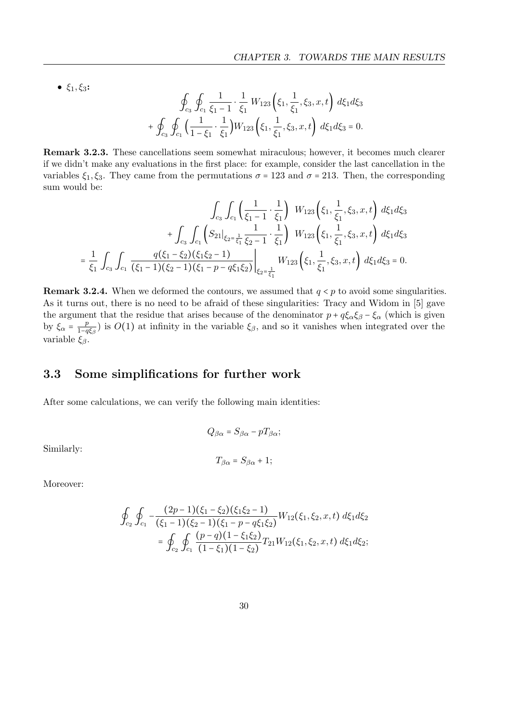•  $\xi_1, \xi_3$ :

$$
\oint_{c_3} \oint_{c_1} \frac{1}{\xi_1 - 1} \cdot \frac{1}{\xi_1} W_{123}(\xi_1, \frac{1}{\xi_1}, \xi_3, x, t) d\xi_1 d\xi_3
$$
\n
$$
+ \oint_{c_3} \oint_{c_1} \left( \frac{1}{1 - \xi_1} \cdot \frac{1}{\xi_1} \right) W_{123}(\xi_1, \frac{1}{\xi_1}, \xi_3, x, t) d\xi_1 d\xi_3 = 0.
$$

Remark 3.2.3. These cancellations seem somewhat miraculous; however, it becomes much clearer if we didn't make any evaluations in the first place: for example, consider the last cancellation in the variables  $\xi_1, \xi_3$ . They came from the permutations  $\sigma = 123$  and  $\sigma = 213$ . Then, the corresponding sum would be:

$$
\int_{c_3} \int_{c_1} \left( \frac{1}{\xi_1 - 1} \cdot \frac{1}{\xi_1} \right) W_{123} \left( \xi_1, \frac{1}{\xi_1}, \xi_3, x, t \right) d\xi_1 d\xi_3
$$

$$
+ \int_{c_3} \int_{c_1} \left( S_{21} \Big|_{\xi_2 = \frac{1}{\xi_1}} \frac{1}{\xi_2 - 1} \cdot \frac{1}{\xi_1} \right) W_{123} \left( \xi_1, \frac{1}{\xi_1}, \xi_3, x, t \right) d\xi_1 d\xi_3
$$

$$
= \frac{1}{\xi_1} \int_{c_3} \int_{c_1} \frac{q(\xi_1 - \xi_2)(\xi_1 \xi_2 - 1)}{(\xi_1 - 1)(\xi_2 - 1)(\xi_1 - p - q \xi_1 \xi_2)} \Big|_{\xi_2 = \frac{1}{\xi_1}} W_{123} \left( \xi_1, \frac{1}{\xi_1}, \xi_3, x, t \right) d\xi_1 d\xi_3 = 0.
$$

**Remark 3.2.4.** When we deformed the contours, we assumed that  $q < p$  to avoid some singularities. As it turns out, there is no need to be afraid of these singularities: Tracy and Widom in [\[5\]](#page-53-2) gave the argument that the residue that arises because of the denominator  $p + q\xi_\alpha \xi_\beta - \xi_\alpha$  (which is given by  $\xi_{\alpha} = \frac{p}{1-a}$  $\frac{p}{1-q\xi_{\beta}}$ ) is  $O(1)$  at infinity in the variable  $\xi_{\beta}$ , and so it vanishes when integrated over the variable  $\xi_{\beta}$ .

### <span id="page-33-0"></span>3.3 Some simplifications for further work

After some calculations, we can verify the following main identities:

Similarly:

$$
T_{\beta\alpha}=S_{\beta\alpha}+1;
$$

 $Q_{\beta\alpha} = S_{\beta\alpha} - pT_{\beta\alpha};$ 

Moreover:

$$
\oint_{c_2} \oint_{c_1} -\frac{(2p-1)(\xi_1 - \xi_2)(\xi_1 \xi_2 - 1)}{(\xi_1 - 1)(\xi_2 - 1)(\xi_1 - p - q \xi_1 \xi_2)} W_{12}(\xi_1, \xi_2, x, t) d\xi_1 d\xi_2
$$
\n
$$
= \oint_{c_2} \oint_{c_1} \frac{(p-q)(1 - \xi_1 \xi_2)}{(1 - \xi_1)(1 - \xi_2)} T_{21} W_{12}(\xi_1, \xi_2, x, t) d\xi_1 d\xi_2;
$$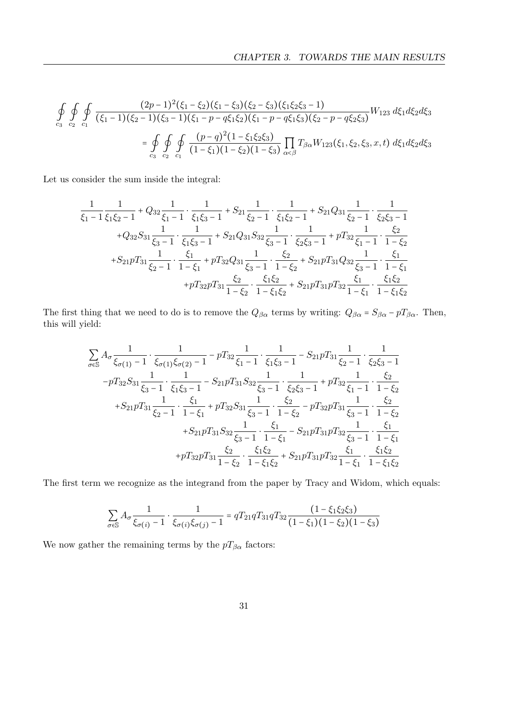$$
\oint_{c_3} \oint_{c_2} \oint_{c_1} \frac{(2p-1)^2(\xi_1-\xi_2)(\xi_1-\xi_3)(\xi_2-\xi_3)(\xi_1\xi_2\xi_3-1)}{(\xi_1-1)(\xi_2-1)(\xi_3-1)(\xi_1-p-q\xi_1\xi_2)(\xi_1-p-q\xi_1\xi_3)(\xi_2-p-q\xi_2\xi_3)} W_{123} d\xi_1 d\xi_2 d\xi_3
$$
\n
$$
= \oint_{c_3} \oint_{c_2} \oint_{c_1} \frac{(p-q)^2(1-\xi_1\xi_2\xi_3)}{(1-\xi_1)(1-\xi_2)(1-\xi_3)} \prod_{\alpha<\beta} T_{\beta\alpha} W_{123}(\xi_1,\xi_2,\xi_3,x,t) d\xi_1 d\xi_2 d\xi_3
$$

Let us consider the sum inside the integral:

$$
\frac{1}{\xi_1 - 1} \frac{1}{\xi_1 \xi_2 - 1} + Q_{32} \frac{1}{\xi_1 - 1} \cdot \frac{1}{\xi_1 \xi_3 - 1} + S_{21} \frac{1}{\xi_2 - 1} \cdot \frac{1}{\xi_1 \xi_2 - 1} + S_{21} Q_{31} \frac{1}{\xi_2 - 1} \cdot \frac{1}{\xi_2 \xi_3 - 1} \n+ Q_{32} S_{31} \frac{1}{\xi_3 - 1} \cdot \frac{1}{\xi_1 \xi_3 - 1} + S_{21} Q_{31} S_{32} \frac{1}{\xi_3 - 1} \cdot \frac{1}{\xi_2 \xi_3 - 1} + p T_{32} \frac{1}{\xi_1 - 1} \cdot \frac{\xi_2}{1 - \xi_2} \n+ S_{21} p T_{31} \frac{1}{\xi_2 - 1} \cdot \frac{\xi_1}{1 - \xi_1} + p T_{32} Q_{31} \frac{1}{\xi_3 - 1} \cdot \frac{\xi_2}{1 - \xi_2} + S_{21} p T_{31} Q_{32} \frac{1}{\xi_3 - 1} \cdot \frac{\xi_1}{1 - \xi_1} \n+ p T_{32} p T_{31} \frac{\xi_2}{1 - \xi_2} \cdot \frac{\xi_1 \xi_2}{1 - \xi_1 \xi_2} + S_{21} p T_{31} p T_{32} \frac{\xi_1}{1 - \xi_1} \cdot \frac{\xi_1 \xi_2}{1 - \xi_1 \xi_2}
$$

The first thing that we need to do is to remove the  $Q_{\beta\alpha}$  terms by writing:  $Q_{\beta\alpha} = S_{\beta\alpha} - pT_{\beta\alpha}$ . Then, this will yield:

$$
\sum_{\sigma \in \mathbb{S}} A_{\sigma} \frac{1}{\xi_{\sigma(1)} - 1} \cdot \frac{1}{\xi_{\sigma(1)} \xi_{\sigma(2)} - 1} - pT_{32} \frac{1}{\xi_{1} - 1} \cdot \frac{1}{\xi_{1} \xi_{3} - 1} - S_{21} pT_{31} \frac{1}{\xi_{2} - 1} \cdot \frac{1}{\xi_{2} \xi_{3} - 1} \n-pT_{32} S_{31} \frac{1}{\xi_{3} - 1} \cdot \frac{1}{\xi_{1} \xi_{3} - 1} - S_{21} pT_{31} S_{32} \frac{1}{\xi_{3} - 1} \cdot \frac{1}{\xi_{2} \xi_{3} - 1} + pT_{32} \frac{1}{\xi_{1} - 1} \cdot \frac{\xi_{2}}{1 - \xi_{2}} \n+ S_{21} pT_{31} \frac{1}{\xi_{2} - 1} \cdot \frac{\xi_{1}}{1 - \xi_{1}} + pT_{32} S_{31} \frac{1}{\xi_{3} - 1} \cdot \frac{\xi_{2}}{1 - \xi_{2}} - pT_{32} pT_{31} \frac{1}{\xi_{3} - 1} \cdot \frac{\xi_{2}}{1 - \xi_{2}} \n+ S_{21} pT_{31} S_{32} \frac{1}{\xi_{3} - 1} \cdot \frac{\xi_{1}}{1 - \xi_{1}} - S_{21} pT_{31} pT_{32} \frac{1}{\xi_{3} - 1} \cdot \frac{\xi_{1}}{1 - \xi_{1}} \n+ pT_{32} pT_{31} \frac{\xi_{2}}{1 - \xi_{2}} \cdot \frac{\xi_{1} \xi_{2}}{1 - \xi_{1} \xi_{2}} + S_{21} pT_{31} pT_{32} \frac{\xi_{1}}{1 - \xi_{1}} \cdot \frac{\xi_{1} \xi_{2}}{1 - \xi_{1} \xi_{2}}
$$

The first term we recognize as the integrand from the paper by Tracy and Widom, which equals:

$$
\sum_{\sigma \in \mathbb{S}} A_{\sigma} \frac{1}{\xi_{\sigma(i)} - 1} \cdot \frac{1}{\xi_{\sigma(i)} \xi_{\sigma(j)} - 1} = qT_{21}qT_{31}qT_{32} \frac{(1 - \xi_1 \xi_2 \xi_3)}{(1 - \xi_1)(1 - \xi_2)(1 - \xi_3)}
$$

We now gather the remaining terms by the  $pT_{\beta\alpha}$  factors: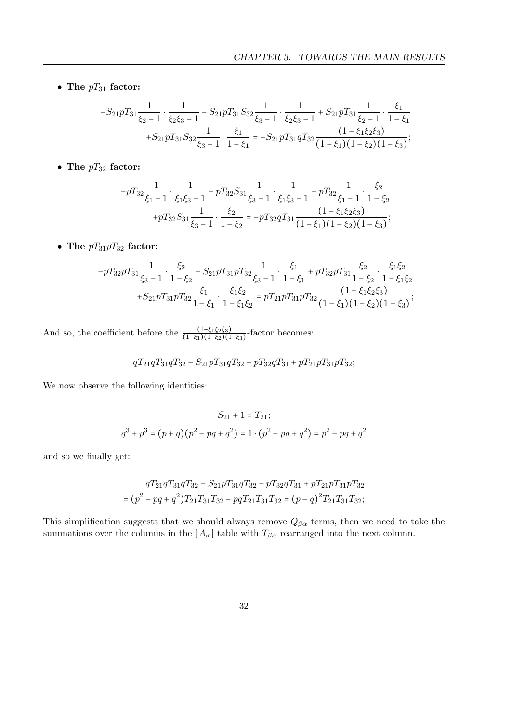• The  $pT_{31}$  factor:

$$
-S_{21}pT_{31}\frac{1}{\xi_2-1}\cdot\frac{1}{\xi_2\xi_3-1}-S_{21}pT_{31}S_{32}\frac{1}{\xi_3-1}\cdot\frac{1}{\xi_2\xi_3-1}+S_{21}pT_{31}\frac{1}{\xi_2-1}\cdot\frac{\xi_1}{1-\xi_1}+S_{21}pT_{31}S_{32}\frac{1}{\xi_3-1}\cdot\frac{\xi_1}{1-\xi_1}=-S_{21}pT_{31}qT_{32}\frac{(1-\xi_1\xi_2\xi_3)}{(1-\xi_1)(1-\xi_2)(1-\xi_3)};
$$

 $\bullet$  The  $pT_{32}$  factor:

$$
-pT_{32}\frac{1}{\xi_1-1}\cdot\frac{1}{\xi_1\xi_3-1}-pT_{32}S_{31}\frac{1}{\xi_3-1}\cdot\frac{1}{\xi_1\xi_3-1}+pT_{32}\frac{1}{\xi_1-1}\cdot\frac{\xi_2}{1-\xi_2} +pT_{32}S_{31}\frac{1}{\xi_3-1}\cdot\frac{\xi_2}{1-\xi_2}=-pT_{32}qT_{31}\frac{(1-\xi_1\xi_2\xi_3)}{(1-\xi_1)(1-\xi_2)(1-\xi_3)};
$$

• The  $pT_{31}pT_{32}$  factor:

$$
-pT_{32}pT_{31}\frac{1}{\xi_3-1}\cdot\frac{\xi_2}{1-\xi_2}-S_{21}pT_{31}pT_{32}\frac{1}{\xi_3-1}\cdot\frac{\xi_1}{1-\xi_1}+pT_{32}pT_{31}\frac{\xi_2}{1-\xi_2}\cdot\frac{\xi_1\xi_2}{1-\xi_1\xi_2} \\+S_{21}pT_{31}pT_{32}\frac{\xi_1}{1-\xi_1}\cdot\frac{\xi_1\xi_2}{1-\xi_1\xi_2}=pT_{21}pT_{31}pT_{32}\frac{(1-\xi_1\xi_2\xi_3)}{(1-\xi_1)(1-\xi_2)(1-\xi_3)};
$$

And so, the coefficient before the  $\frac{(1-\xi_1\xi_2\xi_3)}{(1-\xi_1)(1-\xi_2)(1-\xi_3)}$ -factor becomes:

$$
qT_{21}qT_{31}qT_{32}-S_{21}pT_{31}qT_{32}-pT_{32}qT_{31}+pT_{21}pT_{31}pT_{32};
$$

We now observe the following identities:

$$
S_{21} + 1 = T_{21};
$$
  

$$
q^{3} + p^{3} = (p+q)(p^{2} - pq + q^{2}) = 1 \cdot (p^{2} - pq + q^{2}) = p^{2} - pq + q^{2}
$$

and so we finally get:

$$
qT_{21}qT_{31}qT_{32} - S_{21}pT_{31}qT_{32} - pT_{32}qT_{31} + pT_{21}pT_{31}pT_{32}
$$

$$
= (p^2 - pq + q^2)T_{21}T_{31}T_{32} - pqT_{21}T_{31}T_{32} = (p - q)^2T_{21}T_{31}T_{32};
$$

This simplification suggests that we should always remove  $Q_{\beta\alpha}$  terms, then we need to take the summations over the columns in the  $[A_{\sigma}]$  table with  $T_{\beta\alpha}$  rearranged into the next column.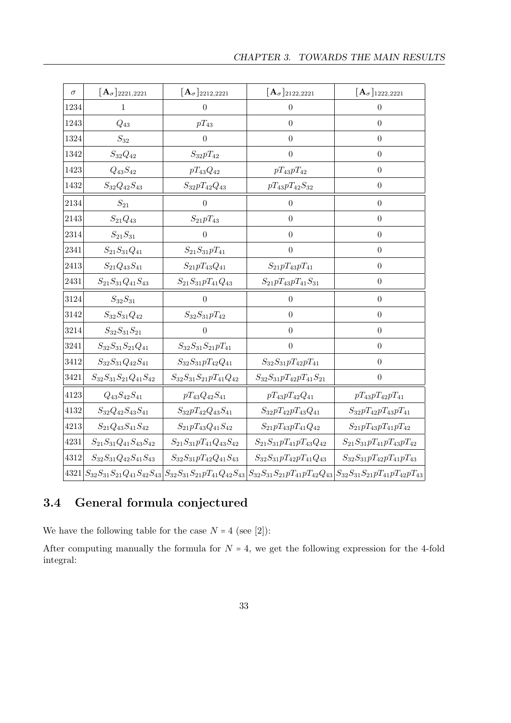| $\sigma$ | $[\mathbf{A}_{\sigma}]_{2221,2221}$ | $[\mathbf{A}_\sigma]_{2212,2221}$ | $[\mathbf{A}_{\sigma}]_{2122,2221}$ | $[\mathbf{A}_{\sigma}]_{1222,2221}$                                                                                                                                                    |
|----------|-------------------------------------|-----------------------------------|-------------------------------------|----------------------------------------------------------------------------------------------------------------------------------------------------------------------------------------|
| 1234     | 1                                   | $\boldsymbol{0}$                  | $\boldsymbol{0}$                    | $\boldsymbol{0}$                                                                                                                                                                       |
| 1243     | $Q_{43}$                            | $pT_{43}$                         | $\overline{0}$                      | $\overline{0}$                                                                                                                                                                         |
| 1324     | $\mathcal{S}_{32}$                  | $\boldsymbol{0}$                  | $\overline{0}$                      | $\theta$                                                                                                                                                                               |
| 1342     | $S_{32}Q_{42}$                      | $S_{32}pT_{42}$                   | $\theta$                            | $\overline{0}$                                                                                                                                                                         |
| 1423     | $\mathcal{Q}_{43}S_{42}$            | $pT_{43}Q_{42}$                   | $pT_{43}pT_{42}$                    | $\boldsymbol{0}$                                                                                                                                                                       |
| 1432     | $S_{32}Q_{42}S_{43}$                | $S_{32}pT_{42}Q_{43}$             | $pT_{43}pT_{42}S_{32}$              | $\boldsymbol{0}$                                                                                                                                                                       |
| 2134     | $\mathcal{S}_{21}$                  | $\overline{0}$                    | $\overline{0}$                      | $\overline{0}$                                                                                                                                                                         |
| 2143     | $S_{21} \\ Q_{43}$                  | $S_{21}pT_{43}$                   | $\overline{0}$                      | $\boldsymbol{0}$                                                                                                                                                                       |
| 2314     | $S_{21}S_{31}$                      | $\overline{0}$                    | $\overline{0}$                      | $\theta$                                                                                                                                                                               |
| 2341     | $S_{21}S_{31}Q_{41}$                | $S_{21}S_{31}pT_{41}$             | $\overline{0}$                      | $\overline{0}$                                                                                                                                                                         |
| 2413     | $S_{21}Q_{43}S_{41}$                | $S_{21}pT_{43}Q_{41}$             | $S_{21}pT_{43}pT_{41}$              | $\boldsymbol{0}$                                                                                                                                                                       |
| 2431     | $S_{21}S_{31}Q_{41}S_{43}$          | $S_{21}S_{31}pT_{41}Q_{43}$       | $S_{21}pT_{43}pT_{41}S_{31}$        | $\boldsymbol{0}$                                                                                                                                                                       |
| 3124     | $S_{32}S_{31}$                      | $\overline{0}$                    | $\overline{0}$                      | $\overline{0}$                                                                                                                                                                         |
| 3142     | $S_{32}S_{31}Q_{42}$                | $S_{32}S_{31}pT_{42}$             | $\overline{0}$                      | $\boldsymbol{0}$                                                                                                                                                                       |
| 3214     | $S_{32}S_{31}S_{21}$                | $\overline{0}$                    | $\overline{0}$                      | $\overline{0}$                                                                                                                                                                         |
| 3241     | $S_{32}S_{31}S_{21}Q_{41}$          | $S_{32}S_{31}S_{21}pT_{41}$       | $\theta$                            | $\theta$                                                                                                                                                                               |
| 3412     | $S_{32}S_{31}Q_{42}S_{41}$          | $S_{32}S_{31}pT_{42}Q_{41}$       | $S_{32}S_{31}pT_{42}pT_{41}$        | $\boldsymbol{0}$                                                                                                                                                                       |
| 3421     | $S_{32}S_{31}S_{21}Q_{41}S_{42}$    | $S_{32}S_{31}S_{21}pT_{41}Q_{42}$ | $S_{32}S_{31}pT_{42}pT_{41}S_{21}$  | $\boldsymbol{0}$                                                                                                                                                                       |
| 4123     | $Q_{43}S_{42}S_{41}$                | $pT_{43}Q_{42}S_{41}$             | $pT_{43}pT_{42}Q_{41}$              | $pT_{43}pT_{42}pT_{41}$                                                                                                                                                                |
| 4132     | $S_{32}Q_{42}S_{43}S_{41}$          | $S_{32}pT_{42}Q_{43}S_{41}$       | $S_{32}pT_{42}pT_{43}Q_{41}$        | $S_{32}pT_{42}pT_{43}pT_{41}$                                                                                                                                                          |
| 4213     | $S_{21}Q_{43}S_{41}S_{42}$          | $S_{21}pT_{43}Q_{41}S_{42}$       | $S_{21}pT_{43}pT_{41}Q_{42}$        | $S_{21}pT_{43}pT_{41}pT_{42}$                                                                                                                                                          |
| 4231     | $S_{21}S_{31}Q_{41}S_{43}S_{42}$    | $S_{21}S_{31}pT_{41}Q_{43}S_{42}$ | $S_{21}S_{31}pT_{41}pT_{43}Q_{42}$  | $S_{21}S_{31}pT_{41}pT_{43}pT_{42}$                                                                                                                                                    |
| 4312     | $S_{32}S_{31}Q_{42}S_{41}S_{43}$    | $S_{32}S_{31}pT_{42}Q_{41}S_{43}$ | $S_{32}S_{31}pT_{42}pT_{41}Q_{43}$  | $S_{32}S_{31}pT_{42}pT_{41}pT_{43}$                                                                                                                                                    |
|          |                                     |                                   |                                     | $4321\left S_{32}S_{31}S_{21}Q_{41}S_{42}S_{43}\right S_{32}S_{31}S_{21}pT_{41}Q_{42}S_{43}\left S_{32}S_{31}S_{21}pT_{41}pT_{42}Q_{43}\right S_{32}S_{31}S_{21}pT_{41}pT_{42}pT_{43}$ |

### <span id="page-36-0"></span>3.4 General formula conjectured

We have the following table for the case  $N = 4$  (see [\[2\]](#page-53-5)):

After computing manually the formula for  $N = 4$ , we get the following expression for the 4-fold integral: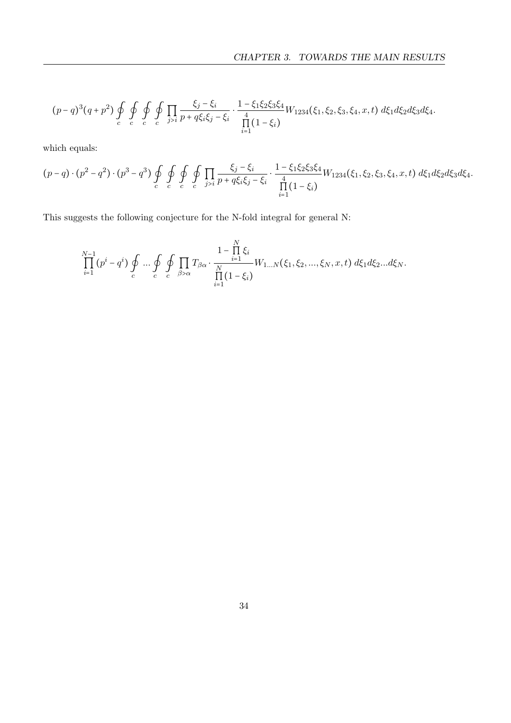$$
(p-q)^3(q+p^2)\oint_c \oint_c \oint_c \oint_c \prod_{j>i} \frac{\xi_j-\xi_i}{p+q\xi_i\xi_j-\xi_i} \cdot \frac{1-\xi_1\xi_2\xi_3\xi_4}{\prod_{i=1}^4(1-\xi_i)} W_{1234}(\xi_1,\xi_2,\xi_3,\xi_4,x,t) d\xi_1 d\xi_2 d\xi_3 d\xi_4.
$$

which equals:

$$
(p-q)\cdot (p^2-q^2)\cdot (p^3-q^3)\oint_c \oint_c \oint_c \oint_{c} \prod_{j>i} \frac{\xi_j-\xi_i}{p+q\xi_i\xi_j-\xi_i} \cdot \frac{1-\xi_1\xi_2\xi_3\xi_4}{\prod_{i=1}^4(1-\xi_i)}W_{1234}(\xi_1,\xi_2,\xi_3,\xi_4,x,t) d\xi_1 d\xi_2 d\xi_3 d\xi_4.
$$

This suggests the following conjecture for the N-fold integral for general N:

$$
\prod_{i=1}^{N-1} (p^i - q^i) \oint_c \dots \oint_c \oint \prod_{c} T_{\beta \alpha} \cdot \frac{1 - \prod_{i=1}^N \xi_i}{\prod_{i=1}^N (1 - \xi_i)} W_{1...N}(\xi_1, \xi_2, ..., \xi_N, x, t) d\xi_1 d\xi_2...d\xi_N.
$$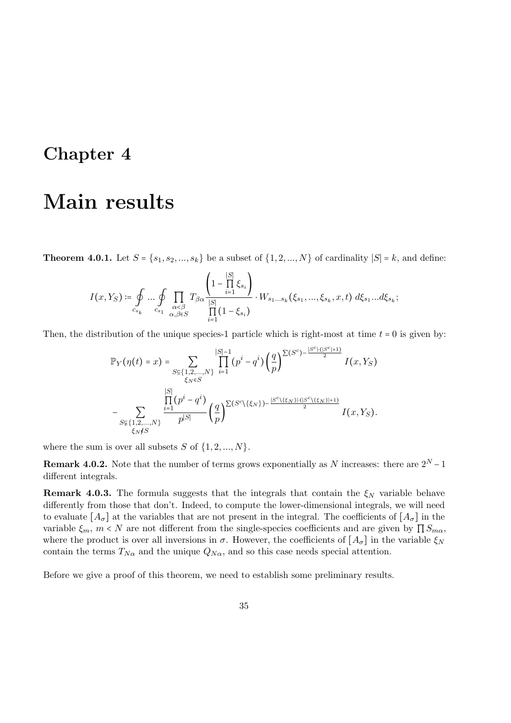## <span id="page-38-0"></span>Chapter 4

## Main results

**Theorem 4.0.1.** Let  $S = \{s_1, s_2, ..., s_k\}$  be a subset of  $\{1, 2, ..., N\}$  of cardinality  $|S| = k$ , and define:

$$
I(x,Y_S)\coloneqq \oint\limits_{c_{s_k}}\dots \oint\limits_{c_{s_1}}\prod\limits_{\substack{\alpha<\beta \\ \alpha,\beta\in S}} T_{\beta\alpha}\frac{\left(1-\prod\limits_{i=1}^{|S|}\xi_{s_i}\right)}{\prod\limits_{i=1}^{|S|}(1-\xi_{s_i})}\cdot W_{s_1\dots s_k}(\xi_{s_1},\dots,\xi_{s_k},x,t)\; d\xi_{s_1}\dots d\xi_{s_k};
$$

Then, the distribution of the unique species-1 particle which is right-most at time  $t = 0$  is given by:

$$
\mathbb{P}_{Y}(\eta(t) = x) = \sum_{\substack{S \subseteq \{1,2,\ldots,N\} \\ \xi_N \in S}} \prod_{i=1}^{|S|-1} (p^i - q^i) \left(\frac{q}{p}\right)^{\sum (S^c) - \frac{|S^c| \cdot (|S^c| + 1)}{2}} I(x,Y_S)
$$

$$
- \sum_{\substack{S \subseteq \{1,2,\ldots,N\} \\ \xi_N \notin S}} \frac{\prod_{i=1}^{|S|} (p^i - q^i)}{p^{|S|}} \left(\frac{q}{p}\right)^{\sum (S^c \setminus \{\xi_N\}) - \frac{|S^c \setminus \{\xi_N\}| \cdot (|S^c \setminus \{\xi_N\}| + 1)}{2}} I(x,Y_S).
$$

where the sum is over all subsets  $S$  of  $\{1, 2, ..., N\}$ .

**Remark 4.0.2.** Note that the number of terms grows exponentially as N increases: there are  $2^N - 1$ different integrals.

**Remark 4.0.3.** The formula suggests that the integrals that contain the  $\xi_N$  variable behave differently from those that don't. Indeed, to compute the lower-dimensional integrals, we will need to evaluate  $[A_{\sigma}]$  at the variables that are not present in the integral. The coefficients of  $[A_{\sigma}]$  in the variable  $\xi_m$ ,  $m < N$  are not different from the single-species coefficients and are given by  $\prod S_{m\alpha}$ , where the product is over all inversions in  $\sigma$ . However, the coefficients of  $[A_{\sigma}]$  in the variable  $\xi_N$ contain the terms  $T_{N\alpha}$  and the unique  $Q_{N\alpha}$ , and so this case needs special attention.

Before we give a proof of this theorem, we need to establish some preliminary results.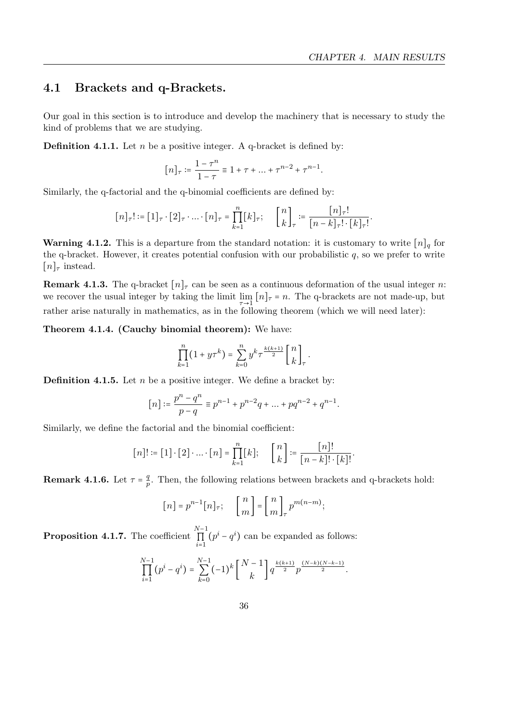### <span id="page-39-0"></span>4.1 Brackets and q-Brackets.

Our goal in this section is to introduce and develop the machinery that is necessary to study the kind of problems that we are studying.

**Definition 4.1.1.** Let n be a positive integer. A q-bracket is defined by:

$$
[n]_\tau\coloneqq\frac{1-\tau^n}{1-\tau}\equiv 1+\tau+\ldots+\tau^{n-2}+\tau^{n-1}.
$$

Similarly, the q-factorial and the q-binomial coefficients are defined by:

$$
[n]_\tau! \coloneqq [1]_\tau \cdot [2]_\tau \cdot \ldots \cdot [n]_\tau = \prod_{k=1}^n [k]_\tau; \quad \begin{bmatrix} n \\ k \end{bmatrix}_\tau \coloneqq \frac{[n]_\tau!}{[n-k]_\tau! \cdot [k]_\tau!}.
$$

**Warning 4.1.2.** This is a departure from the standard notation: it is customary to write  $[n]_q$  for the q-bracket. However, it creates potential confusion with our probabilistic  $q$ , so we prefer to write  $[n]_{\tau}$  instead.

**Remark 4.1.3.** The q-bracket  $[n]_{\tau}$  can be seen as a continuous deformation of the usual integer n: we recover the usual integer by taking the limit  $\lim_{n \to \infty} [n]_{\tau} = n$ . The q-brackets are not made-up, but rather arise naturally in mathematics, as in the following theorem (which we will need later):

Theorem 4.1.4. (Cauchy binomial theorem): We have:

$$
\prod_{k=1}^n (1 + y\tau^k) = \sum_{k=0}^n y^k \tau^{\frac{k(k+1)}{2}} {n \brack k}_\tau.
$$

**Definition 4.1.5.** Let  $n$  be a positive integer. We define a bracket by:

$$
[n]:=\frac{p^n-q^n}{p-q}\equiv p^{n-1}+p^{n-2}q+\ldots+pq^{n-2}+q^{n-1}.
$$

Similarly, we define the factorial and the binomial coefficient:

$$
[n]! \coloneqq [1] \cdot [2] \cdot \ldots \cdot [n] = \prod_{k=1}^{n} [k]; \quad \begin{bmatrix} n \\ k \end{bmatrix} \coloneqq \frac{[n]!}{[n-k]! \cdot [k]!}.
$$

**Remark 4.1.6.** Let  $\tau = \frac{q}{n}$  $\frac{q}{p}$ . Then, the following relations between brackets and q-brackets hold:

$$
[n] = p^{n-1}[n]_{\tau}; \quad \begin{bmatrix} n \\ m \end{bmatrix} = \begin{bmatrix} n \\ m \end{bmatrix}_{\tau} p^{m(n-m)};
$$

Proposition 4.1.7. The coefficient  $\prod^{N-1}$  $\prod_{i=1}$  $(p^{i} - q^{i})$  can be expanded as follows:

$$
\prod_{i=1}^{N-1} (p^i - q^i) = \sum_{k=0}^{N-1} (-1)^k \binom{N-1}{k} q^{\frac{k(k+1)}{2}} p^{\frac{(N-k)(N-k-1)}{2}}.
$$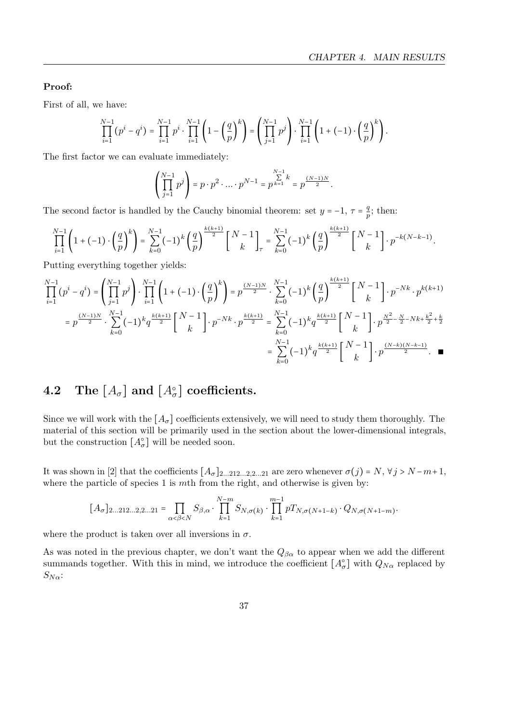### Proof:

First of all, we have:

$$
\prod_{i=1}^{N-1} (p^i - q^i) = \prod_{i=1}^{N-1} p^i \cdot \prod_{i=1}^{N-1} \left( 1 - \left( \frac{q}{p} \right)^k \right) = \left( \prod_{j=1}^{N-1} p^j \right) \cdot \prod_{i=1}^{N-1} \left( 1 + (-1) \cdot \left( \frac{q}{p} \right)^k \right).
$$

The first factor we can evaluate immediately:

$$
\left(\prod_{j=1}^{N-1} p^j\right) = p \cdot p^2 \cdot \dots \cdot p^{N-1} = p^{\sum_{k=1}^{N-1} k} = p^{\frac{(N-1)N}{2}}.
$$

The second factor is handled by the Cauchy binomial theorem: set  $y = -1$ ,  $\tau = \frac{q}{r}$  $\frac{q}{p}$ ; then:

$$
\prod_{i=1}^{N-1} \left(1+(-1) \cdot \left(\frac{q}{p}\right)^k\right) = \sum_{k=0}^{N-1} (-1)^k \left(\frac{q}{p}\right)^{\frac{k(k+1)}{2}} \left[N-1\atop k\right]_{\tau} = \sum_{k=0}^{N-1} (-1)^k \left(\frac{q}{p}\right)^{\frac{k(k+1)}{2}} \left[N-1\atop k\right] \cdot p^{-k(N-k-1)}.
$$

Putting everything together yields:

$$
\prod_{i=1}^{N-1} (p^i - q^i) = \left( \prod_{j=1}^{N-1} p^j \right) \cdot \prod_{i=1}^{N-1} \left( 1 + (-1) \cdot \left( \frac{q}{p} \right)^k \right) = p^{\frac{(N-1)N}{2}} \cdot \sum_{k=0}^{N-1} (-1)^k \left( \frac{q}{p} \right)^{\frac{k(k+1)}{2}} \left[ \binom{N-1}{k} \cdot p^{-Nk} \cdot p^{k(k+1)} \right]
$$
\n
$$
= p^{\frac{(N-1)N}{2}} \cdot \sum_{k=0}^{N-1} (-1)^k q^{\frac{k(k+1)}{2}} \left[ \binom{N-1}{k} \cdot p^{-Nk} \cdot p^{\frac{k(k+1)}{2}} \right] = \sum_{k=0}^{N-1} (-1)^k q^{\frac{k(k+1)}{2}} \left[ \binom{N-1}{k} \cdot p^{\frac{N^2}{2} - \frac{N}{2} - Nk + \frac{k^2}{2} + \frac{k}{2}} \right]
$$
\n
$$
= \sum_{k=0}^{N-1} (-1)^k q^{\frac{k(k+1)}{2}} \left[ \binom{N-1}{k} \cdot p^{\frac{(N-k)(N-k-1)}{2}} \right] \cdot \prod_{k=0}^{N-1} (-1)^k q^{\frac{k(k+1)}{2}} \left[ \binom{N-1}{k} \cdot p^{\frac{(N-k)(N-k-1)}{2}} \right] = \sum_{k=0}^{N-1} (-1)^k q^{\frac{k(k+1)}{2}} \left[ \binom{N-1}{k} \cdot p^{\frac{(N-k)(N-k-1)}{2}} \right] \cdot \prod_{k=0}^{N-1} (-1)^k q^{\frac{k(k+1)}{2}}
$$

### <span id="page-40-0"></span> $\textbf{4.2} \quad \textbf{The} \,\, \lbrack A_\sigma \rbrack \,\, \textbf{and} \,\, \lbrack A_\sigma^\circ \rbrack \,\, \textbf{coefficients}.$

Since we will work with the  $[A_{\sigma}]$  coefficients extensively, we will need to study them thoroughly. The material of this section will be primarily used in the section about the lower-dimensional integrals, but the construction  $[A_{\sigma}^{\circ}]$  will be needed soon.

It was shown in [\[2\]](#page-53-5) that the coefficients  $[A_{\sigma}]_{2...212...2,2...21}$  are zero whenever  $\sigma(j) = N, \forall j > N-m+1$ , where the particle of species  $1$  is  $m$ th from the right, and otherwise is given by:

$$
[A_{\sigma}]_{2...212...2,2...21} = \prod_{\alpha < \beta < N} S_{\beta,\alpha} \cdot \prod_{k=1}^{N-m} S_{N,\sigma(k)} \cdot \prod_{k=1}^{m-1} p T_{N,\sigma(N+1-k)} \cdot Q_{N,\sigma(N+1-m)}.
$$

where the product is taken over all inversions in  $\sigma$ .

As was noted in the previous chapter, we don't want the  $Q_{\beta\alpha}$  to appear when we add the different summands together. With this in mind, we introduce the coefficient  $[A_{\sigma}^{\circ}]$  with  $Q_{N\alpha}$  replaced by  $S_{N\alpha}$ :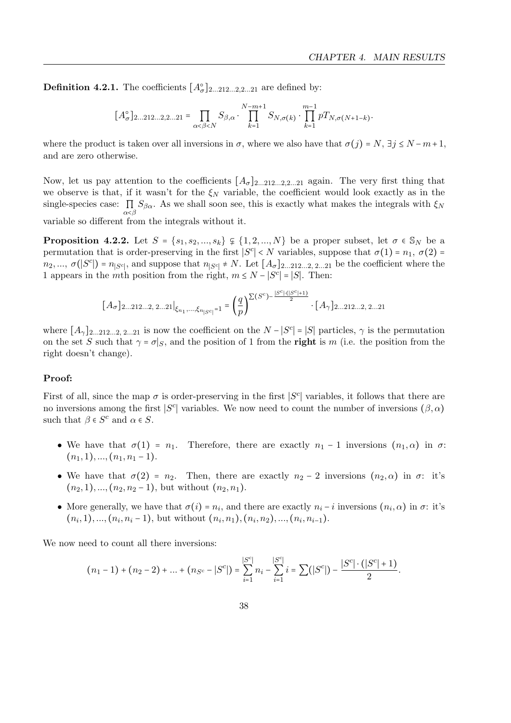**Definition 4.2.1.** The coefficients  $[A_{\sigma}^{\circ}]_{2...212...2,2...21}$  are defined by:

$$
[A_{\sigma}^{\circ}]_{2...212...2,2...21} = \prod_{\alpha < \beta < N} S_{\beta,\alpha} \cdot \prod_{k=1}^{N-m+1} S_{N,\sigma(k)} \cdot \prod_{k=1}^{m-1} p T_{N,\sigma(N+1-k)}.
$$

where the product is taken over all inversions in  $\sigma$ , where we also have that  $\sigma(j) = N$ ,  $\exists j \leq N-m+1$ , and are zero otherwise.

Now, let us pay attention to the coefficients  $[A_{\sigma}]_{2...212...2,2...21}$  again. The very first thing that we observe is that, if it wasn't for the  $\xi_N$  variable, the coefficient would look exactly as in the single-species case:  $\prod_{\alpha<\beta}S_{\beta\alpha}$ . As we shall soon see, this is exactly what makes the integrals with  $\xi_N$ 

variable so different from the integrals without it.

<span id="page-41-0"></span>**Proposition 4.2.2.** Let  $S = \{s_1, s_2, ..., s_k\} \subseteq \{1, 2, ..., N\}$  be a proper subset, let  $\sigma \in S_N$  be a permutation that is order-preserving in the first  $|S^c| < N$  variables, suppose that  $\sigma(1) = n_1, \sigma(2) =$  $n_2, ..., \sigma(|S^c|) = n_{|S^c|}$ , and suppose that  $n_{|S^c|} \neq N$ . Let  $[A_{\sigma}]_{2...212...2, 2...21}$  be the coefficient where the 1 appears in the mth position from the right,  $m \le N - |S^c| = |S|$ . Then:

$$
[A_\sigma]_{2...212...2, \; 2...21} \big|_{\xi_{n_1},\ldots,\xi_{n_{|S^c|}}=1} = \left(\frac{q}{p}\right)^{\sum (S^c)-\frac{|S^c|\cdot (|S^c|+1)}{2}} \cdot [A_\gamma]_{2...212...2, \; 2...21}
$$

where  $[A_\gamma]_{2...212...2, 2...21}$  is now the coefficient on the  $N - |S^c| = |S|$  particles,  $\gamma$  is the permutation on the set S such that  $\gamma = \sigma |_{S}$ , and the position of 1 from the right is m (i.e. the position from the right doesn't change).

### Proof:

First of all, since the map  $\sigma$  is order-preserving in the first  $|S^c|$  variables, it follows that there are no inversions among the first |S<sup>c</sup>| variables. We now need to count the number of inversions  $(\beta, \alpha)$ such that  $\beta \in S^c$  and  $\alpha \in S$ .

- We have that  $\sigma(1) = n_1$ . Therefore, there are exactly  $n_1 1$  inversions  $(n_1, \alpha)$  in  $\sigma$ :  $(n_1, 1), ..., (n_1, n_1 - 1).$
- We have that  $\sigma(2) = n_2$ . Then, there are exactly  $n_2 2$  inversions  $(n_2, \alpha)$  in  $\sigma$ : it's  $(n_2, 1), ..., (n_2, n_2 - 1)$ , but without  $(n_2, n_1)$ .
- More generally, we have that  $\sigma(i) = n_i$ , and there are exactly  $n_i i$  inversions  $(n_i, \alpha)$  in  $\sigma$ : it's  $(n_i, 1), ..., (n_i, n_i - 1)$ , but without  $(n_i, n_1), (n_i, n_2), ..., (n_i, n_{i-1})$ .

We now need to count all there inversions:

$$
(n_1-1)+(n_2-2)+...+(n_{S^c}-|S^c|)=\sum_{i=1}^{|S^c|}n_i-\sum_{i=1}^{|S^c|}i=\sum(|S^c|)-\frac{|S^c|\cdot(|S^c|+1)}{2}.
$$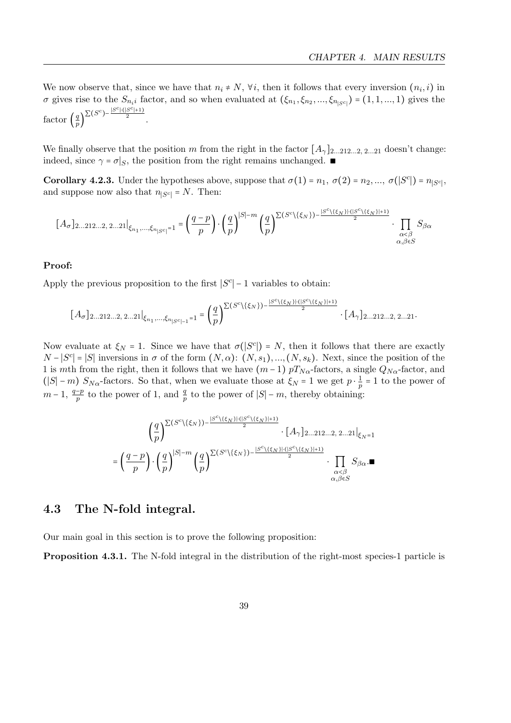We now observe that, since we have that  $n_i \neq N$ ,  $\forall i$ , then it follows that every inversion  $(n_i, i)$  in  $\sigma$  gives rise to the  $S_{n_i}$  factor, and so when evaluated at  $(\xi_{n_1}, \xi_{n_2}, ..., \xi_{n_{|S^c|}}) = (1, 1, ..., 1)$  gives the factor  $\left(\frac{q}{n}\right)$  $\frac{q}{p}$ ) $^{\sum (S^c) - \frac{|S^c| \cdot (|S^c|+1)}{2}}$ .

We finally observe that the position m from the right in the factor  $[A_\gamma]_{2...212...2, 2...21}$  doesn't change: indeed, since  $\gamma = \sigma |_{S}$ , the position from the right remains unchanged. ■

<span id="page-42-2"></span>**Corollary 4.2.3.** Under the hypotheses above, suppose that  $\sigma(1) = n_1$ ,  $\sigma(2) = n_2, ..., \sigma(|S^c|) = n_{|S^c|}$ , and suppose now also that  $n_{|S^c|} = N$ . Then:

$$
[A_\sigma]_{2\ldots 212\ldots 2,\ 2\ldots 21}|_{\xi_{n_1},\ldots,\xi_{n_{|S^c|}}=1}=\left(\frac{q-p}{p}\right)\cdot \left(\frac{q}{p}\right)^{|S|-m}\left(\frac{q}{p}\right)^{\sum (S^c\backslash\{\xi_N\})-\frac{|S^c\backslash\{\xi_N\}\cdot(|S^c\backslash\{\xi_N\}|+1)}{2}}\cdot\prod_{\substack{\alpha<\beta\\\alpha,\beta\in S}}S_{\beta\alpha}
$$

### Proof:

Apply the previous proposition to the first  $|S^c|$  – 1 variables to obtain:

$$
[A_\sigma]_{2...212...2,\ 2...21} \big|_{\xi_{n_1},\ldots,\xi_{n_{|S^c|-1}}=1} = \left(\frac{q}{p}\right)^{\sum (S^c \setminus \{\xi_N\})- \frac{|S^c \setminus \{\xi_N\}| \cdot (|S^c \setminus \{\xi_N\}|+1)}{2}} \cdot [A_\gamma]_{2...212...2,\ 2...21}.
$$

Now evaluate at  $\xi_N = 1$ . Since we have that  $\sigma(|S^c|) = N$ , then it follows that there are exactly  $N - |S^c| = |S|$  inversions in  $\sigma$  of the form  $(N, \alpha)$ :  $(N, s_1)$ , ...,  $(N, s_k)$ . Next, since the position of the 1 is mth from the right, then it follows that we have  $(m-1)$  pT<sub>N $\alpha$ </sub>-factors, a single  $Q_{N\alpha}$ -factor, and  $(|S| - m) S_{N\alpha}$ -factors. So that, when we evaluate those at  $\xi_N = 1$  we get  $p \cdot \frac{1}{n}$  $\frac{1}{p}$  = 1 to the power of  $m-1$ ,  $\frac{q-p}{p}$  to the power of 1, and  $\frac{q}{p}$  to the power of  $|S|-m$ , thereby obtaining:

$$
\left(\frac qp\right)^{\sum\limits_{S\subset\backslash\{\xi_N\}\}\cup\frac{|S^c\backslash\{\xi_N\}| \cdot (|S^c\backslash\{\xi_N\}|+1)}{2}}\cdot [A_\gamma]_{2...212...2,\, 2...21}|_{\xi_N=1}\\=\left(\frac{q-p}{p}\right)\cdot\left(\frac qp\right)^{|S|-m}\left(\frac qp\right)^{\sum\limits_{S\subset\backslash\{\xi_N\}\}\cup\frac{|S^c\backslash\{\xi_N\}| \cdot (|S^c\backslash\{\xi_N\}|+1)}{2}}\cdot\prod_{\substack{\alpha<\beta\\ \alpha,\beta\in S}}S_{\beta\alpha}.\blacksquare
$$

### <span id="page-42-0"></span>4.3 The N-fold integral.

Our main goal in this section is to prove the following proposition:

<span id="page-42-1"></span>Proposition 4.3.1. The N-fold integral in the distribution of the right-most species-1 particle is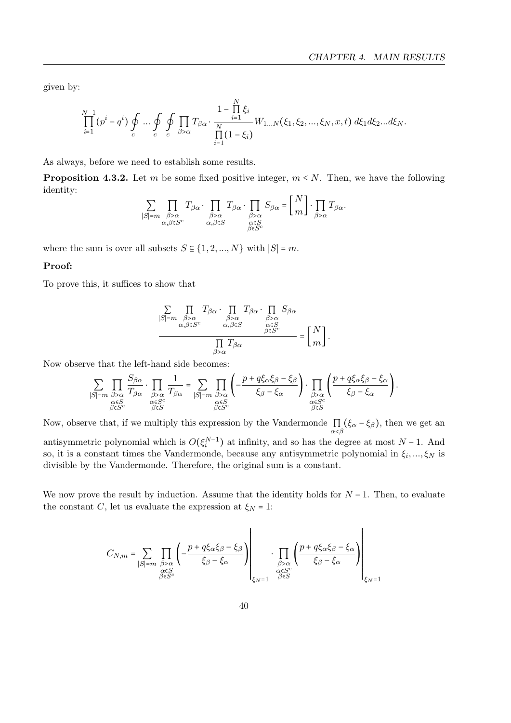given by:

$$
\prod_{i=1}^{N-1} (p^i - q^i) \oint\limits_c \ldots \oint\limits_c \oint\limits_{c} \prod\limits_{c} T_{\beta\alpha} \cdot \frac{1 - \prod\limits_{i=1}^{N} \xi_i}{\prod\limits_{i=1}^{N} (1 - \xi_i)} W_{1...N}(\xi_1, \xi_2, \ldots, \xi_N, x, t) d\xi_1 d\xi_2 \ldots d\xi_N.
$$

As always, before we need to establish some results.

**Proposition 4.3.2.** Let m be some fixed positive integer,  $m \leq N$ . Then, we have the following identity:  $R_{N}$ 

$$
\sum_{|S|=m} \prod_{\substack{\beta>\alpha \\ \alpha,\beta \in S^c}} T_{\beta\alpha} \cdot \prod_{\substack{\beta>\alpha \\ \alpha,\beta \in S}} T_{\beta\alpha} \cdot \prod_{\substack{\beta>\alpha \\ \alpha \in S \\ \beta \in S^c}} S_{\beta\alpha} = \left\lfloor \frac{N}{m} \right\rfloor \cdot \prod_{\beta>\alpha} T_{\beta\alpha}.
$$

where the sum is over all subsets  $S \subseteq \{1, 2, ..., N\}$  with  $|S| = m$ .

### Proof:

To prove this, it suffices to show that

$$
\frac{\sum\limits_{|S|=m}\prod\limits_{\substack{\beta>\alpha\\\alpha,\beta\in S^{c}}}T_{\beta\alpha}\cdot\prod\limits_{\substack{\beta>\alpha\\\alpha,\beta\in S}}T_{\beta\alpha}\cdot\prod\limits_{\substack{\beta>\alpha\\\alpha\in S\\\beta\in S^{c}}}S_{\beta\alpha}}}{\prod\limits_{\substack{\alpha\in S\\\beta\in S^{c}}}T_{\beta\alpha}}=\left[\frac{N}{m}\right].
$$

Now observe that the left-hand side becomes:

$$
\sum_{|S|=m} \prod_{\substack{\beta>\alpha \\ \alpha \in S \\ \beta \in S}} \frac{S_{\beta\alpha}}{T_{\beta\alpha}} \cdot \prod_{\substack{\beta>\alpha \\ \alpha \in S^c \\ \beta \in S}} \frac{1}{T_{\beta\alpha}} = \sum_{|S|=m} \prod_{\substack{\beta>\alpha \\ \alpha \in S \\ \beta \in S}} \left( -\frac{p+q\xi_{\alpha}\xi_{\beta}-\xi_{\beta}}{\xi_{\beta}-\xi_{\alpha}} \right) \cdot \prod_{\substack{\beta>\alpha \\ \alpha \in S^c \\ \beta \in S}} \left( \frac{p+q\xi_{\alpha}\xi_{\beta}-\xi_{\alpha}}{\xi_{\beta}-\xi_{\alpha}} \right).
$$

Now, observe that, if we multiply this expression by the Vandermonde  $\prod_{\alpha<\beta} (\xi_{\alpha}-\xi_{\beta})$ , then we get an antisymmetric polynomial which is  $O(\xi_i^{N-1})$  at infinity, and so has the degree at most  $N-1$ . And so, it is a constant times the Vandermonde, because any antisymmetric polynomial in  $\xi_i, ..., \xi_N$  is divisible by the Vandermonde. Therefore, the original sum is a constant.

We now prove the result by induction. Assume that the identity holds for  $N-1$ . Then, to evaluate the constant C, let us evaluate the expression at  $\xi_N = 1$ :

$$
C_{N,m} = \sum_{\substack{|\mathcal{S}|=m \\ \mathcal{O}\in \mathcal{S}^c \\ \beta\in \mathcal{S}^c}} \prod_{\substack{\mathcal{S}>\alpha \\ \mathcal{S} \in \mathcal{S}^c}} \left(-\frac{p+q\xi_{\alpha}\xi_{\beta}-\xi_{\beta}}{\xi_{\beta}-\xi_{\alpha}}\right)\left|\prod_{\substack{\mathcal{S}>\alpha \\ \alpha\in \mathcal{S}^c \\ \beta\in \mathcal{S}}} \left(\frac{p+q\xi_{\alpha}\xi_{\beta}-\xi_{\alpha}}{\xi_{\beta}-\xi_{\alpha}}\right)\right|_{\xi_{N}=1}
$$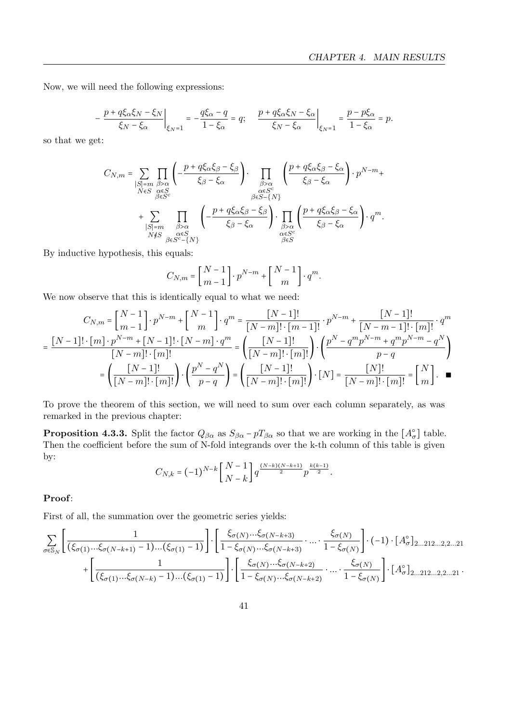Now, we will need the following expressions:

$$
-\left.\frac{p+q\xi_{\alpha}\xi_{N}-\xi_{N}}{\xi_{N}-\xi_{\alpha}}\right|_{\xi_{N}=1}=-\frac{q\xi_{\alpha}-q}{1-\xi_{\alpha}}=q;\quad \left.\frac{p+q\xi_{\alpha}\xi_{N}-\xi_{\alpha}}{\xi_{N}-\xi_{\alpha}}\right|_{\xi_{N}=1}=\frac{p-p\xi_{\alpha}}{1-\xi_{\alpha}}=p.
$$

so that we get:

$$
\begin{split} C_{N,m} = & \sum_{\substack{|S|=m \\ N\in S}} \prod_{\substack{\beta>\alpha \\ \beta\in S^c}} \left(-\frac{p+q\xi_{\alpha}\xi_{\beta}-\xi_{\beta}}{\xi_{\beta}-\xi_{\alpha}}\right)\cdot \prod_{\substack{\beta>\alpha \\ \alpha\in S^c \\ \beta\in S-\{N\}}}\left(\frac{p+q\xi_{\alpha}\xi_{\beta}-\xi_{\alpha}}{\xi_{\beta}-\xi_{\alpha}}\right)\cdot p^{N-m} +\\ & +\sum_{\substack{|S|=m \\ N\notin S}} \prod_{\substack{\beta>\alpha \\ \beta\in S \\ \beta\in S^c-\{N\}}}\left(-\frac{p+q\xi_{\alpha}\xi_{\beta}-\xi_{\beta}}{\xi_{\beta}-\xi_{\alpha}}\right)\cdot \prod_{\substack{\beta>\alpha \\ \alpha\in S^c \\ \beta\in S}}\left(\frac{p+q\xi_{\alpha}\xi_{\beta}-\xi_{\alpha}}{\xi_{\beta}-\xi_{\alpha}}\right)\cdot q^m. \end{split}
$$

By inductive hypothesis, this equals:

$$
C_{N,m} = \left[\frac{N-1}{m-1}\right] \cdot p^{N-m} + \left[\frac{N-1}{m}\right] \cdot q^m.
$$

We now observe that this is identically equal to what we need:

$$
C_{N,m} = \begin{bmatrix} N-1 \\ m-1 \end{bmatrix} \cdot p^{N-m} + \begin{bmatrix} N-1 \\ m \end{bmatrix} \cdot q^m = \frac{[N-1]!}{[N-m]! \cdot [m-1]!} \cdot p^{N-m} + \frac{[N-1]!}{[N-m-1]! \cdot [m]!} \cdot q^m
$$

$$
= \frac{[N-1]! \cdot [m] \cdot p^{N-m} + [N-1]! \cdot [N-m] \cdot q^m}{[N-m]! \cdot [m]!} = \left(\frac{[N-1]!}{[N-m]! \cdot [m]!}\right) \cdot \left(\frac{p^N - q^m p^{N-m} + q^m p^{N-m} - q^N}{p-q}\right)
$$

$$
= \left(\frac{[N-1]!}{[N-m]! \cdot [m]!}\right) \cdot \left(\frac{p^N - q^N}{p-q}\right) = \left(\frac{[N-1]!}{[N-m]! \cdot [m]!}\right) \cdot [N] = \frac{[N]!}{[N-m]! \cdot [m]!} = \begin{bmatrix} N \\ m \end{bmatrix}.
$$

To prove the theorem of this section, we will need to sum over each column separately, as was remarked in the previous chapter:

**Proposition 4.3.3.** Split the factor  $Q_{\beta\alpha}$  as  $S_{\beta\alpha} - pT_{\beta\alpha}$  so that we are working in the  $[A_{\sigma}^{\circ}]$  table. Then the coefficient before the sum of N-fold integrands over the k-th column of this table is given by:

$$
C_{N,k} = (-1)^{N-k} \left[ \frac{N-1}{N-k} \right] q^{\frac{(N-k)(N-k+1)}{2}} p^{\frac{k(k-1)}{2}}.
$$

### Proof:

First of all, the summation over the geometric series yields:

$$
\sum_{\sigma \in \mathbb{S}_N} \left[ \frac{1}{(\xi_{\sigma(1)} \dots \xi_{\sigma(N-k+1)} - 1) \dots (\xi_{\sigma(1)} - 1)} \right] \cdot \left[ \frac{\xi_{\sigma(N)} \dots \xi_{\sigma(N-k+3)}}{1 - \xi_{\sigma(N)} \dots \xi_{\sigma(N-k+3)}} \cdot \dots \cdot \frac{\xi_{\sigma(N)}}{1 - \xi_{\sigma(N)}} \right] \cdot (-1) \cdot [A^{\circ}_{\sigma}]_{2 \dots 212 \dots 2, 2 \dots 21} + \left[ \frac{1}{(\xi_{\sigma(1)} \dots \xi_{\sigma(N-k)} - 1) \dots (\xi_{\sigma(1)} - 1)} \right] \cdot \left[ \frac{\xi_{\sigma(N)} \dots \xi_{\sigma(N-k+2)}}{1 - \xi_{\sigma(N)} \dots \xi_{\sigma(N-k+2)}} \cdot \dots \cdot \frac{\xi_{\sigma(N)}}{1 - \xi_{\sigma(N)}} \right] \cdot [A^{\circ}_{\sigma}]_{2 \dots 212 \dots 2, 2 \dots 21}.
$$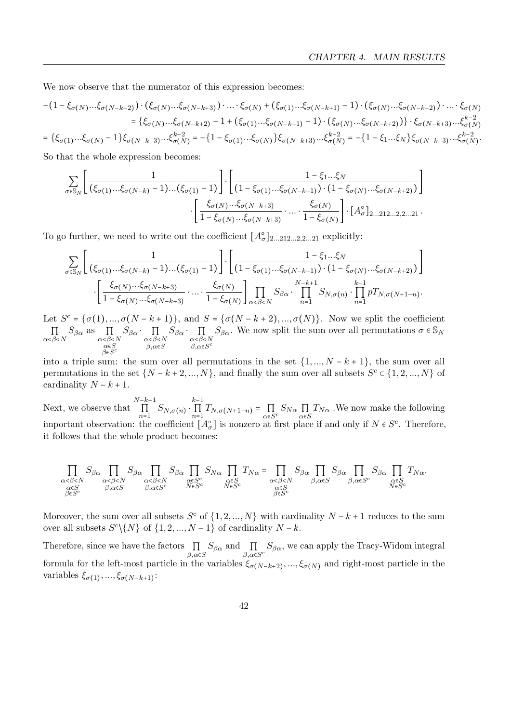We now observe that the numerator of this expression becomes:

$$
-(1-\xi_{\sigma(N)}...\xi_{\sigma(N-k+2)})\cdot(\xi_{\sigma(N)}...\xi_{\sigma(N-k+3)})\cdot...\cdot\xi_{\sigma(N)}+(\xi_{\sigma(1)}...\xi_{\sigma(N-k+1)}-1)\cdot(\xi_{\sigma(N)}...\xi_{\sigma(N-k+2)})\cdot...\cdot\xi_{\sigma(N)}=\{\xi_{\sigma(N)}...\xi_{\sigma(N-k+2)}-1+(\xi_{\sigma(1)}...\xi_{\sigma(N-k+1)}-1)\cdot(\xi_{\sigma(N)}...\xi_{\sigma(N-k+2)})\}\cdot\xi_{\sigma(N-k+3)}...\xi_{\sigma(N)}=\{\xi_{\sigma(1)}...\xi_{\sigma(N)}-1\}\xi_{\sigma(N-k+3)}...\xi_{\sigma(N)}=\{1-\xi_{\sigma(1)}...\xi_{\sigma(N)}\}\xi_{\sigma(N-k+3)}...\xi_{\sigma(N)}=\{-1-\xi_{\sigma(1)}...\xi_{\sigma(N)}\}\xi_{\sigma(N-k+3)}...\xi_{\sigma(N)}=\{-1-\xi_{\sigma(1)}...\xi_{\sigma(N)}\}\xi_{\sigma(N-k+3)}...\xi_{\sigma(N)}=\{-1-\xi_{\sigma(1)}...\xi_{\sigma(N)}\}\xi_{\sigma(N-k+3)}...\xi_{\sigma(N)}=\{-1-\xi_{\sigma(1)}...\xi_{\sigma(N)}\}\xi_{\sigma(N-k+3)}...\xi_{\sigma(N)}=\{-1-\xi_{\sigma(1)}...\xi_{\sigma(N)}\}\xi_{\sigma(N-k+3)}...\xi_{\sigma(N)}=\{-1-\xi_{\sigma(1)}...\xi_{\sigma(N)}\}\xi_{\sigma(N-k+3)}...\xi_{\sigma(N)}=\{-1-\xi_{\sigma(1)}...\xi_{\sigma(N)}\}\xi_{\sigma(N-k+3)}...\xi_{\sigma(N)}=\{-1-\xi_{\sigma(1)}...\xi_{\sigma(N)}\}\xi_{\sigma(N-k+3)}...\xi_{\sigma(N)}=\{-1-\xi_{\sigma(1)}...\xi_{\sigma(N)}\}\xi_{\sigma(N-k+3)}...\xi_{\sigma(N)}=\{-1-\xi_{\sigma(1)}...\xi_{\sigma(N)}\}\xi_{\sigma(N-k+3)}...\xi_{\sigma(N)}=\{-1-\xi_{\sigma(1)}...\xi_{\sigma(N)}\}\xi_{\sigma(N-k+3)}...\xi_{\sigma(N)}=\{-1-\xi_{\sigma(1)}...\xi_{\sigma(N)}\}\xi_{\sigma(N-k+3)}...\xi_{\sigma(N)}=\{-1-\xi_{\sigma(1)}...\xi_{\sigma(N)}\}\xi_{\sigma(N-k+3)}
$$

So that the whole expression becomes:

$$
\sum_{\sigma \in \mathbb{S}_N} \left[ \frac{1}{(\xi_{\sigma(1)} \dots \xi_{\sigma(N-k)} - 1) \dots (\xi_{\sigma(1)} - 1)} \right] \cdot \left[ \frac{1 - \xi_1 \dots \xi_N}{(1 - \xi_{\sigma(1)} \dots \xi_{\sigma(N-k+1)}) \cdot (1 - \xi_{\sigma(N)} \dots \xi_{\sigma(N-k+2)})} \right]
$$

$$
\cdot \left[ \frac{\xi_{\sigma(N)} \dots \xi_{\sigma(N-k+3)}}{1 - \xi_{\sigma(N)} \dots \xi_{\sigma(N-k+3)}} \dots \cdot \frac{\xi_{\sigma(N)}}{1 - \xi_{\sigma(N)}} \right] \cdot \left[ A_{\sigma}^{\circ} \right]_{2 \dots 212 \dots 2, 2 \dots 21}.
$$

To go further, we need to write out the coefficient  $[A_{\sigma}^{\circ}]_{2...212...2,2...21}$  explicitly:

$$
\sum_{\sigma \in S_N} \left[ \frac{1}{(\xi_{\sigma(1)} \dots \xi_{\sigma(N-k)} - 1) \dots (\xi_{\sigma(1)} - 1)} \right] \cdot \left[ \frac{1 - \xi_1 \dots \xi_N}{(1 - \xi_{\sigma(1)} \dots \xi_{\sigma(N-k+1)}) \cdot (1 - \xi_{\sigma(N)} \dots \xi_{\sigma(N-k+2)})} \right]
$$

$$
\cdot \left[ \frac{\xi_{\sigma(N)} \dots \xi_{\sigma(N-k+3)}}{1 - \xi_{\sigma(N)} \dots \xi_{\sigma(N-k+3)}} \cdot \dots \cdot \frac{\xi_{\sigma(N)}}{1 - \xi_{\sigma(N)}} \right] \prod_{\alpha < \beta < N} S_{\beta \alpha} \cdot \prod_{n=1}^{N-k+1} S_{N,\sigma(n)} \cdot \prod_{n=1}^{k-1} p T_{N,\sigma(N+1-n)}.
$$

Let  $S^c = {\sigma(1), ..., \sigma(N-k+1)}$ , and  $S = {\sigma(N-k+2), ..., \sigma(N)}$ . Now we split the coefficient  $\prod_{\alpha \leq \beta \leq N} S_{\beta \alpha}$  as  $\prod_{\alpha \leq \beta \leq N}$ α∈S β∈S c  $S_{\beta\alpha} \cdot \prod_{\alpha \leq \beta \leq N}$  $\beta, \alpha \in S$  $S_{\beta\alpha} \cdot \prod_{\alpha \leq \beta \leq N}$  $β, α ∈ S^c$  $S_{\beta\alpha}$ . We now split the sum over all permutations  $\sigma \in \mathbb{S}_N$ 

into a triple sum: the sum over all permutations in the set  $\{1, ..., N - k + 1\}$ , the sum over all permutations in the set  $\{N-k+2,...,N\}$ , and finally the sum over all subsets  $S^c \in \{1,2,...,N\}$  of cardinality  $N - k + 1$ .

Next, we observe that  $\prod^{N-k+1}$  $\prod_{n=1}^{k-1} S_{N,\sigma(n)} \cdot \prod_{n=1}^{k-1}$  $\prod_{n=1} T_{N,\sigma(N+1-n)} = \prod_{\alpha \in S} S_{N\alpha} \prod_{\alpha \in S} T_{N\alpha}$ . We now make the following important observation: the coefficient  $[A_{\sigma}^{\circ}]$  is nonzero at first place if and only if  $N \in S^c$ . Therefore, it follows that the whole product becomes:

$$
\prod_{\substack{\alpha<\beta
$$

Moreover, the sum over all subsets  $S^c$  of  $\{1, 2, ..., N\}$  with cardinality  $N - k + 1$  reduces to the sum over all subsets  $S^{c}\setminus\{N\}$  of  $\{1, 2, ..., N-1\}$  of cardinality  $N - k$ .

Therefore, since we have the factors  $\prod_{\beta,\alpha\in S} S_{\beta\alpha}$  and  $\prod_{\beta,\alpha\in S^c} S_{\beta\alpha}$ , we can apply the Tracy-Widom integral formula for the left-most particle in the variables  $\xi_{\sigma(N-k+2)},...,\xi_{\sigma(N)}$  and right-most particle in the variables  $\xi_{\sigma(1)}, ..., \xi_{\sigma(N-k+1)}$ :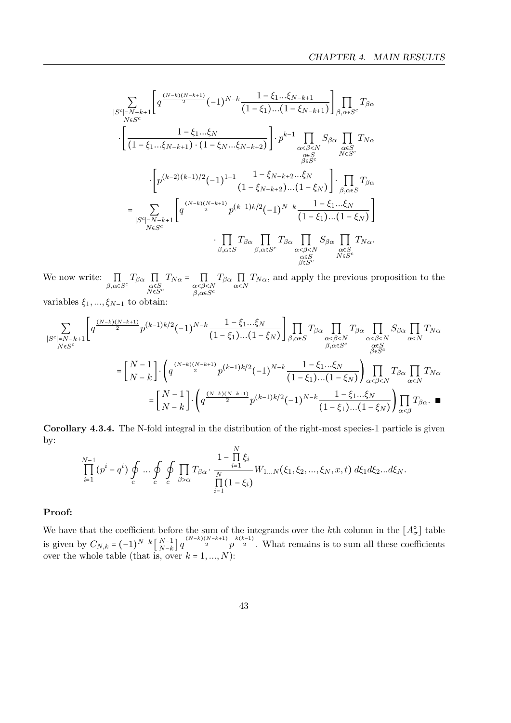$$
\sum_{\substack{|S^{c}|=N-k+1\\N\in S^{c}}} \left[q^{\frac{(N-k)(N-k+1)}{2}}(-1)^{N-k}\frac{1-\xi_{1}...\xi_{N-k+1}}{(1-\xi_{1})...(1-\xi_{N-k+1})}\right] \prod_{\beta,\alpha\in S^{c}} T_{\beta\alpha} \cdot \left[\frac{1-\xi_{1}...\xi_{N}}{(1-\xi_{1}...\xi_{N-k+1})\cdot(1-\xi_{N}...\xi_{N-k+2})}\right] \cdot p^{k-1} \prod_{\substack{\alpha<\beta
$$

We now write:  $\prod_{\beta,\alpha \in S^c} T_{\beta\alpha} \prod_{\substack{\alpha \in S \\ N \in S^c}}$  $T_{N\alpha} = \prod_{\alpha < \beta < N}$  $β, α ∈ S^c$  $T_{\beta\alpha} \prod_{\alpha \le N} T_{N\alpha}$ , and apply the previous proposition to the

variables  $\xi_1, ..., \xi_{N-1}$  to obtain:

$$
\sum_{\substack{|S^{c}|=N-k+1\\N\in S^{c}}} \left[q^{\frac{(N-k)(N-k+1)}{2}}p^{(k-1)k/2}(-1)^{N-k}\frac{1-\xi_1...\xi_N}{(1-\xi_1)...(1-\xi_N)}\right] \prod_{\beta,\alpha\in S} T_{\beta\alpha} \prod_{\substack{\alpha<\beta
$$

Corollary 4.3.4. The N-fold integral in the distribution of the right-most species-1 particle is given by:  $\overline{M}$ 

$$
\prod_{i=1}^{N-1} (p^i - q^i) \oint_c ... \oint_c \oint_{C} \prod_{\beta > \alpha} T_{\beta \alpha} \cdot \frac{1 - \prod_{i=1}^{N} \xi_i}{\prod_{i=1}^{N} (1 - \xi_i)} W_{1...N}(\xi_1, \xi_2, ..., \xi_N, x, t) d\xi_1 d\xi_2...d\xi_N.
$$

### Proof:

We have that the coefficient before the sum of the integrands over the k<sup>th</sup> column in the  $[A_{\sigma}^{\circ}]$  table is given by  $C_{N,k} = (-1)^{N-k} \left[ \begin{array}{c} N-1 \\ N-k \end{array} \right]$  $_{N-k}^{N-1}$   $\left[q\frac{(N-k)(N-k+1)}{2}p^{\frac{k(k-1)}{2}}\right]$ . What remains is to sum all these coefficients over the whole table (that is, over  $k = 1, ..., N$ ):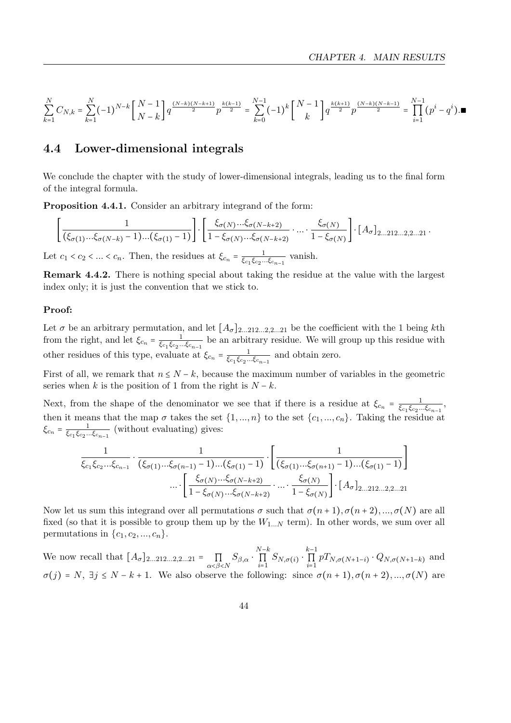$$
\sum_{k=1}^N C_{N,k} = \sum_{k=1}^N (-1)^{N-k} \left[ \frac{N-1}{N-k} \right] q^{\frac{(N-k)(N-k+1)}{2}} p^{\frac{k(k-1)}{2}} = \sum_{k=0}^{N-1} (-1)^k \left[ \frac{N-1}{k} \right] q^{\frac{k(k+1)}{2}} p^{\frac{(N-k)(N-k-1)}{2}} = \prod_{i=1}^{N-1} (p^i - q^i) . \blacksquare
$$

### <span id="page-47-0"></span>4.4 Lower-dimensional integrals

We conclude the chapter with the study of lower-dimensional integrals, leading us to the final form of the integral formula.

Proposition 4.4.1. Consider an arbitrary integrand of the form:

$$
\left[\frac{1}{(\xi_{\sigma(1)}...\xi_{\sigma(N-k)}-1)...(\xi_{\sigma(1)}-1)}\right]\cdot\left[\frac{\xi_{\sigma(N)}...\xi_{\sigma(N-k+2)}}{1-\xi_{\sigma(N)}...\xi_{\sigma(N-k+2)}}\cdot...\cdot\frac{\xi_{\sigma(N)}}{1-\xi_{\sigma(N)}}\right]\cdot[A_{\sigma}]_{2...212...2,2...21}.
$$

Let  $c_1 < c_2 < ... < c_n$ . Then, the residues at  $\xi_{c_n} = \frac{1}{\xi_{c_n}\xi_{c_n}}$  $\frac{1}{\xi_{c_1}\xi_{c_2}...\xi_{c_{n-1}}}$  vanish.

Remark 4.4.2. There is nothing special about taking the residue at the value with the largest index only; it is just the convention that we stick to.

#### Proof:

Let  $\sigma$  be an arbitrary permutation, and let  $[A_{\sigma}]_{2...212...2,2...21}$  be the coefficient with the 1 being kth from the right, and let  $\xi_{c_n} = \frac{1}{\xi_{c_n} \xi_{c_n}}$  $\frac{1}{\xi_{c_1}\xi_{c_2}...\xi_{c_{n-1}}}$  be an arbitrary residue. We will group up this residue with other residues of this type, evaluate at  $\xi_{c_n} = \frac{1}{\xi_{c_n} \xi_{c_n}}$  $\frac{1}{\xi_{c_1}\xi_{c_2}...\xi_{c_{n-1}}}$  and obtain zero.

First of all, we remark that  $n \leq N - k$ , because the maximum number of variables in the geometric series when k is the position of 1 from the right is  $N - k$ .

Next, from the shape of the denominator we see that if there is a residue at  $\xi_{c_n} = \frac{1}{\xi_{c_n}\xi_{c_n}}$  $\frac{1}{\xi_{c_1}\xi_{c_2}...\xi_{c_{n-1}}},$ then it means that the map  $\sigma$  takes the set  $\{1, ..., n\}$  to the set  $\{c_1, ..., c_n\}$ . Taking the residue at  $\xi_{c_n} = \frac{1}{\xi_c, \xi_{c_0...}}$  $\frac{1}{\xi_{c_1}\xi_{c_2}\dots\xi_{c_{n-1}}}$  (without evaluating) gives:

$$
\frac{1}{\xi_{c_1}\xi_{c_2}\dots\xi_{c_{n-1}}} \cdot \frac{1}{(\xi_{\sigma(1)}\dots\xi_{\sigma(n-1)}-1)\dots(\xi_{\sigma(1)}-1)} \cdot \left[\frac{1}{(\xi_{\sigma(1)}\dots\xi_{\sigma(n+1)}-1)\dots(\xi_{\sigma(1)}-1)}\right] \dots \cdot \left[\frac{\xi_{\sigma(N)}\dots\xi_{\sigma(N)}\dots\xi_{\sigma(N-k+2)}}{1-\xi_{\sigma(N)}\dots\xi_{\sigma(N-k+2)}}\dots\cdot \frac{\xi_{\sigma(N)}}{1-\xi_{\sigma(N)}}\right] \cdot [A_{\sigma}]_{2\dots 212\dots 2,2\dots 21}
$$

Now let us sum this integrand over all permutations  $\sigma$  such that  $\sigma(n+1), \sigma(n+2), ..., \sigma(N)$  are all fixed (so that it is possible to group them up by the  $W_{1...N}$  term). In other words, we sum over all permutations in  $\{c_1, c_2, ..., c_n\}$ .

We now recall that  $[A_{\sigma}]_{2...212...2,2...21} = \prod_{\alpha \leq \beta \leq N} S_{\beta,\alpha} \cdot \prod_{i=1}^{N-k}$  $\prod_{i=1}^{N-k} S_{N,\sigma(i)} \cdot \prod_{i=1}^{k-1}$  $\prod_{i=1} P T_{N,\sigma(N+1-i)} \cdot Q_{N,\sigma(N+1-k)}$  and  $\sigma(j) = N$ ,  $\exists j \leq N - k + 1$ . We also observe the following: since  $\sigma(n+1), \sigma(n+2), ..., \sigma(N)$  are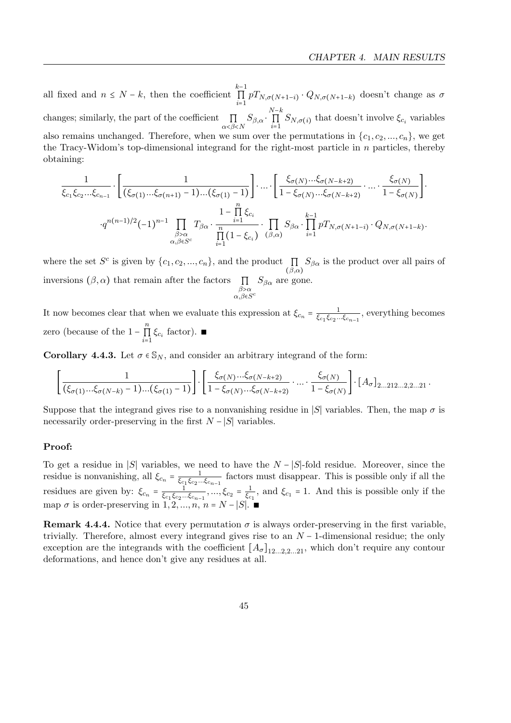all fixed and  $n \leq N - k$ , then the coefficient  $\prod^{k-1}$  $\prod_{i=1} pT_{N,\sigma(N+1-i)} \cdot Q_{N,\sigma(N+1-k)}$  doesn't change as  $\sigma$ changes; similarly, the part of the coefficient  $\prod_{\alpha<\beta< N} S_{\beta,\alpha} \cdot \prod_{i=1}^{N-k}$  $\prod_{i=1} S_{N,\sigma(i)}$  that doesn't involve  $\xi_{c_i}$  variables also remains unchanged. Therefore, when we sum over the permutations in  $\{c_1, c_2, ..., c_n\}$ , we get the Tracy-Widom's top-dimensional integrand for the right-most particle in  $n$  particles, thereby obtaining:

$$
\frac{1}{\xi_{c_1}\xi_{c_2}\dots\xi_{c_{n-1}}} \cdot \left[ \frac{1}{(\xi_{\sigma(1)}\dots\xi_{\sigma(n+1)}-1)\dots(\xi_{\sigma(1)}-1)} \right] \cdot \dots \cdot \left[ \frac{\xi_{\sigma(N)}\dots\xi_{\sigma(N-k+2)}}{1-\xi_{\sigma(N)}\dots\xi_{\sigma(N-k+2)}} \cdot \dots \cdot \frac{\xi_{\sigma(N)}}{1-\xi_{\sigma(N)}} \right] \cdot \frac{\xi_{\sigma(N)}}{1-\xi_{\sigma(N)}} \cdot \frac{1-\prod_{i=1}^{n} \xi_{c_i}}{\prod_{\alpha,\beta \in S^c} T_{\beta\alpha} \cdot \frac{1-\prod_{i=1}^{n} \xi_{c_i}}{\prod_{i=1}^{n} (1-\xi_{c_i})} \cdot \prod_{\beta,\alpha} S_{\beta\alpha} \cdot \prod_{i=1}^{k-1} p T_{N,\sigma(N+1-i)} \cdot Q_{N,\sigma(N+1-k)}.
$$

where the set  $S^c$  is given by  $\{c_1, c_2, ..., c_n\}$ , and the product  $\prod$  $(\beta,\alpha)$  $S_{\beta\alpha}$  is the product over all pairs of inversions  $(\beta, \alpha)$  that remain after the factors  $\prod_{\beta > \alpha}$  $\alpha, \beta \in S^c$  $S_{\beta\alpha}$  are gone.

It now becomes clear that when we evaluate this expression at  $\xi_{c_n} = \frac{1}{\xi_{c_n}\xi_{c_n}}$  $\frac{1}{\xi_{c_1}\xi_{c_2}...\xi_{c_{n-1}}},$  everything becomes zero (because of the  $1-\prod_{i=1}^n$  $\prod_{i=1}$   $\xi_{c_i}$  factor). ■

**Corollary 4.4.3.** Let  $\sigma \in \mathcal{S}_N$ , and consider an arbitrary integrand of the form:

$$
\left[\frac{1}{(\xi_{\sigma(1)}...\xi_{\sigma(N-k)}-1)...(\xi_{\sigma(1)}-1)}\right] \cdot \left[\frac{\xi_{\sigma(N)}...\xi_{\sigma(N-k+2)}}{1-\xi_{\sigma(N)}...\xi_{\sigma(N-k+2)}} \cdot ... \cdot \frac{\xi_{\sigma(N)}}{1-\xi_{\sigma(N)}}\right] \cdot [A_{\sigma}]_{2...212...2,2...21} \cdot
$$

Suppose that the integrand gives rise to a nonvanishing residue in |S| variables. Then, the map  $\sigma$  is necessarily order-preserving in the first  $N - |S|$  variables.

### Proof:

To get a residue in |S| variables, we need to have the  $N - |S|$ -fold residue. Moreover, since the residue is nonvanishing, all  $\xi_{c_n} = \frac{1}{\xi_{c_n} \xi_{c_n}}$  $\frac{1}{\xi_{c_1}\xi_{c_2}...\xi_{c_{n-1}}}$  factors must disappear. This is possible only if all the residues are given by:  $\xi_{c_n} = \frac{1}{\xi_{c_n} \xi_{c_n}}$  $\frac{1}{\xi_{c_1}\xi_{c_2}...\xi_{c_{n-1}}},...,\xi_{c_2}=\frac{1}{\xi_c}$  $\frac{1}{\xi_{c_1}}$ , and  $\xi_{c_1} = 1$ . And this is possible only if the map  $\sigma$  is order-preserving in  $1, 2, ..., n$ ,  $n = N - |S|$ .

**Remark 4.4.4.** Notice that every permutation  $\sigma$  is always order-preserving in the first variable, trivially. Therefore, almost every integrand gives rise to an  $N-1$ -dimensional residue; the only exception are the integrands with the coefficient  $[A_{\sigma}]_{12...2.2...21}$ , which don't require any contour deformations, and hence don't give any residues at all.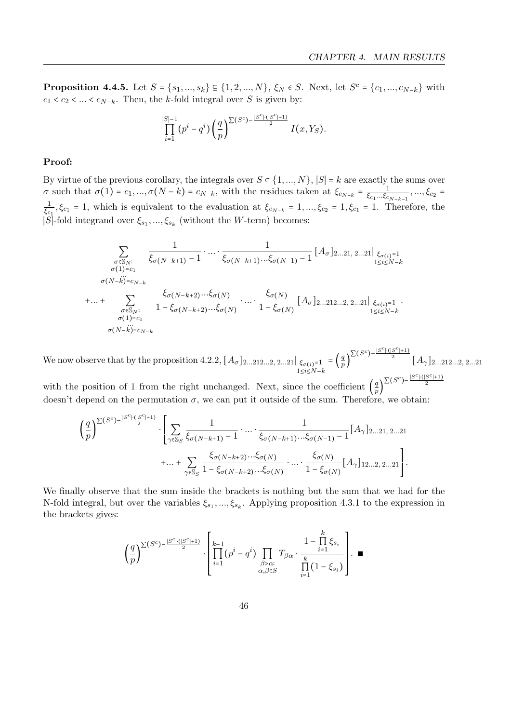**Proposition 4.4.5.** Let  $S = \{s_1, ..., s_k\} \subseteq \{1, 2, ..., N\}$ ,  $\xi_N \in S$ . Next, let  $S^c = \{c_1, ..., c_{N-k}\}$  with  $c_1 < c_2 < ... < c_{N-k}$ . Then, the k-fold integral over S is given by:

$$
\prod_{i=1}^{|S|-1} (p^i - q^i) \left(\frac{q}{p}\right)^{\sum (S^c) - \frac{|S^c| \cdot (|S^c| + 1)}{2}} I(x, Y_S).
$$

### Proof:

By virtue of the previous corollary, the integrals over  $S \subset \{1, ..., N\}$ ,  $|S| = k$  are exactly the sums over σ such that  $\sigma(1) = c_1, ..., \sigma(N-k) = c_{N-k}$ , with the residues taken at  $\xi_{c_{N-k}} = \frac{1}{\xi_{c_1}... \xi_{c_k}}$  $\frac{1}{\xi_{c_1}...\xi_{c_{N-k-1}}},...,\xi_{c_2} =$ 1  $\frac{1}{\xi_{c_1}}$ ,  $\xi_{c_1} = 1$ , which is equivalent to the evaluation at  $\xi_{c_{N-k}} = 1, ..., \xi_{c_2} = 1, \xi_{c_1} = 1$ . Therefore, the |S|-fold integrand over  $\xi_{s_1}, ..., \xi_{s_k}$  (without the W-term) becomes:

$$
\sum_{\substack{\sigma \in \mathbb{S}_N:\\ \sigma(1) = c_1}} \frac{1}{\xi_{\sigma(N-k+1)} - 1} \cdot \dots \cdot \frac{1}{\xi_{\sigma(N-k+1)} \dots \xi_{\sigma(N-1)} - 1} [A_{\sigma}]_{2...21, 2...21} |_{\xi_{\sigma(i)}=1}
$$
\n
$$
\sum_{\substack{\sigma(N-k) = c_{N-k}\\ \sigma \in \mathbb{S}_N:\\ \sigma(1) = c_1}} \frac{\xi_{\sigma(N-k+2)} \dots \xi_{\sigma(N)}}{1 - \xi_{\sigma(N-k+2)} \dots \xi_{\sigma(N)}} \cdot \dots \cdot \frac{\xi_{\sigma(N)}}{1 - \xi_{\sigma(N)}} [A_{\sigma}]_{2...212...2, 2...21} |_{\xi_{\sigma(i)}=1} \cdot \xi_{\sigma(i)} = 1
$$
\n
$$
\sum_{\substack{\sigma \in \mathbb{S}_N:\\ \sigma(1) = c_1\\ \sigma(N-k) = c_{N-k}}} \frac{\xi_{\sigma(N-k+2)} \dots \xi_{\sigma(N)}}{1 - \xi_{\sigma(N)}} [A_{\sigma}]_{2...212...2, 2...21} |_{\xi_{\sigma(i)}=1} \cdot \xi_{\sigma(i)} = 1
$$

We now observe that by the proposition [4.2.2,](#page-41-0)  $[A_{\sigma}]_{2...212...2, 2...21}|_{\xi_{\sigma(i)}=1}$  $1≤i≤N-k$  $=\left(\frac{q}{r}\right)$  $\int_{p}^{\infty} \int_{p}^{\infty} \frac{|S^{c}| \cdot (|S^{c}|+1)}{2} [A_{\gamma}]_{2...212...2, 2...21}$  $|S^c| \cdot (|S^c|+1)$ 

with the position of 1 from the right unchanged. Next, since the coefficient  $\left(\frac{9}{5}\right)$  $\frac{q}{p}$  $\sum (S^c) - \frac{|\mathcal{S}| \cdot |\cdot (|\mathcal{S}|)}{2}$ doesn't depend on the permutation  $\sigma$ , we can put it outside of the sum. Therefore, we obtain:

$$
\left(\frac{q}{p}\right)^{\sum (S^c) - \frac{|S^c| \cdot (|S^c|+1)}{2}} \cdot \left[\sum_{\gamma \in \mathbb{S}_S} \frac{1}{\xi_{\sigma(N-k+1)} - 1} \cdot \ldots \cdot \frac{1}{\xi_{\sigma(N-k+1)} \cdots \xi_{\sigma(N-1)} - 1} [A_{\gamma}]_{2...21, 2...21} + \ldots + \sum_{\gamma \in \mathbb{S}_S} \frac{\xi_{\sigma(N-k+2)} \cdots \xi_{\sigma(N)}}{1 - \xi_{\sigma(N-k+2)} \cdots \xi_{\sigma(N)}} \cdot \ldots \cdot \frac{\xi_{\sigma(N)}}{1 - \xi_{\sigma(N)}} [A_{\gamma}]_{12...2, 2...21}\right].
$$

We finally observe that the sum inside the brackets is nothing but the sum that we had for the N-fold integral, but over the variables  $\xi_{s_1}, ..., \xi_{s_k}$ . Applying proposition [4.3.1](#page-42-1) to the expression in the brackets gives:

$$
\left(\frac{q}{p}\right)^{\sum (S^c) - \frac{|S^c| \cdot (|S^c|+1)}{2}} \cdot \left[ \prod_{i=1}^{k-1} (p^i - q^i) \prod_{\substack{\beta > \alpha:\\ \alpha, \beta \in S}} T_{\beta \alpha} \cdot \frac{1 - \prod_{i=1}^k \xi_{s_i}}{\prod_{i=1}^k (1 - \xi_{s_i})} \right].
$$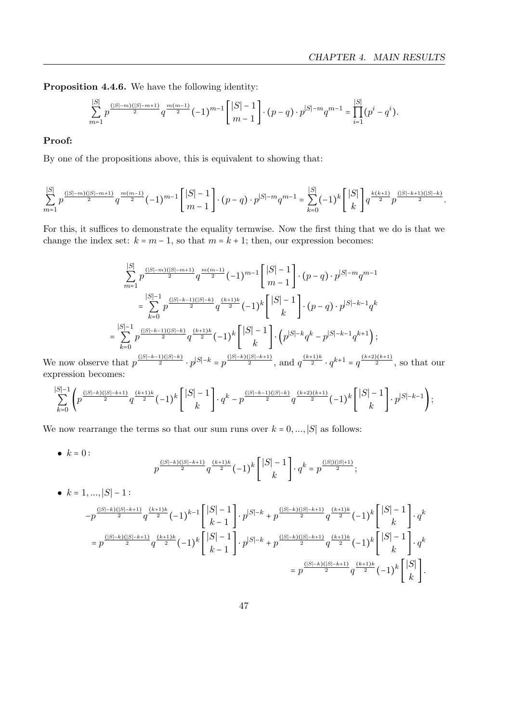Proposition 4.4.6. We have the following identity:

$$
\sum_{m=1}^{|S|} p^{\frac{(|S|-m)(|S|-m+1)}{2}} q^{\frac{m(m-1)}{2}} (-1)^{m-1} { |S|-1 \choose m-1} \cdot (p-q) \cdot p^{|S|-m} q^{m-1} = \prod_{i=1}^{|S|} (p^i - q^i).
$$

### Proof:

By one of the propositions above, this is equivalent to showing that:

$$
\sum_{m=1}^{|S|} p^{\frac{(|S|-m)(|S|-m+1)}{2}} q^{\frac{m(m-1)}{2}} (-1)^{m-1} { |S|-1 \choose m-1} \cdot (p-q) \cdot p^{|S|-m} q^{m-1} = \sum_{k=0}^{|S|} (-1)^k { |S| \choose k} q^{\frac{k(k+1)}{2}} p^{\frac{(|S|-k+1)(|S|-k)}{2}}.
$$

For this, it suffices to demonstrate the equality termwise. Now the first thing that we do is that we change the index set:  $k = m - 1$ , so that  $m = k + 1$ ; then, our expression becomes:

$$
\sum_{m=1}^{|S|} p^{\frac{(|S|-m)(|S|-m+1)}{2}} q^{\frac{m(m-1)}{2}} (-1)^{m-1} { |S|-1 \choose m-1} \cdot (p-q) \cdot p^{|S|-m} q^{m-1}
$$
  
\n
$$
= \sum_{k=0}^{|S|-1} p^{\frac{(|S|-k-1)(|S|-k)}{2}} q^{\frac{(k+1)k}{2}} (-1)^k { |S|-1 \choose k} \cdot (p-q) \cdot p^{|S|-k-1} q^k
$$
  
\n
$$
= \sum_{k=0}^{|S|-1} p^{\frac{(|S|-k-1)(|S|-k)}{2}} q^{\frac{(k+1)k}{2}} (-1)^k { |S|-1 \choose k} \cdot (p^{|S|-k} q^k - p^{|S|-k-1} q^{k+1});
$$

We now observe that  $p$  $\frac{p_1(3-p)}{2} \cdot p^{|S|-k} = p$  $\frac{a}{2}$ , and  $q^{\frac{a}{2}}$  $\cdot q$  $= q^2$  $\frac{2}{2}$ , so that our expression becomes:

$$
\sum_{k=0}^{|S|-1} \left( p^{\frac{(|S|-k)(|S|-k+1)}{2}} q^{\frac{(k+1)k}{2}} (-1)^k \binom{|S|-1}{k} \cdot q^k - p^{\frac{(|S|-k-1)(|S|-k)}{2}} q^{\frac{(k+2)(k+1)}{2}} (-1)^k \binom{|S|-1}{k} \cdot p^{|S|-k-1} \right);
$$

We now rearrange the terms so that our sum runs over  $k = 0, ..., |S|$  as follows:

• 
$$
k = 0
$$
:  
\n $p^{\frac{(|S|-k)(|S|-k+1)}{2}} q^{\frac{(k+1)k}{2}} (-1)^k \begin{bmatrix} |S|-1 \\ k \end{bmatrix} \cdot q^k = p^{\frac{(|S|)(|S|+1)}{2}}$ ;

• 
$$
k = 1, ..., |S| - 1
$$
:  
\n
$$
-p^{\frac{(|S|-k)(|S|-k+1)}{2}} q^{\frac{(k+1)k}{2}} (-1)^{k-1} \begin{bmatrix} |S|-1 \\ k-1 \end{bmatrix} \cdot p^{|S|-k} + p^{\frac{(|S|-k)(|S|-k+1)}{2}} q^{\frac{(k+1)k}{2}} (-1)^{k} \begin{bmatrix} |S|-1 \\ k \end{bmatrix} \cdot q^k
$$
\n
$$
= p^{\frac{(|S|-k)(|S|-k+1)}{2}} q^{\frac{(k+1)k}{2}} (-1)^{k} \begin{bmatrix} |S|-1 \\ k-1 \end{bmatrix} \cdot p^{|S|-k} + p^{\frac{(|S|-k)(|S|-k+1)}{2}} q^{\frac{(k+1)k}{2}} (-1)^{k} \begin{bmatrix} |S|-1 \\ k \end{bmatrix} \cdot q^k
$$
\n
$$
= p^{\frac{(|S|-k)(|S|-k+1)}{2}} q^{\frac{(k+1)k}{2}} (-1)^{k} \begin{bmatrix} |S| \\ k \end{bmatrix}.
$$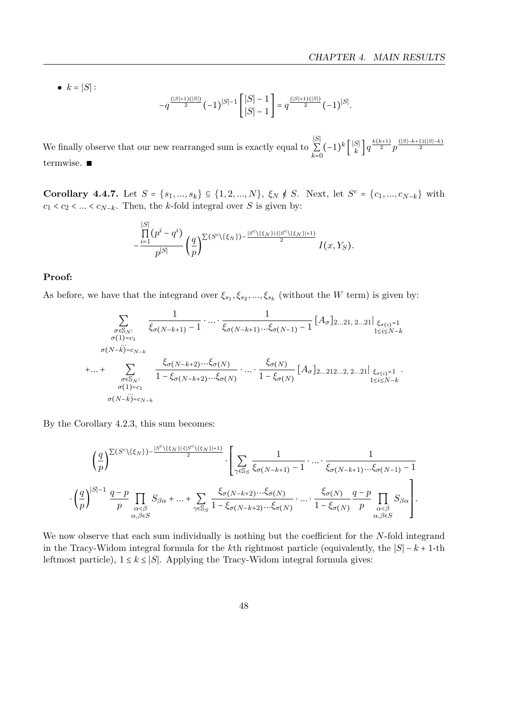•  $k = |S|$ :

$$
-q^{\frac{(|S|+1)(|S|)}{2}}(-1)^{|S|-1}\begin{bmatrix} |S|-1 \ |S|-1 \ |S|-1 \end{bmatrix} = q^{\frac{(|S|+1)(|S|)}{2}}(-1)^{|S|}.
$$

We finally observe that our new rearranged sum is exactly equal to ∣S∣  $\sum_{k=0}$  $(-1)^k\left[\frac{|S|}{k}\right]$  $\binom{|S|}{k} q^{\frac{k(k+1)}{2}} p^{\frac{(|S|-k+1)(|S|-k)}{2}}$ termwise. ∎

**Corollary 4.4.7.** Let  $S = \{s_1, ..., s_k\} \subseteq \{1, 2, ..., N\}$ ,  $\xi_N \notin S$ . Next, let  $S^c = \{c_1, ..., c_{N-k}\}$  with  $c_1 < c_2 < \ldots < c_{N-k}$ . Then, the k-fold integral over S is given by:

$$
-\frac{\prod\limits_{i=1}^{|S|}(p^i-q^i)}{p^{|S|}}\left(\frac{q}{p}\right)^{\sum(S^c\backslash\{\xi_N\})-\frac{|S^c\backslash\{\xi_N\}| \cdot (|S^c\backslash\{\xi_N\}|+1)}{2}}I(x,Y_S).
$$

### Proof:

As before, we have that the integrand over  $\xi_{s_1}, \xi_{s_2}, ..., \xi_{s_k}$  (without the W term) is given by:

$$
\sum_{\substack{\sigma \in S_N:\\ \sigma(1) = c_1\\ \sigma(N - k) = c_{N - k}}} \frac{1}{\xi_{\sigma(N - k + 1)} - 1} \cdot \dots \cdot \frac{1}{\xi_{\sigma(N - k + 1)} \dots \xi_{\sigma(N - 1)} - 1} [A_{\sigma}]_{2...21, 2...21} \xi_{\sigma(i)} = 1
$$
\n
$$
\sum_{\substack{\sigma(N - k) = c_{N - k}\\ \sigma(1) = c_1\\ \sigma(1) = c_1}} \frac{\xi_{\sigma(N - k + 2)} \dots \xi_{\sigma(N)}}{1 - \xi_{\sigma(N - k + 2)} \dots \xi_{\sigma(N)}} \cdot \dots \cdot \frac{\xi_{\sigma(N)}}{1 - \xi_{\sigma(N)}} [A_{\sigma}]_{2...212...2, 2...21} \xi_{\sigma(i)} = 1 \cdot \xi_{\sigma(N - k + 2)} \xi_{\sigma(N - k + 2)} \dots \xi_{\sigma(N)}
$$
\n
$$
\sum_{\substack{\sigma \in S_N:\\ \sigma(N - k) = c_{N - k}}} \frac{\xi_{\sigma(N - k + 2)} \dots \xi_{\sigma(N)}}{1 - \xi_{\sigma(N)}} [A_{\sigma}]_{2...212...2, 2...21} \xi_{\sigma(i)} = 1 \cdot \xi_{\sigma(N - k + 2)} \dots \xi_{\sigma(N - k + 2)} \xi_{\sigma(N - k + 2)} \xi_{\sigma(N - k + 2)} = 1 \cdot \xi_{\sigma(N - k + 2)} \cdot \xi_{\sigma(N - k + 2)} \xi_{\sigma(N - k + 2)} = 1 \cdot \xi_{\sigma(N - k + 2)} \cdot \xi_{\sigma(N - k + 2)} = 1 \cdot \xi_{\sigma(N - k + 2)} \cdot \xi_{\sigma(N - k + 2)} = 1 \cdot \xi_{\sigma(N - k + 2)} \cdot \xi_{\sigma(N - k + 2)} = 1 \cdot \xi_{\sigma(N - k + 2)} \cdot \xi_{\sigma(N - k + 2)} = 1 \cdot \xi_{\sigma(N - k + 2)} \cdot \xi_{\sigma(N - k + 2)} = 1 \cdot \xi_{\sigma(N - k + 2)} \cdot \xi_{\sigma(N - k + 2)} = 1 \cdot \xi_{\sigma(N - k + 2)} \cdot \xi_{\sigma(N - k + 2)} = 1 \cdot \xi_{\sigma(N - k + 2)} \cdot \xi_{\sigma(N - k + 2)} = 1 \cdot \xi_{\
$$

By the Corollary [4.2.3,](#page-42-2) this sum becomes:

$$
\left(\frac{q}{p}\right)^{\sum (S^c\backslash\{\xi_N\})-\frac{|S^c\backslash\{\xi_N\}| \cdot (|S^c\backslash\{\xi_N\}|+1)}{2}}\cdot\left[\sum_{\gamma\in\mathbb{S}_S}\frac{1}{\xi_{\sigma(N-k+1)}-1}\cdot\ldots\cdot\frac{1}{\xi_{\sigma(N-k+1)}\ldots\xi_{\sigma(N-1)}-1}\\\cdot\left(\frac{q}{p}\right)^{|S|-1}\frac{q-p}{p}\prod_{\substack{\alpha\leq\beta\\ \alpha,\beta\in S}}S_{\beta\alpha}+\ldots+\sum_{\gamma\in\mathbb{S}_S}\frac{\xi_{\sigma(N-k+2)}\ldots\xi_{\sigma(N)}}{1-\xi_{\sigma(N-k+2)}\ldots\xi_{\sigma(N)}}\cdot\ldots\cdot\frac{\xi_{\sigma(N)}}{1-\xi_{\sigma(N)}}\frac{q-p}{p}\prod_{\substack{\alpha\leq\beta\\ \alpha,\beta\in S}}S_{\beta\alpha}\right].
$$

We now observe that each sum individually is nothing but the coefficient for the N-fold integrand in the Tracy-Widom integral formula for the kth rightmost particle (equivalently, the  $|S| - k + 1$ -th leftmost particle),  $1 \leq k \leq |S|$ . Applying the Tracy-Widom integral formula gives: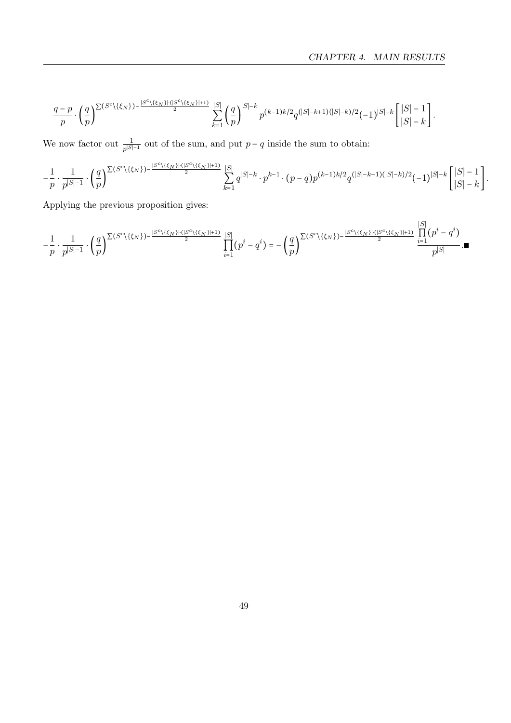$$
\frac{q-p}{p}\cdot \bigg(\frac{q}{p}\bigg)^{\sum (S^c\backslash\{\xi_N\})-\frac{|S^c\backslash\{\xi_N\}\backslash\{|S^c\backslash\{\xi_N\}|+1\}}{2}}\sum_{k=1}^{|S|}\bigg(\frac{q}{p}\bigg)^{|S|-k}p^{(k-1)k/2}q^{(|S|-k+1)(|S|-k)/2}(-1)^{|S|-k}\bigg[\frac{|S|-1}{|S|-k}\bigg].
$$

We now factor out  $\frac{1}{p^{|S|-1}}$  out of the sum, and put  $p-q$  inside the sum to obtain:

$$
-\frac{1}{p}\cdot \frac{1}{p^{|S|-1}}\cdot \left(\frac{q}{p}\right)^{\sum (S^c\backslash\{\xi_N\})-\frac{|S^c\backslash\{\xi_N\}| \cdot (|S^c\backslash\{\xi_N\}|+1)}{2}}\sum_{k=1}^{|S|}q^{|S|-k}\cdot p^{k-1}\cdot (p-q)p^{(k-1)k/2}q^{(|S|-k+1)(|S|-k)/2}(-1)^{|S|-k}\left[\frac{|S|-1}{|S|-k}\right].
$$

Applying the previous proposition gives:

$$
-\frac{1}{p}\cdot\frac{1}{p^{|S|-1}}\cdot\binom{q}{p}^{\sum(S^c\backslash\{\xi_N\})-\frac{|S^c\backslash\{\xi_N\}\backslash\{|S^c\backslash\{\xi_N\}|+1\}}{2}}\prod_{i=1}^{|S|}(p^i-q^i)=-\binom{q}{p}^{\sum(S^c\backslash\{\xi_N\})-\frac{|S^c\backslash\{\xi_N\}\backslash\{|S^c\backslash\{\xi_N\}|+1\}}{2}}\frac{\prod\limits_{i=1}^{|S|}(p^i-q^i)}{p^{|S|}}.
$$